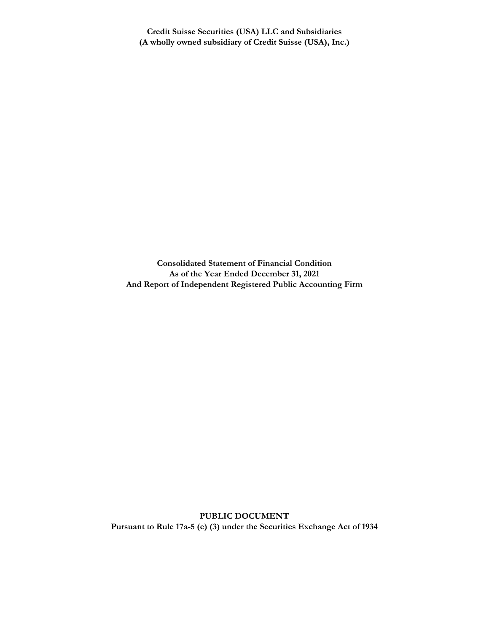**Credit Suisse Securities (USA) LLC and Subsidiaries (A wholly owned subsidiary of Credit Suisse (USA), Inc.)**

**Consolidated Statement of Financial Condition As of the Year Ended December 31, 2021 And Report of Independent Registered Public Accounting Firm**

**PUBLIC DOCUMENT Pursuant to Rule 17a-5 (e) (3) under the Securities Exchange Act of 1934**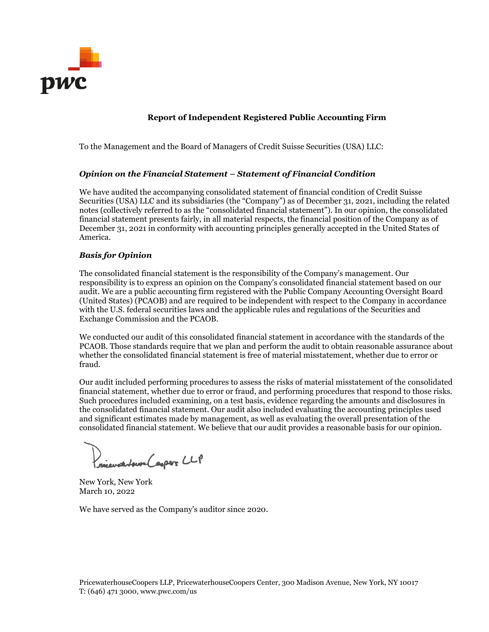

### **Report of Independent Registered Public Accounting Firm**

To the Management and the Board of Managers of Credit Suisse Securities (USA) LLC:

### *Opinion on the Financial Statement – Statement of Financial Condition*

We have audited the accompanying consolidated statement of financial condition of Credit Suisse Securities (USA) LLC and its subsidiaries (the "Company") as of December 31, 2021, including the related notes (collectively referred to as the "consolidated financial statement"). In our opinion, the consolidated financial statement presents fairly, in all material respects, the financial position of the Company as of December 31, 2021 in conformity with accounting principles generally accepted in the United States of America.

### *Basis for Opinion*

The consolidated financial statement is the responsibility of the Company's management. Our responsibility is to express an opinion on the Company's consolidated financial statement based on our audit. We are a public accounting firm registered with the Public Company Accounting Oversight Board (United States) (PCAOB) and are required to be independent with respect to the Company in accordance with the U.S. federal securities laws and the applicable rules and regulations of the Securities and Exchange Commission and the PCAOB.

We conducted our audit of this consolidated financial statement in accordance with the standards of the PCAOB. Those standards require that we plan and perform the audit to obtain reasonable assurance about whether the consolidated financial statement is free of material misstatement, whether due to error or fraud.

Our audit included performing procedures to assess the risks of material misstatement of the consolidated financial statement, whether due to error or fraud, and performing procedures that respond to those risks. Such procedures included examining, on a test basis, evidence regarding the amounts and disclosures in the consolidated financial statement. Our audit also included evaluating the accounting principles used and significant estimates made by management, as well as evaluating the overall presentation of the consolidated financial statement. We believe that our audit provides a reasonable basis for our opinion.

)<br>riewatchere (aspor CLP

New York, New York March 10, 2022

We have served as the Company's auditor since 2020.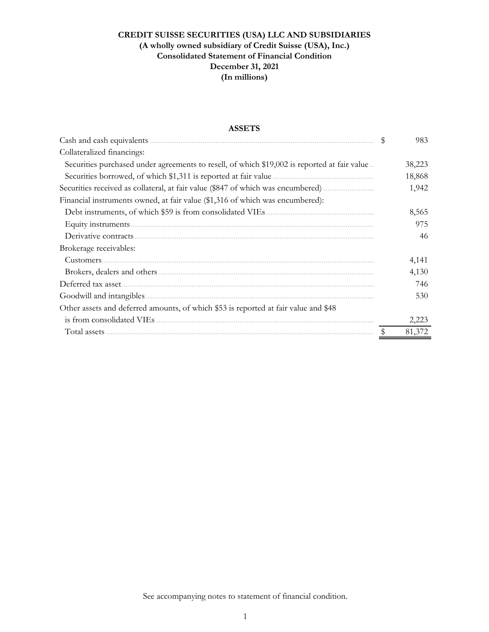## **ASSETS**

|                                                                                              | 983    |
|----------------------------------------------------------------------------------------------|--------|
| Collateralized financings:                                                                   |        |
| Securities purchased under agreements to resell, of which \$19,002 is reported at fair value | 38,223 |
|                                                                                              | 18,868 |
| Securities received as collateral, at fair value (\$847 of which was encumbered)             | 1,942  |
| Financial instruments owned, at fair value (\$1,316 of which was encumbered):                |        |
|                                                                                              | 8,565  |
|                                                                                              | 975    |
| Derivative contracts.                                                                        | 46     |
| Brokerage receivables:                                                                       |        |
| Customers.                                                                                   | 4,141  |
|                                                                                              | 4,130  |
|                                                                                              | 746    |
|                                                                                              | 530    |
| Other assets and deferred amounts, of which \$53 is reported at fair value and \$48          |        |
|                                                                                              | 2,223  |
|                                                                                              | 81,372 |

See accompanying notes to statement of financial condition.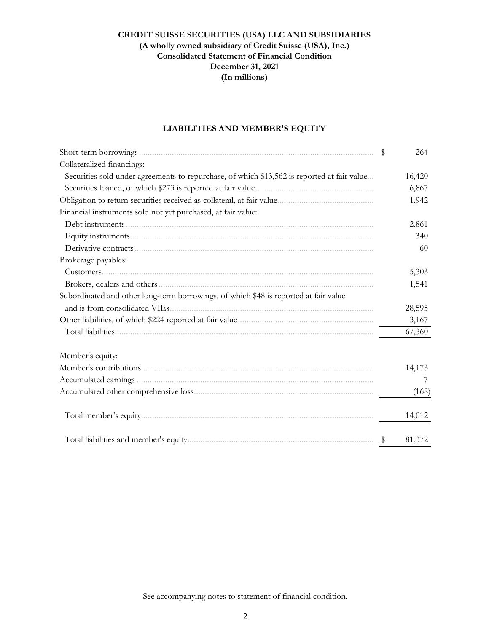# **LIABILITIES AND MEMBER'S EQUITY**

|                                                                                             | \$            | 264    |
|---------------------------------------------------------------------------------------------|---------------|--------|
| Collateralized financings:                                                                  |               |        |
| Securities sold under agreements to repurchase, of which \$13,562 is reported at fair value |               | 16,420 |
| Securities loaned, of which \$273 is reported at fair value                                 |               | 6,867  |
|                                                                                             |               | 1,942  |
| Financial instruments sold not yet purchased, at fair value:                                |               |        |
|                                                                                             |               | 2,861  |
|                                                                                             |               | 340    |
|                                                                                             |               | -60    |
| Brokerage payables:                                                                         |               |        |
|                                                                                             |               | 5,303  |
|                                                                                             |               | 1,541  |
| Subordinated and other long-term borrowings, of which \$48 is reported at fair value        |               |        |
| and is from consolidated VIEs                                                               |               | 28,595 |
|                                                                                             |               | 3,167  |
|                                                                                             |               | 67,360 |
| Member's equity:                                                                            |               |        |
|                                                                                             |               | 14,173 |
|                                                                                             |               | 7      |
|                                                                                             |               | (168)  |
|                                                                                             |               | 14,012 |
|                                                                                             | $\frac{1}{2}$ | 81,372 |

See accompanying notes to statement of financial condition.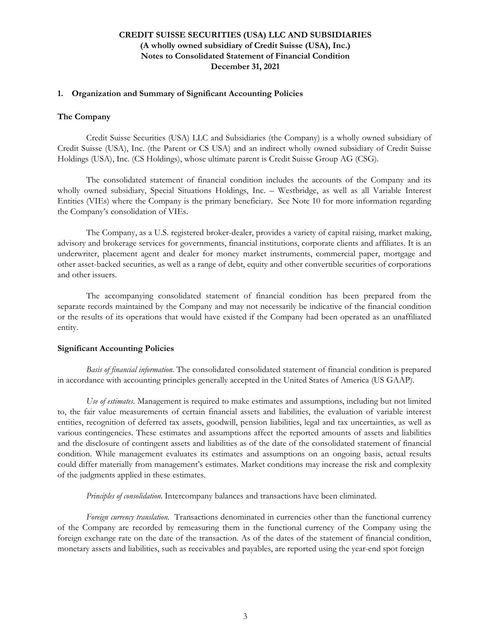### **1. Organization and Summary of Significant Accounting Policies**

### **The Company**

Credit Suisse Securities (USA) LLC and Subsidiaries (the Company) is a wholly owned subsidiary of Credit Suisse (USA), Inc. (the Parent or CS USA) and an indirect wholly owned subsidiary of Credit Suisse Holdings (USA), Inc. (CS Holdings), whose ultimate parent is Credit Suisse Group AG (CSG).

The consolidated statement of financial condition includes the accounts of the Company and its wholly owned subsidiary, Special Situations Holdings, Inc. – Westbridge, as well as all Variable Interest Entities (VIEs) where the Company is the primary beneficiary. See Note 10 for more information regarding the Company's consolidation of VIEs.

The Company, as a U.S. registered broker-dealer, provides a variety of capital raising, market making, advisory and brokerage services for governments, financial institutions, corporate clients and affiliates. It is an underwriter, placement agent and dealer for money market instruments, commercial paper, mortgage and other asset-backed securities, as well as a range of debt, equity and other convertible securities of corporations and other issuers.

The accompanying consolidated statement of financial condition has been prepared from the separate records maintained by the Company and may not necessarily be indicative of the financial condition or the results of its operations that would have existed if the Company had been operated as an unaffiliated entity.

#### **Significant Accounting Policies**

*Basis of financial information.* The consolidated consolidated statement of financial condition is prepared in accordance with accounting principles generally accepted in the United States of America (US GAAP).

*Use of estimates.* Management is required to make estimates and assumptions, including but not limited to, the fair value measurements of certain financial assets and liabilities, the evaluation of variable interest entities, recognition of deferred tax assets, goodwill, pension liabilities, legal and tax uncertainties, as well as various contingencies. These estimates and assumptions affect the reported amounts of assets and liabilities and the disclosure of contingent assets and liabilities as of the date of the consolidated statement of financial condition. While management evaluates its estimates and assumptions on an ongoing basis, actual results could differ materially from management's estimates. Market conditions may increase the risk and complexity of the judgments applied in these estimates.

*Principles of consolidation.* Intercompany balances and transactions have been eliminated.

*Foreign currency translation.* Transactions denominated in currencies other than the functional currency of the Company are recorded by remeasuring them in the functional currency of the Company using the foreign exchange rate on the date of the transaction. As of the dates of the statement of financial condition, monetary assets and liabilities, such as receivables and payables, are reported using the year-end spot foreign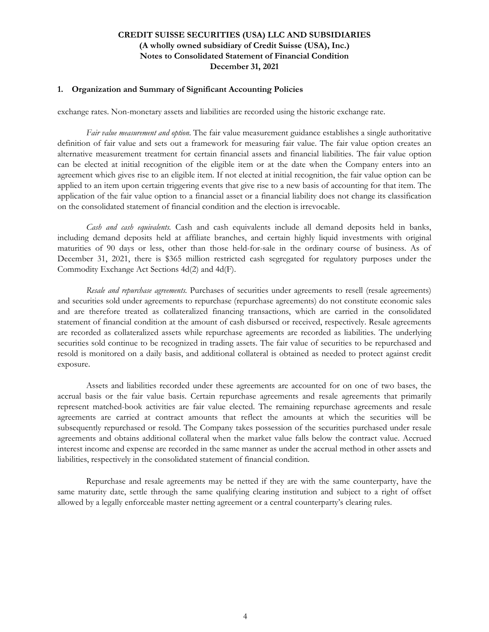#### **1. Organization and Summary of Significant Accounting Policies**

exchange rates. Non-monetary assets and liabilities are recorded using the historic exchange rate.

*Fair value measurement and option*. The fair value measurement guidance establishes a single authoritative definition of fair value and sets out a framework for measuring fair value. The fair value option creates an alternative measurement treatment for certain financial assets and financial liabilities. The fair value option can be elected at initial recognition of the eligible item or at the date when the Company enters into an agreement which gives rise to an eligible item. If not elected at initial recognition, the fair value option can be applied to an item upon certain triggering events that give rise to a new basis of accounting for that item. The application of the fair value option to a financial asset or a financial liability does not change its classification on the consolidated statement of financial condition and the election is irrevocable.

*Cash and cash equivalents.* Cash and cash equivalents include all demand deposits held in banks, including demand deposits held at affiliate branches, and certain highly liquid investments with original maturities of 90 days or less, other than those held-for-sale in the ordinary course of business. As of December 31, 2021, there is \$365 million restricted cash segregated for regulatory purposes under the Commodity Exchange Act Sections 4d(2) and 4d(F).

*Resale and repurchase agreements.* Purchases of securities under agreements to resell (resale agreements) and securities sold under agreements to repurchase (repurchase agreements) do not constitute economic sales and are therefore treated as collateralized financing transactions, which are carried in the consolidated statement of financial condition at the amount of cash disbursed or received, respectively. Resale agreements are recorded as collateralized assets while repurchase agreements are recorded as liabilities. The underlying securities sold continue to be recognized in trading assets. The fair value of securities to be repurchased and resold is monitored on a daily basis, and additional collateral is obtained as needed to protect against credit exposure.

Assets and liabilities recorded under these agreements are accounted for on one of two bases, the accrual basis or the fair value basis. Certain repurchase agreements and resale agreements that primarily represent matched-book activities are fair value elected. The remaining repurchase agreements and resale agreements are carried at contract amounts that reflect the amounts at which the securities will be subsequently repurchased or resold. The Company takes possession of the securities purchased under resale agreements and obtains additional collateral when the market value falls below the contract value. Accrued interest income and expense are recorded in the same manner as under the accrual method in other assets and liabilities, respectively in the consolidated statement of financial condition.

Repurchase and resale agreements may be netted if they are with the same counterparty, have the same maturity date, settle through the same qualifying clearing institution and subject to a right of offset allowed by a legally enforceable master netting agreement or a central counterparty's clearing rules.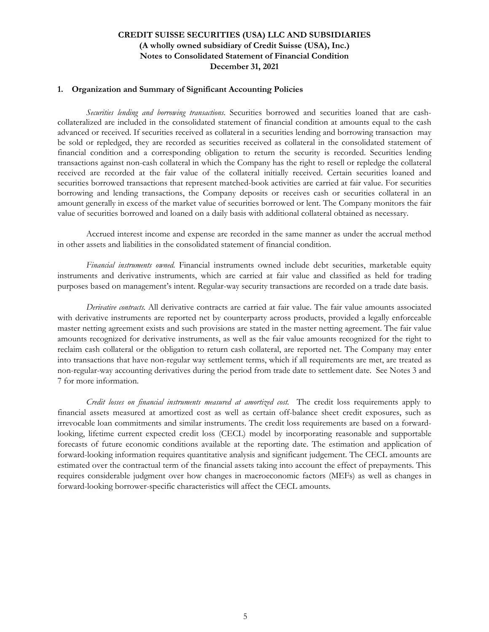#### **1. Organization and Summary of Significant Accounting Policies**

*Securities lending and borrowing transactions.* Securities borrowed and securities loaned that are cashcollateralized are included in the consolidated statement of financial condition at amounts equal to the cash advanced or received. If securities received as collateral in a securities lending and borrowing transaction may be sold or repledged, they are recorded as securities received as collateral in the consolidated statement of financial condition and a corresponding obligation to return the security is recorded. Securities lending transactions against non-cash collateral in which the Company has the right to resell or repledge the collateral received are recorded at the fair value of the collateral initially received. Certain securities loaned and securities borrowed transactions that represent matched-book activities are carried at fair value. For securities borrowing and lending transactions, the Company deposits or receives cash or securities collateral in an amount generally in excess of the market value of securities borrowed or lent. The Company monitors the fair value of securities borrowed and loaned on a daily basis with additional collateral obtained as necessary.

Accrued interest income and expense are recorded in the same manner as under the accrual method in other assets and liabilities in the consolidated statement of financial condition.

*Financial instruments owned*. Financial instruments owned include debt securities, marketable equity instruments and derivative instruments, which are carried at fair value and classified as held for trading purposes based on management's intent. Regular-way security transactions are recorded on a trade date basis.

*Derivative contracts.* All derivative contracts are carried at fair value. The fair value amounts associated with derivative instruments are reported net by counterparty across products, provided a legally enforceable master netting agreement exists and such provisions are stated in the master netting agreement. The fair value amounts recognized for derivative instruments, as well as the fair value amounts recognized for the right to reclaim cash collateral or the obligation to return cash collateral, are reported net. The Company may enter into transactions that have non-regular way settlement terms, which if all requirements are met, are treated as non-regular-way accounting derivatives during the period from trade date to settlement date. See Notes 3 and 7 for more information.

*Credit losses on financial instruments measured at amortized cost*. The credit loss requirements apply to financial assets measured at amortized cost as well as certain off-balance sheet credit exposures, such as irrevocable loan commitments and similar instruments. The credit loss requirements are based on a forwardlooking, lifetime current expected credit loss (CECL) model by incorporating reasonable and supportable forecasts of future economic conditions available at the reporting date. The estimation and application of forward-looking information requires quantitative analysis and significant judgement. The CECL amounts are estimated over the contractual term of the financial assets taking into account the effect of prepayments. This requires considerable judgment over how changes in macroeconomic factors (MEFs) as well as changes in forward-looking borrower-specific characteristics will affect the CECL amounts.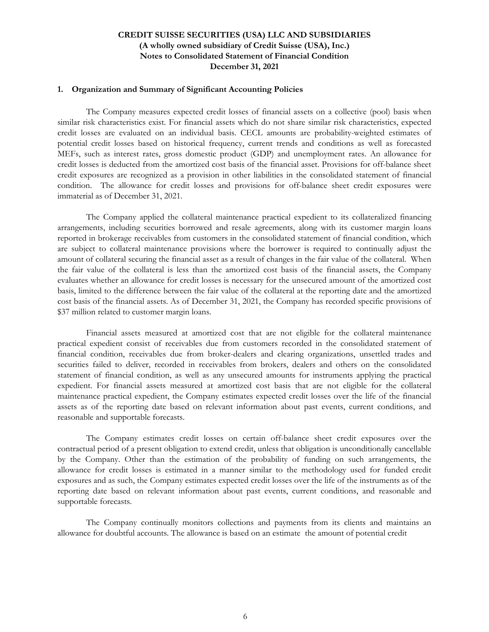#### **1. Organization and Summary of Significant Accounting Policies**

The Company measures expected credit losses of financial assets on a collective (pool) basis when similar risk characteristics exist. For financial assets which do not share similar risk characteristics, expected credit losses are evaluated on an individual basis. CECL amounts are probability-weighted estimates of potential credit losses based on historical frequency, current trends and conditions as well as forecasted MEFs, such as interest rates, gross domestic product (GDP) and unemployment rates. An allowance for credit losses is deducted from the amortized cost basis of the financial asset. Provisions for off-balance sheet credit exposures are recognized as a provision in other liabilities in the consolidated statement of financial condition. The allowance for credit losses and provisions for off-balance sheet credit exposures were immaterial as of December 31, 2021.

The Company applied the collateral maintenance practical expedient to its collateralized financing arrangements, including securities borrowed and resale agreements, along with its customer margin loans reported in brokerage receivables from customers in the consolidated statement of financial condition, which are subject to collateral maintenance provisions where the borrower is required to continually adjust the amount of collateral securing the financial asset as a result of changes in the fair value of the collateral. When the fair value of the collateral is less than the amortized cost basis of the financial assets, the Company evaluates whether an allowance for credit losses is necessary for the unsecured amount of the amortized cost basis, limited to the difference between the fair value of the collateral at the reporting date and the amortized cost basis of the financial assets. As of December 31, 2021, the Company has recorded specific provisions of \$37 million related to customer margin loans.

Financial assets measured at amortized cost that are not eligible for the collateral maintenance practical expedient consist of receivables due from customers recorded in the consolidated statement of financial condition, receivables due from broker-dealers and clearing organizations, unsettled trades and securities failed to deliver, recorded in receivables from brokers, dealers and others on the consolidated statement of financial condition, as well as any unsecured amounts for instruments applying the practical expedient. For financial assets measured at amortized cost basis that are not eligible for the collateral maintenance practical expedient, the Company estimates expected credit losses over the life of the financial assets as of the reporting date based on relevant information about past events, current conditions, and reasonable and supportable forecasts.

The Company estimates credit losses on certain off-balance sheet credit exposures over the contractual period of a present obligation to extend credit, unless that obligation is unconditionally cancellable by the Company. Other than the estimation of the probability of funding on such arrangements, the allowance for credit losses is estimated in a manner similar to the methodology used for funded credit exposures and as such, the Company estimates expected credit losses over the life of the instruments as of the reporting date based on relevant information about past events, current conditions, and reasonable and supportable forecasts.

The Company continually monitors collections and payments from its clients and maintains an allowance for doubtful accounts. The allowance is based on an estimate the amount of potential credit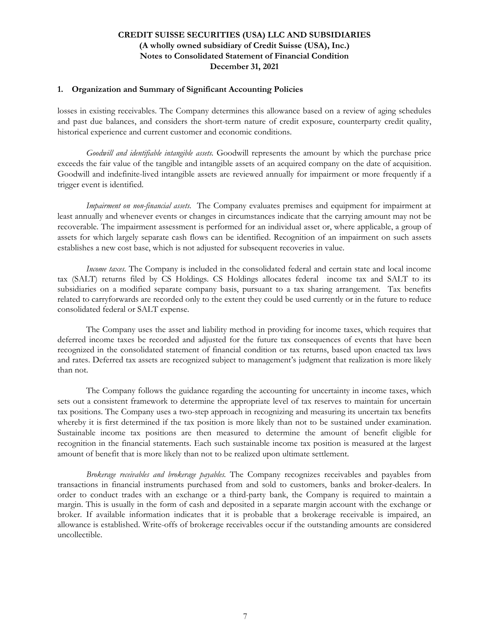### **1. Organization and Summary of Significant Accounting Policies**

losses in existing receivables. The Company determines this allowance based on a review of aging schedules and past due balances, and considers the short-term nature of credit exposure, counterparty credit quality, historical experience and current customer and economic conditions.

*Goodwill and identifiable intangible assets*. Goodwill represents the amount by which the purchase price exceeds the fair value of the tangible and intangible assets of an acquired company on the date of acquisition. Goodwill and indefinite-lived intangible assets are reviewed annually for impairment or more frequently if a trigger event is identified.

*Impairment on non-financial assets*. The Company evaluates premises and equipment for impairment at least annually and whenever events or changes in circumstances indicate that the carrying amount may not be recoverable. The impairment assessment is performed for an individual asset or, where applicable, a group of assets for which largely separate cash flows can be identified. Recognition of an impairment on such assets establishes a new cost base, which is not adjusted for subsequent recoveries in value.

*Income taxes.* The Company is included in the consolidated federal and certain state and local income tax (SALT) returns filed by CS Holdings. CS Holdings allocates federal income tax and SALT to its subsidiaries on a modified separate company basis, pursuant to a tax sharing arrangement. Tax benefits related to carryforwards are recorded only to the extent they could be used currently or in the future to reduce consolidated federal or SALT expense.

The Company uses the asset and liability method in providing for income taxes, which requires that deferred income taxes be recorded and adjusted for the future tax consequences of events that have been recognized in the consolidated statement of financial condition or tax returns, based upon enacted tax laws and rates. Deferred tax assets are recognized subject to management's judgment that realization is more likely than not.

The Company follows the guidance regarding the accounting for uncertainty in income taxes, which sets out a consistent framework to determine the appropriate level of tax reserves to maintain for uncertain tax positions. The Company uses a two-step approach in recognizing and measuring its uncertain tax benefits whereby it is first determined if the tax position is more likely than not to be sustained under examination. Sustainable income tax positions are then measured to determine the amount of benefit eligible for recognition in the financial statements. Each such sustainable income tax position is measured at the largest amount of benefit that is more likely than not to be realized upon ultimate settlement.

*Brokerage receivables and brokerage payables.* The Company recognizes receivables and payables from transactions in financial instruments purchased from and sold to customers, banks and broker-dealers. In order to conduct trades with an exchange or a third-party bank, the Company is required to maintain a margin. This is usually in the form of cash and deposited in a separate margin account with the exchange or broker. If available information indicates that it is probable that a brokerage receivable is impaired, an allowance is established. Write-offs of brokerage receivables occur if the outstanding amounts are considered uncollectible.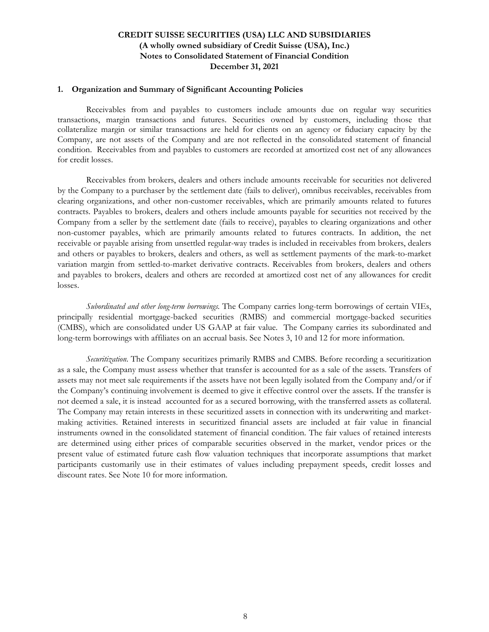#### **1. Organization and Summary of Significant Accounting Policies**

Receivables from and payables to customers include amounts due on regular way securities transactions, margin transactions and futures. Securities owned by customers, including those that collateralize margin or similar transactions are held for clients on an agency or fiduciary capacity by the Company, are not assets of the Company and are not reflected in the consolidated statement of financial condition. Receivables from and payables to customers are recorded at amortized cost net of any allowances for credit losses.

Receivables from brokers, dealers and others include amounts receivable for securities not delivered by the Company to a purchaser by the settlement date (fails to deliver), omnibus receivables, receivables from clearing organizations, and other non-customer receivables, which are primarily amounts related to futures contracts. Payables to brokers, dealers and others include amounts payable for securities not received by the Company from a seller by the settlement date (fails to receive), payables to clearing organizations and other non-customer payables, which are primarily amounts related to futures contracts. In addition, the net receivable or payable arising from unsettled regular-way trades is included in receivables from brokers, dealers and others or payables to brokers, dealers and others, as well as settlement payments of the mark-to-market variation margin from settled-to-market derivative contracts. Receivables from brokers, dealers and others and payables to brokers, dealers and others are recorded at amortized cost net of any allowances for credit losses.

*Subordinated and other long-term borrowings.* The Company carries long-term borrowings of certain VIEs, principally residential mortgage-backed securities (RMBS) and commercial mortgage-backed securities (CMBS), which are consolidated under US GAAP at fair value. The Company carries its subordinated and long-term borrowings with affiliates on an accrual basis. See Notes 3, 10 and 12 for more information.

*Securitization*. The Company securitizes primarily RMBS and CMBS. Before recording a securitization as a sale, the Company must assess whether that transfer is accounted for as a sale of the assets. Transfers of assets may not meet sale requirements if the assets have not been legally isolated from the Company and/or if the Company's continuing involvement is deemed to give it effective control over the assets. If the transfer is not deemed a sale, it is instead accounted for as a secured borrowing, with the transferred assets as collateral. The Company may retain interests in these securitized assets in connection with its underwriting and marketmaking activities. Retained interests in securitized financial assets are included at fair value in financial instruments owned in the consolidated statement of financial condition. The fair values of retained interests are determined using either prices of comparable securities observed in the market, vendor prices or the present value of estimated future cash flow valuation techniques that incorporate assumptions that market participants customarily use in their estimates of values including prepayment speeds, credit losses and discount rates. See Note 10 for more information.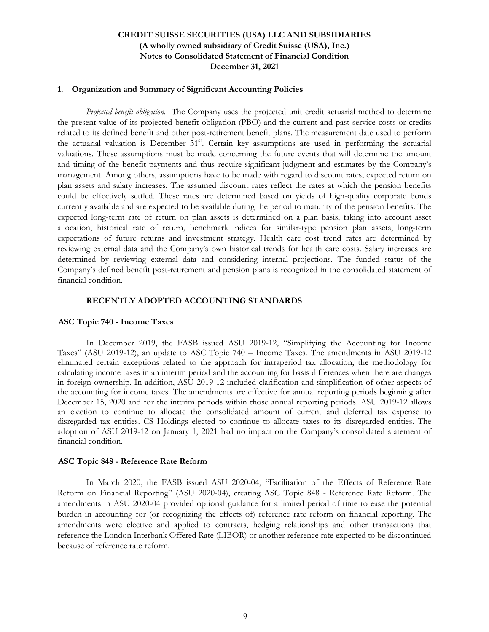#### **1. Organization and Summary of Significant Accounting Policies**

*Projected benefit obligation.* The Company uses the projected unit credit actuarial method to determine the present value of its projected benefit obligation (PBO) and the current and past service costs or credits related to its defined benefit and other post-retirement benefit plans. The measurement date used to perform the actuarial valuation is December 31<sup>st</sup>. Certain key assumptions are used in performing the actuarial valuations. These assumptions must be made concerning the future events that will determine the amount and timing of the benefit payments and thus require significant judgment and estimates by the Company's management. Among others, assumptions have to be made with regard to discount rates, expected return on plan assets and salary increases. The assumed discount rates reflect the rates at which the pension benefits could be effectively settled. These rates are determined based on yields of high-quality corporate bonds currently available and are expected to be available during the period to maturity of the pension benefits. The expected long-term rate of return on plan assets is determined on a plan basis, taking into account asset allocation, historical rate of return, benchmark indices for similar-type pension plan assets, long-term expectations of future returns and investment strategy. Health care cost trend rates are determined by reviewing external data and the Company's own historical trends for health care costs. Salary increases are determined by reviewing external data and considering internal projections. The funded status of the Company's defined benefit post-retirement and pension plans is recognized in the consolidated statement of financial condition.

### **RECENTLY ADOPTED ACCOUNTING STANDARDS**

#### **ASC Topic 740 - Income Taxes**

In December 2019, the FASB issued ASU 2019-12, "Simplifying the Accounting for Income Taxes" (ASU 2019-12), an update to ASC Topic 740 – Income Taxes. The amendments in ASU 2019-12 eliminated certain exceptions related to the approach for intraperiod tax allocation, the methodology for calculating income taxes in an interim period and the accounting for basis differences when there are changes in foreign ownership. In addition, ASU 2019-12 included clarification and simplification of other aspects of the accounting for income taxes. The amendments are effective for annual reporting periods beginning after December 15, 2020 and for the interim periods within those annual reporting periods. ASU 2019-12 allows an election to continue to allocate the consolidated amount of current and deferred tax expense to disregarded tax entities. CS Holdings elected to continue to allocate taxes to its disregarded entities. The adoption of ASU 2019-12 on January 1, 2021 had no impact on the Company's consolidated statement of financial condition.

#### **ASC Topic 848 - Reference Rate Reform**

 In March 2020, the FASB issued ASU 2020-04, "Facilitation of the Effects of Reference Rate Reform on Financial Reporting" (ASU 2020-04), creating ASC Topic 848 - Reference Rate Reform. The amendments in ASU 2020-04 provided optional guidance for a limited period of time to ease the potential burden in accounting for (or recognizing the effects of) reference rate reform on financial reporting. The amendments were elective and applied to contracts, hedging relationships and other transactions that reference the London Interbank Offered Rate (LIBOR) or another reference rate expected to be discontinued because of reference rate reform.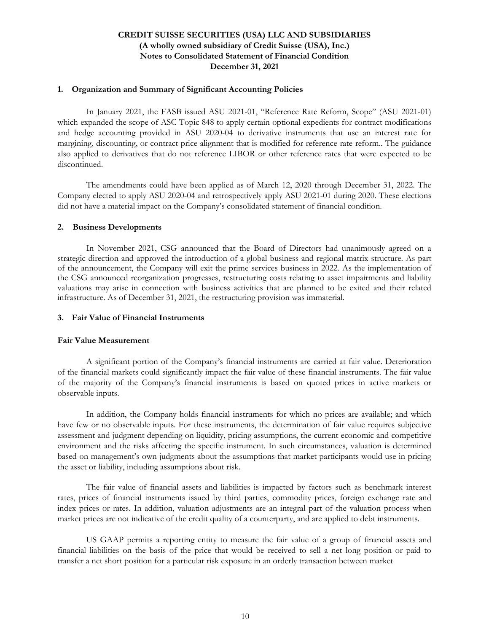#### **1. Organization and Summary of Significant Accounting Policies**

In January 2021, the FASB issued ASU 2021-01, "Reference Rate Reform, Scope" (ASU 2021-01) which expanded the scope of ASC Topic 848 to apply certain optional expedients for contract modifications and hedge accounting provided in ASU 2020-04 to derivative instruments that use an interest rate for margining, discounting, or contract price alignment that is modified for reference rate reform.. The guidance also applied to derivatives that do not reference LIBOR or other reference rates that were expected to be discontinued.

The amendments could have been applied as of March 12, 2020 through December 31, 2022. The Company elected to apply ASU 2020-04 and retrospectively apply ASU 2021-01 during 2020. These elections did not have a material impact on the Company's consolidated statement of financial condition.

#### **2. Business Developments**

In November 2021, CSG announced that the Board of Directors had unanimously agreed on a strategic direction and approved the introduction of a global business and regional matrix structure. As part of the announcement, the Company will exit the prime services business in 2022. As the implementation of the CSG announced reorganization progresses, restructuring costs relating to asset impairments and liability valuations may arise in connection with business activities that are planned to be exited and their related infrastructure. As of December 31, 2021, the restructuring provision was immaterial.

### **3. Fair Value of Financial Instruments**

### **Fair Value Measurement**

A significant portion of the Company's financial instruments are carried at fair value. Deterioration of the financial markets could significantly impact the fair value of these financial instruments. The fair value of the majority of the Company's financial instruments is based on quoted prices in active markets or observable inputs.

In addition, the Company holds financial instruments for which no prices are available; and which have few or no observable inputs. For these instruments, the determination of fair value requires subjective assessment and judgment depending on liquidity, pricing assumptions, the current economic and competitive environment and the risks affecting the specific instrument. In such circumstances, valuation is determined based on management's own judgments about the assumptions that market participants would use in pricing the asset or liability, including assumptions about risk.

The fair value of financial assets and liabilities is impacted by factors such as benchmark interest rates, prices of financial instruments issued by third parties, commodity prices, foreign exchange rate and index prices or rates. In addition, valuation adjustments are an integral part of the valuation process when market prices are not indicative of the credit quality of a counterparty, and are applied to debt instruments.

US GAAP permits a reporting entity to measure the fair value of a group of financial assets and financial liabilities on the basis of the price that would be received to sell a net long position or paid to transfer a net short position for a particular risk exposure in an orderly transaction between market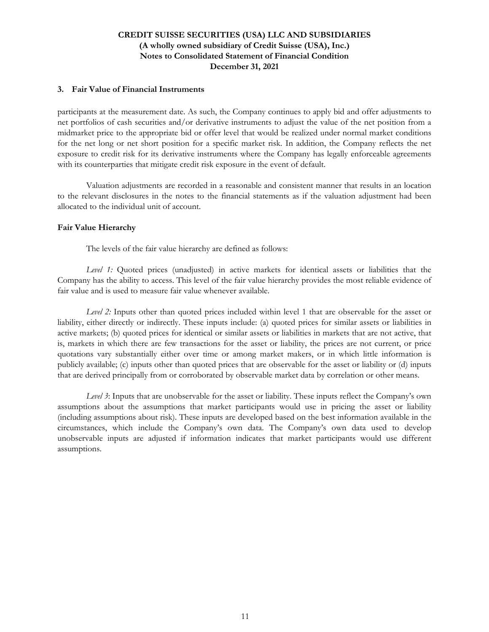### **3. Fair Value of Financial Instruments**

participants at the measurement date. As such, the Company continues to apply bid and offer adjustments to net portfolios of cash securities and/or derivative instruments to adjust the value of the net position from a midmarket price to the appropriate bid or offer level that would be realized under normal market conditions for the net long or net short position for a specific market risk. In addition, the Company reflects the net exposure to credit risk for its derivative instruments where the Company has legally enforceable agreements with its counterparties that mitigate credit risk exposure in the event of default.

Valuation adjustments are recorded in a reasonable and consistent manner that results in an location to the relevant disclosures in the notes to the financial statements as if the valuation adjustment had been allocated to the individual unit of account.

### **Fair Value Hierarchy**

The levels of the fair value hierarchy are defined as follows:

*Level 1:* Quoted prices (unadjusted) in active markets for identical assets or liabilities that the Company has the ability to access. This level of the fair value hierarchy provides the most reliable evidence of fair value and is used to measure fair value whenever available.

*Level 2:* Inputs other than quoted prices included within level 1 that are observable for the asset or liability, either directly or indirectly. These inputs include: (a) quoted prices for similar assets or liabilities in active markets; (b) quoted prices for identical or similar assets or liabilities in markets that are not active, that is, markets in which there are few transactions for the asset or liability, the prices are not current, or price quotations vary substantially either over time or among market makers, or in which little information is publicly available; (c) inputs other than quoted prices that are observable for the asset or liability or (d) inputs that are derived principally from or corroborated by observable market data by correlation or other means.

*Level 3*: Inputs that are unobservable for the asset or liability. These inputs reflect the Company's own assumptions about the assumptions that market participants would use in pricing the asset or liability (including assumptions about risk). These inputs are developed based on the best information available in the circumstances, which include the Company's own data. The Company's own data used to develop unobservable inputs are adjusted if information indicates that market participants would use different assumptions.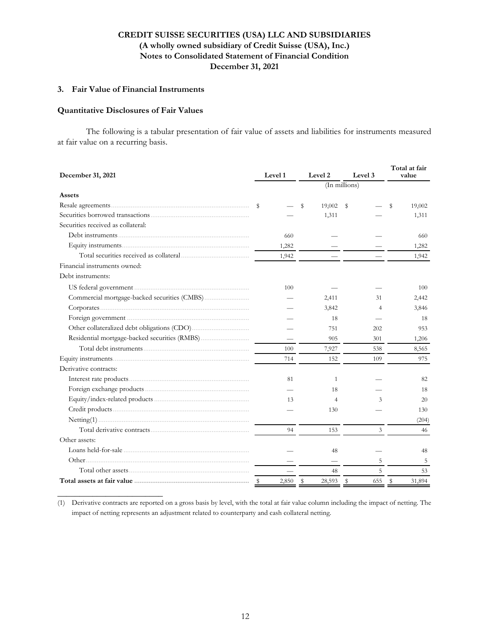### **3. Fair Value of Financial Instruments**

### **Quantitative Disclosures of Fair Values**

**\_\_\_\_\_\_\_\_\_\_\_\_\_\_\_\_\_\_\_\_\_\_\_\_**

 The following is a tabular presentation of fair value of assets and liabilities for instruments measured at fair value on a recurring basis.

| December 31, 2021                  | Level 1       | Level 2        | Level 3        | Total at fair<br>value |  |
|------------------------------------|---------------|----------------|----------------|------------------------|--|
|                                    |               | (In millions)  |                |                        |  |
| Assets                             |               |                |                |                        |  |
|                                    | s             | 19,002<br>S    | $^{\circ}$     | 19,002<br>S            |  |
|                                    |               | 1,311          |                | 1,311                  |  |
| Securities received as collateral: |               |                |                |                        |  |
|                                    | 660           |                |                | 660                    |  |
|                                    | 1,282         |                |                | 1,282                  |  |
|                                    | 1,942         |                |                | 1,942                  |  |
| Financial instruments owned:       |               |                |                |                        |  |
| Debt instruments:                  |               |                |                |                        |  |
|                                    | 100           |                |                | 100                    |  |
|                                    |               | 2,411          | 31             | 2,442                  |  |
|                                    |               | 3,842          | $\overline{4}$ | 3,846                  |  |
|                                    |               | 18             |                | 18                     |  |
|                                    |               | 751            | 202            | 953                    |  |
|                                    |               | 905            | 301            | 1,206                  |  |
|                                    | 100           | 7,927          | 538            | 8,565                  |  |
|                                    | 714           | 152            | 109            | 975                    |  |
| Derivative contracts:              |               |                |                |                        |  |
|                                    | 81            | $\mathbf{1}$   |                | 82                     |  |
|                                    |               | 18             |                | 18                     |  |
|                                    | 13            | $\overline{4}$ | 3              | 20                     |  |
|                                    |               | 130            |                | 130                    |  |
|                                    |               |                |                | (204)                  |  |
|                                    | 94            | 153            | 3              | 46                     |  |
| Other assets:                      |               |                |                |                        |  |
|                                    |               | 48             |                | 48                     |  |
|                                    |               |                | 5              | 5                      |  |
|                                    |               | 48             | 5              | 53                     |  |
|                                    | 2,850<br>- \$ | \$<br>28,593   | \$<br>655      | \$<br>31.894           |  |

(1) Derivative contracts are reported on a gross basis by level, with the total at fair value column including the impact of netting. The impact of netting represents an adjustment related to counterparty and cash collateral netting.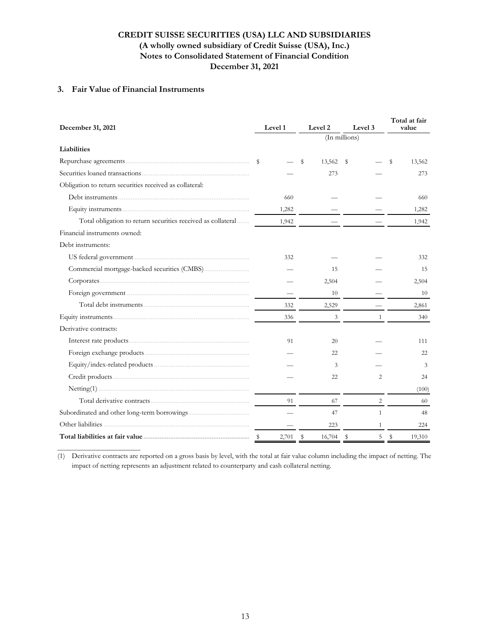### **3. Fair Value of Financial Instruments**

| December 31, 2021                                            | Level 1 | Level 2      | Level 3         | Total at fair<br>value |
|--------------------------------------------------------------|---------|--------------|-----------------|------------------------|
|                                                              |         |              | (In millions)   |                        |
| Liabilities                                                  |         |              |                 |                        |
|                                                              | -S      | s<br>13,562  | - \$            | 13,562<br>S            |
|                                                              |         | 273          |                 | 273                    |
| Obligation to return securities received as collateral:      |         |              |                 |                        |
|                                                              | 660     |              |                 | 660                    |
|                                                              | 1,282   |              |                 | 1,282                  |
| Total obligation to return securities received as collateral | 1,942   |              |                 | 1,942                  |
| Financial instruments owned:                                 |         |              |                 |                        |
| Debt instruments:                                            |         |              |                 |                        |
| US federal government                                        | 332     |              |                 | 332                    |
|                                                              |         | 15           |                 | 15                     |
|                                                              |         | 2,504        |                 | 2,504                  |
|                                                              |         | 10           |                 | 10                     |
|                                                              | 332     | 2,529        |                 | 2,861                  |
|                                                              | 336     | 3            | 1               | 340                    |
| Derivative contracts:                                        |         |              |                 |                        |
|                                                              | 91      | 20           |                 | 111                    |
|                                                              |         | 22           |                 | 22                     |
|                                                              |         | 3            |                 | 3                      |
|                                                              |         | 22           | 2               | 24                     |
|                                                              |         |              |                 | (100)                  |
|                                                              | 91      | 67           | 2               | 60                     |
|                                                              |         | 47           | $\mathbf{1}$    | 48                     |
|                                                              |         | 223          | $\mathbf{1}$    | 224                    |
|                                                              | 2,701   | \$<br>16,704 | 5<br>$^{\circ}$ | \$<br>19,310           |

**\_\_\_\_\_\_\_\_\_\_\_\_\_\_\_\_\_\_\_\_\_\_\_\_\_\_** (1) Derivative contracts are reported on a gross basis by level, with the total at fair value column including the impact of netting. The impact of netting represents an adjustment related to counterparty and cash collateral netting.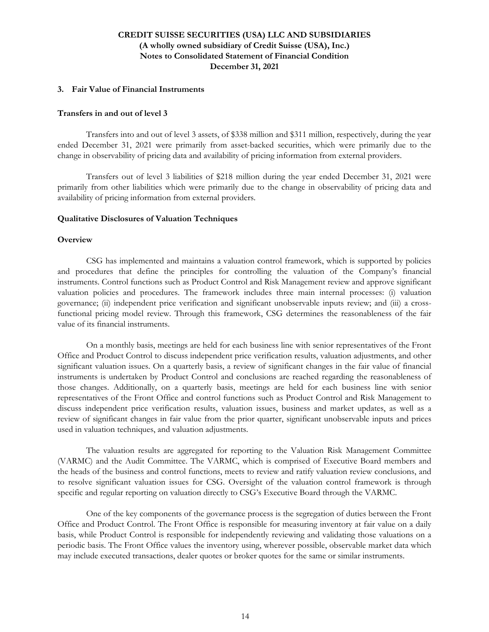#### **3. Fair Value of Financial Instruments**

#### **Transfers in and out of level 3**

Transfers into and out of level 3 assets, of \$338 million and \$311 million, respectively, during the year ended December 31, 2021 were primarily from asset-backed securities, which were primarily due to the change in observability of pricing data and availability of pricing information from external providers.

Transfers out of level 3 liabilities of \$218 million during the year ended December 31, 2021 were primarily from other liabilities which were primarily due to the change in observability of pricing data and availability of pricing information from external providers.

#### **Qualitative Disclosures of Valuation Techniques**

#### **Overview**

CSG has implemented and maintains a valuation control framework, which is supported by policies and procedures that define the principles for controlling the valuation of the Company's financial instruments. Control functions such as Product Control and Risk Management review and approve significant valuation policies and procedures. The framework includes three main internal processes: (i) valuation governance; (ii) independent price verification and significant unobservable inputs review; and (iii) a crossfunctional pricing model review. Through this framework, CSG determines the reasonableness of the fair value of its financial instruments.

On a monthly basis, meetings are held for each business line with senior representatives of the Front Office and Product Control to discuss independent price verification results, valuation adjustments, and other significant valuation issues. On a quarterly basis, a review of significant changes in the fair value of financial instruments is undertaken by Product Control and conclusions are reached regarding the reasonableness of those changes. Additionally, on a quarterly basis, meetings are held for each business line with senior representatives of the Front Office and control functions such as Product Control and Risk Management to discuss independent price verification results, valuation issues, business and market updates, as well as a review of significant changes in fair value from the prior quarter, significant unobservable inputs and prices used in valuation techniques, and valuation adjustments.

The valuation results are aggregated for reporting to the Valuation Risk Management Committee (VARMC) and the Audit Committee. The VARMC, which is comprised of Executive Board members and the heads of the business and control functions, meets to review and ratify valuation review conclusions, and to resolve significant valuation issues for CSG. Oversight of the valuation control framework is through specific and regular reporting on valuation directly to CSG's Executive Board through the VARMC.

One of the key components of the governance process is the segregation of duties between the Front Office and Product Control. The Front Office is responsible for measuring inventory at fair value on a daily basis, while Product Control is responsible for independently reviewing and validating those valuations on a periodic basis. The Front Office values the inventory using, wherever possible, observable market data which may include executed transactions, dealer quotes or broker quotes for the same or similar instruments.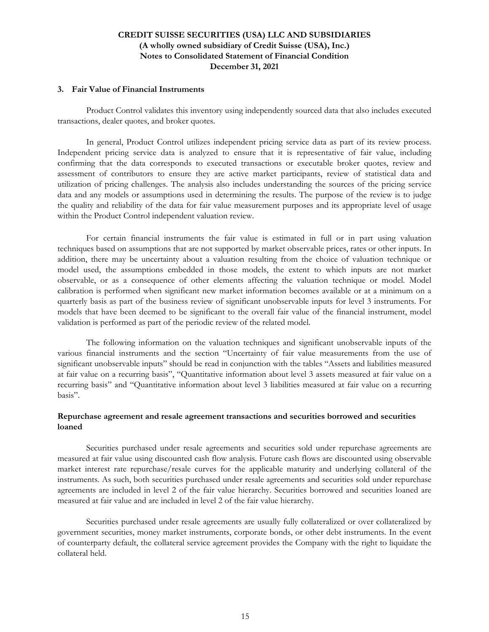#### **3. Fair Value of Financial Instruments**

Product Control validates this inventory using independently sourced data that also includes executed transactions, dealer quotes, and broker quotes.

In general, Product Control utilizes independent pricing service data as part of its review process. Independent pricing service data is analyzed to ensure that it is representative of fair value, including confirming that the data corresponds to executed transactions or executable broker quotes, review and assessment of contributors to ensure they are active market participants, review of statistical data and utilization of pricing challenges. The analysis also includes understanding the sources of the pricing service data and any models or assumptions used in determining the results. The purpose of the review is to judge the quality and reliability of the data for fair value measurement purposes and its appropriate level of usage within the Product Control independent valuation review.

For certain financial instruments the fair value is estimated in full or in part using valuation techniques based on assumptions that are not supported by market observable prices, rates or other inputs. In addition, there may be uncertainty about a valuation resulting from the choice of valuation technique or model used, the assumptions embedded in those models, the extent to which inputs are not market observable, or as a consequence of other elements affecting the valuation technique or model. Model calibration is performed when significant new market information becomes available or at a minimum on a quarterly basis as part of the business review of significant unobservable inputs for level 3 instruments. For models that have been deemed to be significant to the overall fair value of the financial instrument, model validation is performed as part of the periodic review of the related model.

The following information on the valuation techniques and significant unobservable inputs of the various financial instruments and the section "Uncertainty of fair value measurements from the use of significant unobservable inputs" should be read in conjunction with the tables "Assets and liabilities measured at fair value on a recurring basis", "Quantitative information about level 3 assets measured at fair value on a recurring basis" and "Quantitative information about level 3 liabilities measured at fair value on a recurring basis".

### **Repurchase agreement and resale agreement transactions and securities borrowed and securities loaned**

Securities purchased under resale agreements and securities sold under repurchase agreements are measured at fair value using discounted cash flow analysis. Future cash flows are discounted using observable market interest rate repurchase/resale curves for the applicable maturity and underlying collateral of the instruments. As such, both securities purchased under resale agreements and securities sold under repurchase agreements are included in level 2 of the fair value hierarchy. Securities borrowed and securities loaned are measured at fair value and are included in level 2 of the fair value hierarchy.

Securities purchased under resale agreements are usually fully collateralized or over collateralized by government securities, money market instruments, corporate bonds, or other debt instruments. In the event of counterparty default, the collateral service agreement provides the Company with the right to liquidate the collateral held.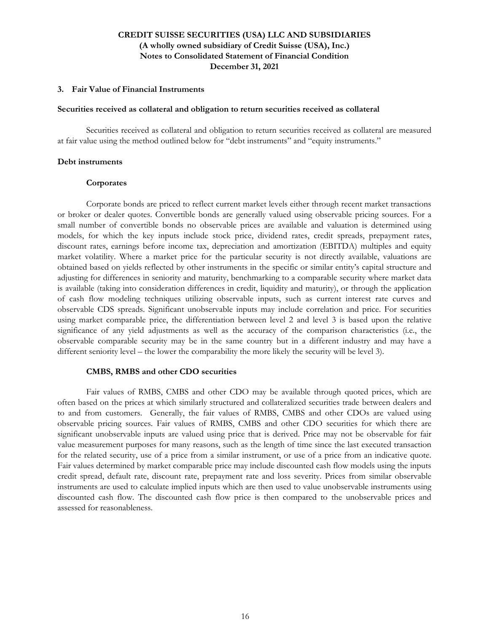#### **3. Fair Value of Financial Instruments**

#### **Securities received as collateral and obligation to return securities received as collateral**

Securities received as collateral and obligation to return securities received as collateral are measured at fair value using the method outlined below for "debt instruments" and "equity instruments."

#### **Debt instruments**

#### **Corporates**

Corporate bonds are priced to reflect current market levels either through recent market transactions or broker or dealer quotes. Convertible bonds are generally valued using observable pricing sources. For a small number of convertible bonds no observable prices are available and valuation is determined using models, for which the key inputs include stock price, dividend rates, credit spreads, prepayment rates, discount rates, earnings before income tax, depreciation and amortization (EBITDA) multiples and equity market volatility. Where a market price for the particular security is not directly available, valuations are obtained based on yields reflected by other instruments in the specific or similar entity's capital structure and adjusting for differences in seniority and maturity, benchmarking to a comparable security where market data is available (taking into consideration differences in credit, liquidity and maturity), or through the application of cash flow modeling techniques utilizing observable inputs, such as current interest rate curves and observable CDS spreads. Significant unobservable inputs may include correlation and price. For securities using market comparable price, the differentiation between level 2 and level 3 is based upon the relative significance of any yield adjustments as well as the accuracy of the comparison characteristics (i.e., the observable comparable security may be in the same country but in a different industry and may have a different seniority level – the lower the comparability the more likely the security will be level 3).

#### **CMBS, RMBS and other CDO securities**

Fair values of RMBS, CMBS and other CDO may be available through quoted prices, which are often based on the prices at which similarly structured and collateralized securities trade between dealers and to and from customers. Generally, the fair values of RMBS, CMBS and other CDOs are valued using observable pricing sources. Fair values of RMBS, CMBS and other CDO securities for which there are significant unobservable inputs are valued using price that is derived. Price may not be observable for fair value measurement purposes for many reasons, such as the length of time since the last executed transaction for the related security, use of a price from a similar instrument, or use of a price from an indicative quote. Fair values determined by market comparable price may include discounted cash flow models using the inputs credit spread, default rate, discount rate, prepayment rate and loss severity. Prices from similar observable instruments are used to calculate implied inputs which are then used to value unobservable instruments using discounted cash flow. The discounted cash flow price is then compared to the unobservable prices and assessed for reasonableness.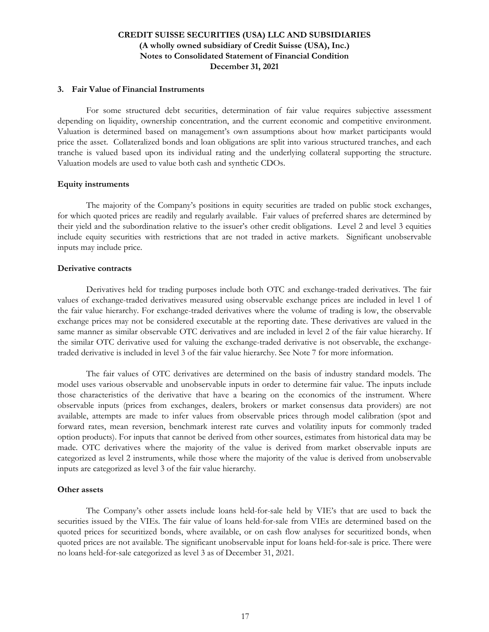#### **3. Fair Value of Financial Instruments**

For some structured debt securities, determination of fair value requires subjective assessment depending on liquidity, ownership concentration, and the current economic and competitive environment. Valuation is determined based on management's own assumptions about how market participants would price the asset. Collateralized bonds and loan obligations are split into various structured tranches, and each tranche is valued based upon its individual rating and the underlying collateral supporting the structure. Valuation models are used to value both cash and synthetic CDOs.

### **Equity instruments**

The majority of the Company's positions in equity securities are traded on public stock exchanges, for which quoted prices are readily and regularly available. Fair values of preferred shares are determined by their yield and the subordination relative to the issuer's other credit obligations. Level 2 and level 3 equities include equity securities with restrictions that are not traded in active markets. Significant unobservable inputs may include price.

### **Derivative contracts**

Derivatives held for trading purposes include both OTC and exchange-traded derivatives. The fair values of exchange-traded derivatives measured using observable exchange prices are included in level 1 of the fair value hierarchy. For exchange-traded derivatives where the volume of trading is low, the observable exchange prices may not be considered executable at the reporting date. These derivatives are valued in the same manner as similar observable OTC derivatives and are included in level 2 of the fair value hierarchy. If the similar OTC derivative used for valuing the exchange-traded derivative is not observable, the exchangetraded derivative is included in level 3 of the fair value hierarchy. See Note 7 for more information.

The fair values of OTC derivatives are determined on the basis of industry standard models. The model uses various observable and unobservable inputs in order to determine fair value. The inputs include those characteristics of the derivative that have a bearing on the economics of the instrument. Where observable inputs (prices from exchanges, dealers, brokers or market consensus data providers) are not available, attempts are made to infer values from observable prices through model calibration (spot and forward rates, mean reversion, benchmark interest rate curves and volatility inputs for commonly traded option products). For inputs that cannot be derived from other sources, estimates from historical data may be made. OTC derivatives where the majority of the value is derived from market observable inputs are categorized as level 2 instruments, while those where the majority of the value is derived from unobservable inputs are categorized as level 3 of the fair value hierarchy.

#### **Other assets**

The Company's other assets include loans held-for-sale held by VIE's that are used to back the securities issued by the VIEs. The fair value of loans held-for-sale from VIEs are determined based on the quoted prices for securitized bonds, where available, or on cash flow analyses for securitized bonds, when quoted prices are not available. The significant unobservable input for loans held-for-sale is price. There were no loans held-for-sale categorized as level 3 as of December 31, 2021.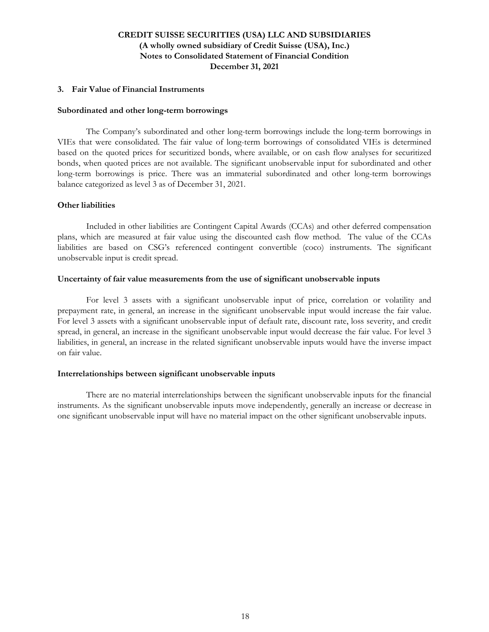### **3. Fair Value of Financial Instruments**

#### **Subordinated and other long-term borrowings**

The Company's subordinated and other long-term borrowings include the long-term borrowings in VIEs that were consolidated. The fair value of long-term borrowings of consolidated VIEs is determined based on the quoted prices for securitized bonds, where available, or on cash flow analyses for securitized bonds, when quoted prices are not available. The significant unobservable input for subordinated and other long-term borrowings is price. There was an immaterial subordinated and other long-term borrowings balance categorized as level 3 as of December 31, 2021.

### **Other liabilities**

Included in other liabilities are Contingent Capital Awards (CCAs) and other deferred compensation plans, which are measured at fair value using the discounted cash flow method. The value of the CCAs liabilities are based on CSG's referenced contingent convertible (coco) instruments. The significant unobservable input is credit spread.

### **Uncertainty of fair value measurements from the use of significant unobservable inputs**

For level 3 assets with a significant unobservable input of price, correlation or volatility and prepayment rate, in general, an increase in the significant unobservable input would increase the fair value. For level 3 assets with a significant unobservable input of default rate, discount rate, loss severity, and credit spread, in general, an increase in the significant unobservable input would decrease the fair value. For level 3 liabilities, in general, an increase in the related significant unobservable inputs would have the inverse impact on fair value.

#### **Interrelationships between significant unobservable inputs**

There are no material interrelationships between the significant unobservable inputs for the financial instruments. As the significant unobservable inputs move independently, generally an increase or decrease in one significant unobservable input will have no material impact on the other significant unobservable inputs.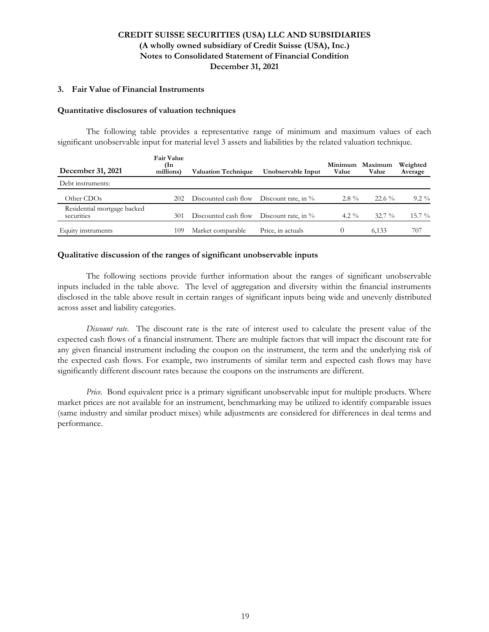### **3. Fair Value of Financial Instruments**

#### **Quantitative disclosures of valuation techniques**

The following table provides a representative range of minimum and maximum values of each significant unobservable input for material level 3 assets and liabilities by the related valuation technique.

| December 31, 2021                         | <b>Fair Value</b><br>(In<br>millions) | <b>Valuation Technique</b> | Unobservable Input     | Minimum<br>Value | Maximum<br>Value | Weighted<br>Average |
|-------------------------------------------|---------------------------------------|----------------------------|------------------------|------------------|------------------|---------------------|
| Debt instruments:                         |                                       |                            |                        |                  |                  |                     |
| Other CDOs                                | 202                                   | Discounted cash flow       | Discount rate, in $\%$ | $2.8\%$          | $22.6\%$         | $9.2\%$             |
| Residential mortgage backed<br>securities | 301                                   | Discounted cash flow       | Discount rate, in $\%$ | 4.2 $\%$         | $32.7\%$         | $15.7\%$            |
| Equity instruments                        | 109                                   | Market comparable          | Price, in actuals      | $\left( \right)$ | 6.133            | 707                 |

### **Qualitative discussion of the ranges of significant unobservable inputs**

The following sections provide further information about the ranges of significant unobservable inputs included in the table above. The level of aggregation and diversity within the financial instruments disclosed in the table above result in certain ranges of significant inputs being wide and unevenly distributed across asset and liability categories.

*Discount rate*. The discount rate is the rate of interest used to calculate the present value of the expected cash flows of a financial instrument. There are multiple factors that will impact the discount rate for any given financial instrument including the coupon on the instrument, the term and the underlying risk of the expected cash flows. For example, two instruments of similar term and expected cash flows may have significantly different discount rates because the coupons on the instruments are different.

*Price*. Bond equivalent price is a primary significant unobservable input for multiple products. Where market prices are not available for an instrument, benchmarking may be utilized to identify comparable issues (same industry and similar product mixes) while adjustments are considered for differences in deal terms and performance.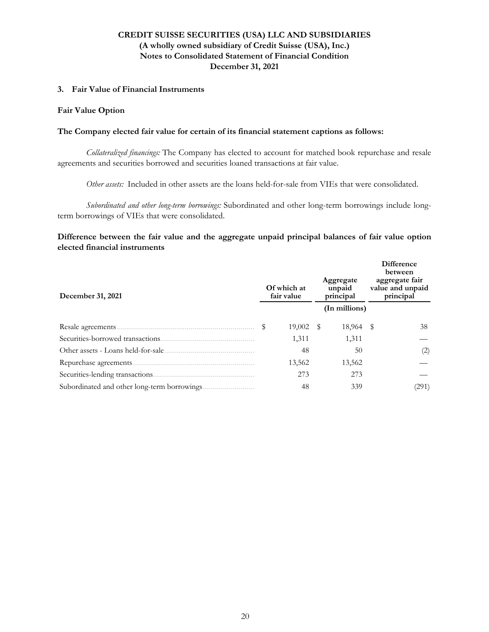### **3. Fair Value of Financial Instruments**

### **Fair Value Option**

### **The Company elected fair value for certain of its financial statement captions as follows:**

*Collateralized financings:* The Company has elected to account for matched book repurchase and resale agreements and securities borrowed and securities loaned transactions at fair value.

*Other assets:* Included in other assets are the loans held-for-sale from VIEs that were consolidated.

*Subordinated and other long-term borrowings:* Subordinated and other long-term borrowings include longterm borrowings of VIEs that were consolidated.

**Difference between the fair value and the aggregate unpaid principal balances of fair value option elected financial instruments**

| December 31, 2021                 | Of which at<br>fair value | Aggregate<br>unpaid<br>principal | Difference<br>between<br>aggregate fair<br>value and unpaid<br>principal |
|-----------------------------------|---------------------------|----------------------------------|--------------------------------------------------------------------------|
|                                   |                           | (In millions)                    |                                                                          |
|                                   | $19,002$ \$               | 18,964 \$                        | 38                                                                       |
| Securities-borrowed transactions. | 1,311                     | 1,311                            |                                                                          |
|                                   | 48                        | 50                               | (2)                                                                      |
|                                   | 13,562                    | 13,562                           |                                                                          |
|                                   | 273                       | 273                              |                                                                          |
|                                   | 48                        | 339                              | (291)                                                                    |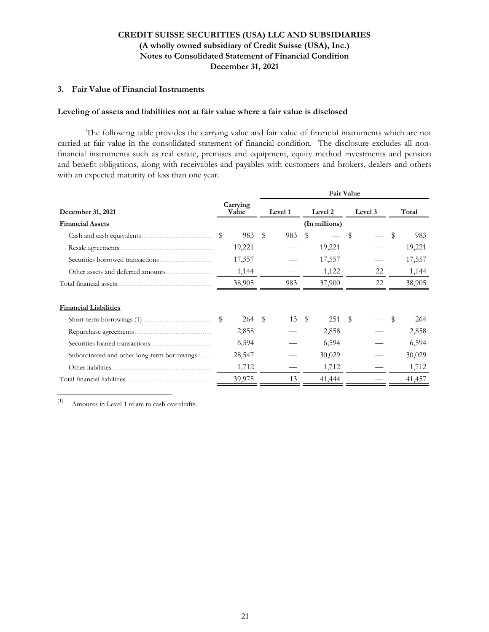### **3. Fair Value of Financial Instruments**

#### **Leveling of assets and liabilities not at fair value where a fair value is disclosed**

The following table provides the carrying value and fair value of financial instruments which are not carried at fair value in the consolidated statement of financial condition. The disclosure excludes all nonfinancial instruments such as real estate, premises and equipment, equity method investments and pension and benefit obligations, along with receivables and payables with customers and brokers, dealers and others with an expected maturity of less than one year.

|           | <b>Fair Value</b> |         |    |        |                          |    |         |        |
|-----------|-------------------|---------|----|--------|--------------------------|----|---------|--------|
|           |                   | Level 1 |    |        |                          |    |         | Total  |
|           |                   |         |    |        |                          |    |         |        |
| \$<br>983 | \$                | 983     | \$ |        | \$                       |    | \$      | 983    |
| 19,221    |                   |         |    | 19,221 |                          |    |         | 19,221 |
| 17,557    |                   |         |    | 17,557 |                          |    |         | 17,557 |
| 1,144     |                   |         |    | 1,122  |                          | 22 |         | 1,144  |
| 38,905    |                   | 983     |    | 37,900 |                          | 22 |         | 38,905 |
|           |                   |         |    |        |                          |    |         |        |
|           |                   |         |    |        |                          |    |         |        |
| 264       | $\mathbf{S}$      | 13      |    | 251    | $\mathbb S$              |    | \$      | 264    |
| 2,858     |                   |         |    | 2,858  |                          |    |         | 2,858  |
| 6,594     |                   |         |    | 6,594  |                          |    |         | 6,594  |
| 28,547    |                   |         |    | 30,029 |                          |    |         | 30,029 |
| 1,712     |                   |         |    | 1,712  |                          |    |         | 1,712  |
| 39,975    |                   | 13      |    | 41,444 |                          |    |         | 41,457 |
|           | Carrying<br>Value |         |    | \$     | Level 2<br>(In millions) |    | Level 3 |        |

(1) Amounts in Level 1 relate to cash overdrafts.

**\_\_\_\_\_\_\_\_\_\_\_\_\_\_\_\_\_\_\_\_\_\_\_\_\_\_**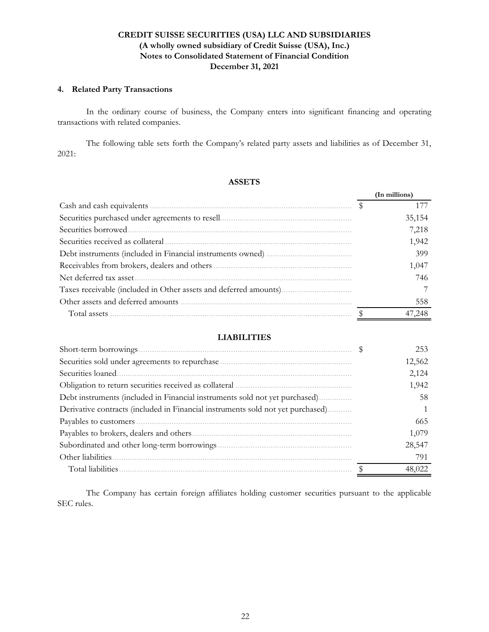### **4. Related Party Transactions**

 In the ordinary course of business, the Company enters into significant financing and operating transactions with related companies.

The following table sets forth the Company's related party assets and liabilities as of December 31, 2021:

### **ASSETS**

|                                   | (In millions) |
|-----------------------------------|---------------|
|                                   |               |
|                                   | 35,154        |
|                                   | 7,218         |
| Securities received as collateral | 1,942         |
|                                   | 399           |
|                                   | 1,047         |
| Net deferred tax asset.           | 746           |
|                                   |               |
|                                   | 558           |
|                                   | 47,248        |

### **LIABILITIES**

| Short-term borrowings                                                           | 253    |
|---------------------------------------------------------------------------------|--------|
|                                                                                 | 12,562 |
| Securities loaned.                                                              | 2,124  |
|                                                                                 | 1,942  |
| Debt instruments (included in Financial instruments sold not yet purchased)     | 58     |
| Derivative contracts (included in Financial instruments sold not yet purchased) |        |
|                                                                                 | 665    |
|                                                                                 | 1,079  |
|                                                                                 | 28,547 |
| Other liabilities                                                               | 791    |
| Total liabilities.                                                              | 48,022 |

The Company has certain foreign affiliates holding customer securities pursuant to the applicable SEC rules.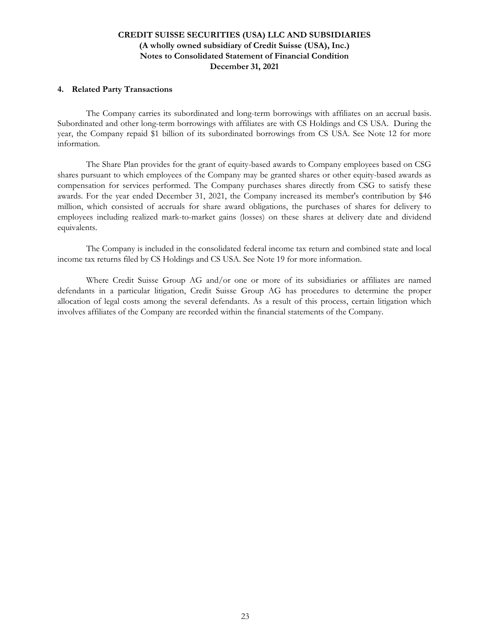### **4. Related Party Transactions**

The Company carries its subordinated and long-term borrowings with affiliates on an accrual basis. Subordinated and other long-term borrowings with affiliates are with CS Holdings and CS USA. During the year, the Company repaid \$1 billion of its subordinated borrowings from CS USA. See Note 12 for more information.

The Share Plan provides for the grant of equity-based awards to Company employees based on CSG shares pursuant to which employees of the Company may be granted shares or other equity-based awards as compensation for services performed. The Company purchases shares directly from CSG to satisfy these awards. For the year ended December 31, 2021, the Company increased its member's contribution by \$46 million, which consisted of accruals for share award obligations, the purchases of shares for delivery to employees including realized mark-to-market gains (losses) on these shares at delivery date and dividend equivalents.

 The Company is included in the consolidated federal income tax return and combined state and local income tax returns filed by CS Holdings and CS USA. See Note 19 for more information.

Where Credit Suisse Group AG and/or one or more of its subsidiaries or affiliates are named defendants in a particular litigation, Credit Suisse Group AG has procedures to determine the proper allocation of legal costs among the several defendants. As a result of this process, certain litigation which involves affiliates of the Company are recorded within the financial statements of the Company.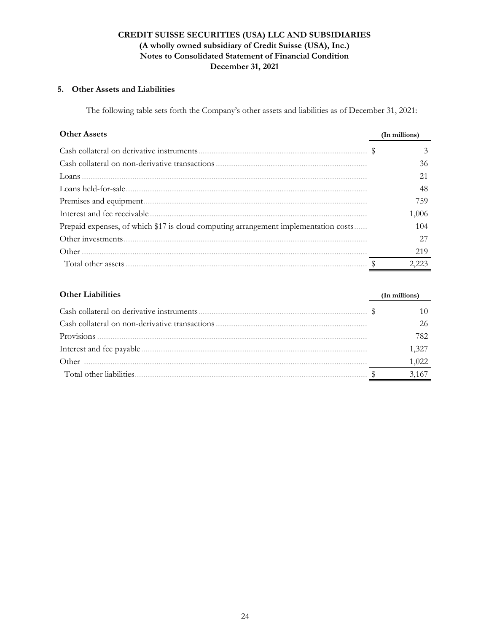## **5. Other Assets and Liabilities**

The following table sets forth the Company's other assets and liabilities as of December 31, 2021:

| <b>Other Assets</b>                                                                 | (In millions) |
|-------------------------------------------------------------------------------------|---------------|
|                                                                                     | 3             |
|                                                                                     | 36            |
|                                                                                     |               |
|                                                                                     | 48            |
|                                                                                     | 759           |
|                                                                                     | 1,006         |
| Prepaid expenses, of which \$17 is cloud computing arrangement implementation costs | 104           |
|                                                                                     | 27            |
|                                                                                     | 219           |
|                                                                                     | 2 223         |

| <b>Other Liabilities</b>                       | (In millions) |
|------------------------------------------------|---------------|
|                                                |               |
| Cash collateral on non-derivative transactions |               |
|                                                | 782           |
|                                                | 1,327         |
| Other                                          | 1,022         |
| Total other liabilities.                       |               |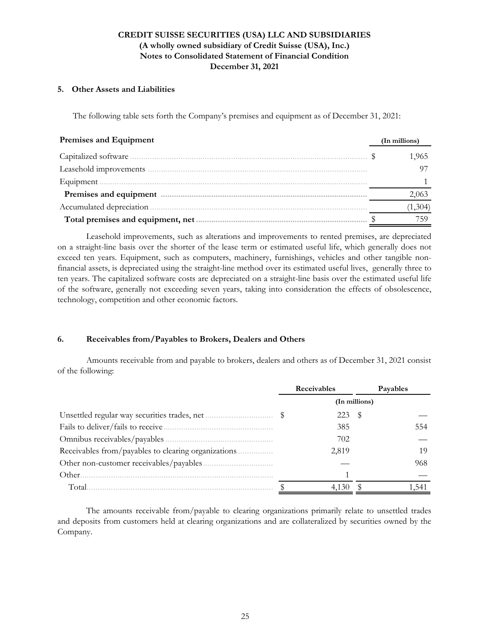### **5. Other Assets and Liabilities**

The following table sets forth the Company's premises and equipment as of December 31, 2021:

| Premises and Equipment                                                                                                                                                                                                             | (In millions) |
|------------------------------------------------------------------------------------------------------------------------------------------------------------------------------------------------------------------------------------|---------------|
| Capitalized software                                                                                                                                                                                                               | 1,965         |
|                                                                                                                                                                                                                                    |               |
| Equipment                                                                                                                                                                                                                          |               |
| Premises and equipment <i>manual communication</i> and communications and equipment and communications of the set of the set of the set of the set of the set of the set of the set of the set of the set of the set of the set of | 2,063         |
| Accumulated depreciation                                                                                                                                                                                                           | (1,304)       |
| Total premises and equipment, net                                                                                                                                                                                                  | 759           |

Leasehold improvements, such as alterations and improvements to rented premises, are depreciated on a straight-line basis over the shorter of the lease term or estimated useful life, which generally does not exceed ten years. Equipment, such as computers, machinery, furnishings, vehicles and other tangible nonfinancial assets, is depreciated using the straight-line method over its estimated useful lives, generally three to ten years. The capitalized software costs are depreciated on a straight-line basis over the estimated useful life of the software, generally not exceeding seven years, taking into consideration the effects of obsolescence, technology, competition and other economic factors.

### **6. Receivables from/Payables to Brokers, Dealers and Others**

Amounts receivable from and payable to brokers, dealers and others as of December 31, 2021 consist of the following:

|        |               | Receivables |     | Payables |  |  |
|--------|---------------|-------------|-----|----------|--|--|
|        | (In millions) |             |     |          |  |  |
|        |               | 223         | - S |          |  |  |
|        |               | 385         |     | 554      |  |  |
|        |               | 702         |     |          |  |  |
|        |               | 2,819       |     | 19       |  |  |
|        |               |             |     | 968      |  |  |
| Other. |               |             |     |          |  |  |
| Total  |               |             |     |          |  |  |

The amounts receivable from/payable to clearing organizations primarily relate to unsettled trades and deposits from customers held at clearing organizations and are collateralized by securities owned by the Company.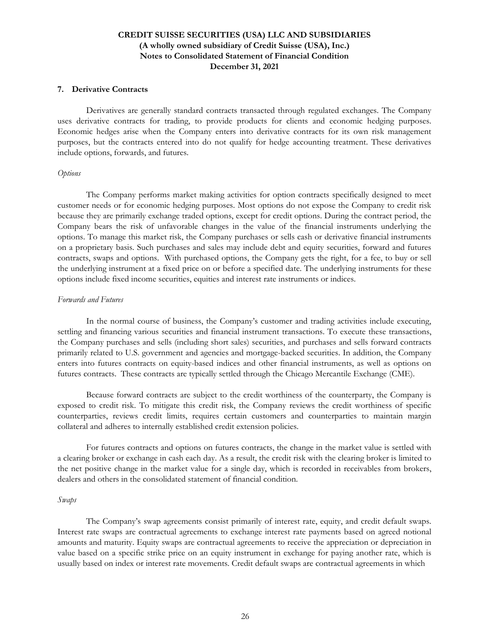### **7. Derivative Contracts**

Derivatives are generally standard contracts transacted through regulated exchanges. The Company uses derivative contracts for trading, to provide products for clients and economic hedging purposes. Economic hedges arise when the Company enters into derivative contracts for its own risk management purposes, but the contracts entered into do not qualify for hedge accounting treatment. These derivatives include options, forwards, and futures.

#### *Options*

The Company performs market making activities for option contracts specifically designed to meet customer needs or for economic hedging purposes. Most options do not expose the Company to credit risk because they are primarily exchange traded options, except for credit options. During the contract period, the Company bears the risk of unfavorable changes in the value of the financial instruments underlying the options. To manage this market risk, the Company purchases or sells cash or derivative financial instruments on a proprietary basis. Such purchases and sales may include debt and equity securities, forward and futures contracts, swaps and options. With purchased options, the Company gets the right, for a fee, to buy or sell the underlying instrument at a fixed price on or before a specified date. The underlying instruments for these options include fixed income securities, equities and interest rate instruments or indices.

#### *Forwards and Futures*

In the normal course of business, the Company's customer and trading activities include executing, settling and financing various securities and financial instrument transactions. To execute these transactions, the Company purchases and sells (including short sales) securities, and purchases and sells forward contracts primarily related to U.S. government and agencies and mortgage-backed securities. In addition, the Company enters into futures contracts on equity-based indices and other financial instruments, as well as options on futures contracts. These contracts are typically settled through the Chicago Mercantile Exchange (CME).

Because forward contracts are subject to the credit worthiness of the counterparty, the Company is exposed to credit risk. To mitigate this credit risk, the Company reviews the credit worthiness of specific counterparties, reviews credit limits, requires certain customers and counterparties to maintain margin collateral and adheres to internally established credit extension policies.

For futures contracts and options on futures contracts, the change in the market value is settled with a clearing broker or exchange in cash each day. As a result, the credit risk with the clearing broker is limited to the net positive change in the market value for a single day, which is recorded in receivables from brokers, dealers and others in the consolidated statement of financial condition.

#### *Swaps*

The Company's swap agreements consist primarily of interest rate, equity, and credit default swaps. Interest rate swaps are contractual agreements to exchange interest rate payments based on agreed notional amounts and maturity. Equity swaps are contractual agreements to receive the appreciation or depreciation in value based on a specific strike price on an equity instrument in exchange for paying another rate, which is usually based on index or interest rate movements. Credit default swaps are contractual agreements in which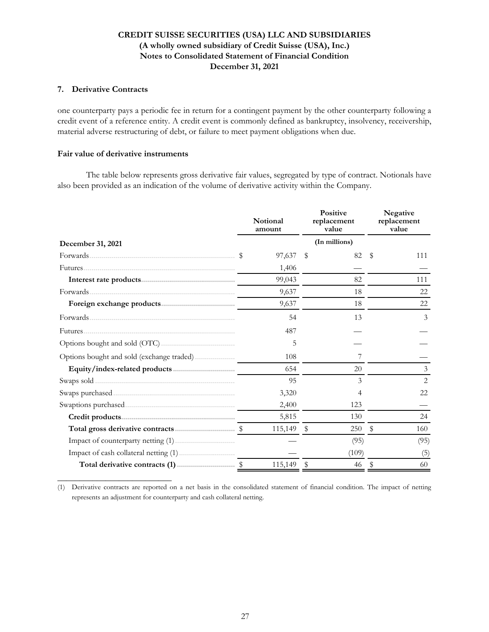### **7. Derivative Contracts**

one counterparty pays a periodic fee in return for a contingent payment by the other counterparty following a credit event of a reference entity. A credit event is commonly defined as bankruptcy, insolvency, receivership, material adverse restructuring of debt, or failure to meet payment obligations when due.

### **Fair value of derivative instruments**

**\_\_\_\_\_\_\_\_\_\_\_\_\_\_\_\_\_\_\_\_\_\_\_\_\_\_**

 The table below represents gross derivative fair values, segregated by type of contract. Notionals have also been provided as an indication of the volume of derivative activity within the Company.

| December 31, 2021 |  | Notional<br>amount |    | <b>Positive</b><br>replacement<br>value | Negative<br>replacement<br>value |      |  |
|-------------------|--|--------------------|----|-----------------------------------------|----------------------------------|------|--|
|                   |  |                    |    | (In millions)                           |                                  |      |  |
|                   |  | 97,637             | -S | 82                                      | S                                | 111  |  |
|                   |  | 1,406              |    |                                         |                                  |      |  |
|                   |  | 99,043             |    | 82                                      |                                  | 111  |  |
|                   |  | 9,637              |    | 18                                      |                                  | 22   |  |
|                   |  | 9,637              |    | 18                                      |                                  | 22   |  |
|                   |  | 54                 |    | 13                                      |                                  | 3    |  |
|                   |  | 487                |    |                                         |                                  |      |  |
|                   |  | 5                  |    |                                         |                                  |      |  |
|                   |  | 108                |    |                                         |                                  |      |  |
|                   |  | 654                |    | 20                                      |                                  | 3    |  |
|                   |  | 95                 |    | 3                                       |                                  | 2    |  |
|                   |  | 3,320              |    | 4                                       |                                  | 22   |  |
|                   |  | 2,400              |    | 123                                     |                                  |      |  |
|                   |  | 5,815              |    | 130                                     |                                  | 24   |  |
|                   |  | 115,149 \$         |    | 250                                     | - \$                             | 160  |  |
|                   |  |                    |    | (95)                                    |                                  | (95) |  |
|                   |  |                    |    | (109)                                   |                                  | (5)  |  |
|                   |  | 115,149 \$         |    | 46                                      | - \$                             | 60   |  |

(1) Derivative contracts are reported on a net basis in the consolidated statement of financial condition. The impact of netting represents an adjustment for counterparty and cash collateral netting.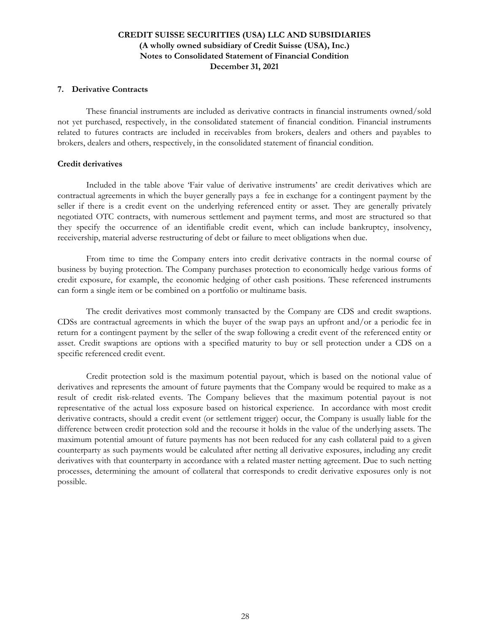#### **7. Derivative Contracts**

These financial instruments are included as derivative contracts in financial instruments owned/sold not yet purchased, respectively, in the consolidated statement of financial condition. Financial instruments related to futures contracts are included in receivables from brokers, dealers and others and payables to brokers, dealers and others, respectively, in the consolidated statement of financial condition.

### **Credit derivatives**

Included in the table above 'Fair value of derivative instruments' are credit derivatives which are contractual agreements in which the buyer generally pays a fee in exchange for a contingent payment by the seller if there is a credit event on the underlying referenced entity or asset. They are generally privately negotiated OTC contracts, with numerous settlement and payment terms, and most are structured so that they specify the occurrence of an identifiable credit event, which can include bankruptcy, insolvency, receivership, material adverse restructuring of debt or failure to meet obligations when due.

From time to time the Company enters into credit derivative contracts in the normal course of business by buying protection. The Company purchases protection to economically hedge various forms of credit exposure, for example, the economic hedging of other cash positions. These referenced instruments can form a single item or be combined on a portfolio or multiname basis.

The credit derivatives most commonly transacted by the Company are CDS and credit swaptions. CDSs are contractual agreements in which the buyer of the swap pays an upfront and/or a periodic fee in return for a contingent payment by the seller of the swap following a credit event of the referenced entity or asset. Credit swaptions are options with a specified maturity to buy or sell protection under a CDS on a specific referenced credit event.

Credit protection sold is the maximum potential payout, which is based on the notional value of derivatives and represents the amount of future payments that the Company would be required to make as a result of credit risk-related events. The Company believes that the maximum potential payout is not representative of the actual loss exposure based on historical experience. In accordance with most credit derivative contracts, should a credit event (or settlement trigger) occur, the Company is usually liable for the difference between credit protection sold and the recourse it holds in the value of the underlying assets. The maximum potential amount of future payments has not been reduced for any cash collateral paid to a given counterparty as such payments would be calculated after netting all derivative exposures, including any credit derivatives with that counterparty in accordance with a related master netting agreement. Due to such netting processes, determining the amount of collateral that corresponds to credit derivative exposures only is not possible.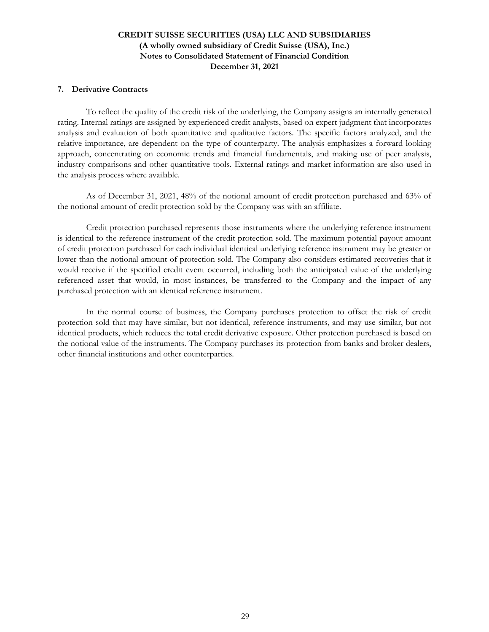### **7. Derivative Contracts**

To reflect the quality of the credit risk of the underlying, the Company assigns an internally generated rating. Internal ratings are assigned by experienced credit analysts, based on expert judgment that incorporates analysis and evaluation of both quantitative and qualitative factors. The specific factors analyzed, and the relative importance, are dependent on the type of counterparty. The analysis emphasizes a forward looking approach, concentrating on economic trends and financial fundamentals, and making use of peer analysis, industry comparisons and other quantitative tools. External ratings and market information are also used in the analysis process where available.

As of December 31, 2021, 48% of the notional amount of credit protection purchased and 63% of the notional amount of credit protection sold by the Company was with an affiliate.

 Credit protection purchased represents those instruments where the underlying reference instrument is identical to the reference instrument of the credit protection sold. The maximum potential payout amount of credit protection purchased for each individual identical underlying reference instrument may be greater or lower than the notional amount of protection sold. The Company also considers estimated recoveries that it would receive if the specified credit event occurred, including both the anticipated value of the underlying referenced asset that would, in most instances, be transferred to the Company and the impact of any purchased protection with an identical reference instrument.

 In the normal course of business, the Company purchases protection to offset the risk of credit protection sold that may have similar, but not identical, reference instruments, and may use similar, but not identical products, which reduces the total credit derivative exposure. Other protection purchased is based on the notional value of the instruments. The Company purchases its protection from banks and broker dealers, other financial institutions and other counterparties.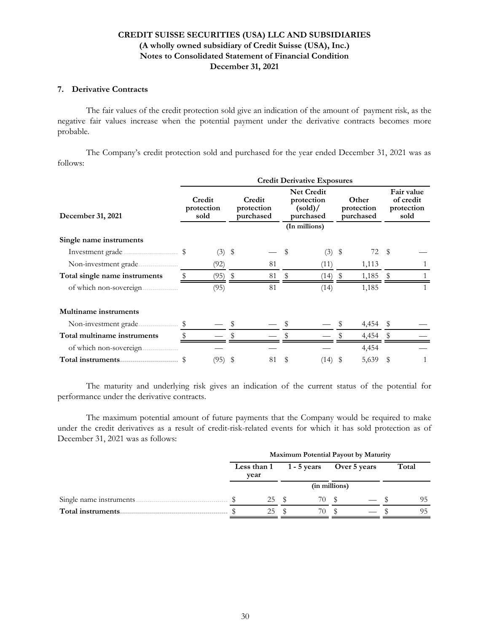### **7. Derivative Contracts**

The fair values of the credit protection sold give an indication of the amount of payment risk, as the negative fair values increase when the potential payment under the derivative contracts becomes more probable.

The Company's credit protection sold and purchased for the year ended December 31, 2021 was as follows:

|                               | <b>Credit Derivative Exposures</b> |                              |    |                                   |    |                                                          |      |                                  |    |                                               |  |
|-------------------------------|------------------------------------|------------------------------|----|-----------------------------------|----|----------------------------------------------------------|------|----------------------------------|----|-----------------------------------------------|--|
| December 31, 2021             |                                    | Credit<br>protection<br>sold |    | Credit<br>protection<br>purchased |    | <b>Net Credit</b><br>protection<br>(sold) /<br>purchased |      | Other<br>protection<br>purchased |    | Fair value<br>of credit<br>protection<br>sold |  |
|                               |                                    |                              |    |                                   |    | (In millions)                                            |      |                                  |    |                                               |  |
| Single name instruments       |                                    |                              |    |                                   |    |                                                          |      |                                  |    |                                               |  |
|                               |                                    | (3)                          | \$ |                                   | \$ | (3)                                                      | - \$ | 72 \$                            |    |                                               |  |
| Non-investment grade<br>.     |                                    | (92)                         |    | 81                                |    | (11)                                                     |      | 1,113                            |    |                                               |  |
| Total single name instruments |                                    | (95)                         | \$ | 81                                |    | (14)                                                     |      | 1,185                            |    |                                               |  |
| of which non-sovereign.<br>.  |                                    | (95)                         |    | 81                                |    | (14)                                                     |      | 1,185                            |    |                                               |  |
| <b>Multiname</b> instruments  |                                    |                              |    |                                   |    |                                                          |      |                                  |    |                                               |  |
| Non-investment grade.         |                                    |                              |    |                                   |    |                                                          |      | 4,454                            |    |                                               |  |
| Total multiname instruments   |                                    |                              |    |                                   |    |                                                          |      | 4,454                            |    |                                               |  |
| of which non-sovereign.       |                                    |                              |    |                                   |    |                                                          |      | 4,454                            |    |                                               |  |
|                               |                                    | (95)                         | \$ | 81                                | \$ | (14)                                                     | - \$ | 5,639                            | \$ |                                               |  |

The maturity and underlying risk gives an indication of the current status of the potential for performance under the derivative contracts.

The maximum potential amount of future payments that the Company would be required to make under the credit derivatives as a result of credit-risk-related events for which it has sold protection as of December 31, 2021 was as follows:

|                          | Maximum Potential Payout by Maturity |               |  |             |              |  |       |    |  |
|--------------------------|--------------------------------------|---------------|--|-------------|--------------|--|-------|----|--|
|                          | Less than 1<br>year                  |               |  | 1 - 5 years | Over 5 years |  | Total |    |  |
|                          |                                      | (in millions) |  |             |              |  |       |    |  |
| Single name instruments. |                                      | 25            |  | 70          |              |  |       | 95 |  |
| Total instruments.       |                                      | 25            |  | 70          |              |  |       | 95 |  |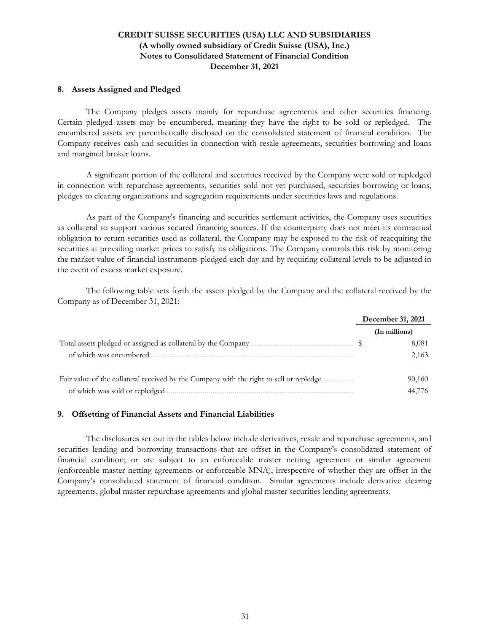### **8. Assets Assigned and Pledged**

The Company pledges assets mainly for repurchase agreements and other securities financing. Certain pledged assets may be encumbered, meaning they have the right to be sold or repledged. The encumbered assets are parenthetically disclosed on the consolidated statement of financial condition. The Company receives cash and securities in connection with resale agreements, securities borrowing and loans and margined broker loans.

 A significant portion of the collateral and securities received by the Company were sold or repledged in connection with repurchase agreements, securities sold not yet purchased, securities borrowing or loans, pledges to clearing organizations and segregation requirements under securities laws and regulations.

As part of the Company's financing and securities settlement activities, the Company uses securities as collateral to support various secured financing sources. If the counterparty does not meet its contractual obligation to return securities used as collateral, the Company may be exposed to the risk of reacquiring the securities at prevailing market prices to satisfy its obligations. The Company controls this risk by monitoring the market value of financial instruments pledged each day and by requiring collateral levels to be adjusted in the event of excess market exposure.

The following table sets forth the assets pledged by the Company and the collateral received by the Company as of December 31, 2021:

|                                                                                          | December 31, 2021 |               |
|------------------------------------------------------------------------------------------|-------------------|---------------|
|                                                                                          |                   | (In millions) |
|                                                                                          |                   | 8,081         |
| of which was encumbered.                                                                 |                   | 2,163         |
| Fair value of the collateral received by the Company with the right to sell or repledge. |                   | 90,160        |
| of which was sold or repledged                                                           |                   | 44.776        |

### **9. Offsetting of Financial Assets and Financial Liabilities**

The disclosures set out in the tables below include derivatives, resale and repurchase agreements, and securities lending and borrowing transactions that are offset in the Company's consolidated statement of financial condition; or are subject to an enforceable master netting agreement or similar agreement (enforceable master netting agreements or enforceable MNA), irrespective of whether they are offset in the Company's consolidated statement of financial condition. Similar agreements include derivative clearing agreements, global master repurchase agreements and global master securities lending agreements.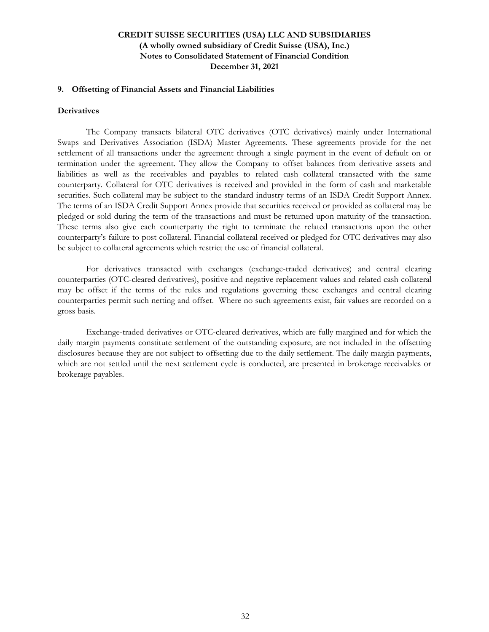### **9. Offsetting of Financial Assets and Financial Liabilities**

#### **Derivatives**

The Company transacts bilateral OTC derivatives (OTC derivatives) mainly under International Swaps and Derivatives Association (ISDA) Master Agreements. These agreements provide for the net settlement of all transactions under the agreement through a single payment in the event of default on or termination under the agreement. They allow the Company to offset balances from derivative assets and liabilities as well as the receivables and payables to related cash collateral transacted with the same counterparty. Collateral for OTC derivatives is received and provided in the form of cash and marketable securities. Such collateral may be subject to the standard industry terms of an ISDA Credit Support Annex. The terms of an ISDA Credit Support Annex provide that securities received or provided as collateral may be pledged or sold during the term of the transactions and must be returned upon maturity of the transaction. These terms also give each counterparty the right to terminate the related transactions upon the other counterparty's failure to post collateral. Financial collateral received or pledged for OTC derivatives may also be subject to collateral agreements which restrict the use of financial collateral.

For derivatives transacted with exchanges (exchange-traded derivatives) and central clearing counterparties (OTC-cleared derivatives), positive and negative replacement values and related cash collateral may be offset if the terms of the rules and regulations governing these exchanges and central clearing counterparties permit such netting and offset. Where no such agreements exist, fair values are recorded on a gross basis.

Exchange-traded derivatives or OTC-cleared derivatives, which are fully margined and for which the daily margin payments constitute settlement of the outstanding exposure, are not included in the offsetting disclosures because they are not subject to offsetting due to the daily settlement. The daily margin payments, which are not settled until the next settlement cycle is conducted, are presented in brokerage receivables or brokerage payables.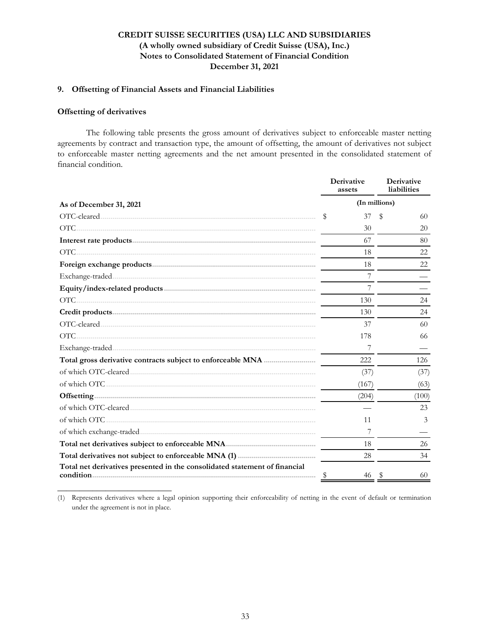### **9. Offsetting of Financial Assets and Financial Liabilities**

#### **Offsetting of derivatives**

**\_\_\_\_\_\_\_\_\_\_\_\_\_\_\_\_\_\_\_\_\_\_\_\_\_\_**

The following table presents the gross amount of derivatives subject to enforceable master netting agreements by contract and transaction type, the amount of offsetting, the amount of derivatives not subject to enforceable master netting agreements and the net amount presented in the consolidated statement of financial condition.

|                                                                            |               | Derivative<br>assets | Derivative<br>liabilities |       |  |  |
|----------------------------------------------------------------------------|---------------|----------------------|---------------------------|-------|--|--|
| As of December 31, 2021                                                    | (In millions) |                      |                           |       |  |  |
|                                                                            | \$            | 37                   | \$                        | 60    |  |  |
| $\overline{\text{OTC}}$                                                    |               | 30                   |                           | 20    |  |  |
|                                                                            |               | 67                   |                           | 80    |  |  |
|                                                                            |               | 18                   |                           | 22    |  |  |
|                                                                            |               | 18                   |                           | 22    |  |  |
|                                                                            |               |                      |                           |       |  |  |
|                                                                            |               | 7                    |                           |       |  |  |
|                                                                            |               | 130                  |                           | 24    |  |  |
|                                                                            |               | 130                  |                           | 24    |  |  |
|                                                                            |               | 37                   |                           | 60    |  |  |
| $\overline{\text{OTC}}$                                                    |               | 178                  |                           | 66    |  |  |
|                                                                            |               | 7                    |                           |       |  |  |
|                                                                            |               | 222                  |                           | 126   |  |  |
|                                                                            |               | (37)                 |                           | (37)  |  |  |
|                                                                            |               | (167)                |                           | (63)  |  |  |
|                                                                            |               | (204)                |                           | (100) |  |  |
|                                                                            |               |                      |                           | 23    |  |  |
|                                                                            |               | 11                   |                           | 3     |  |  |
|                                                                            |               | 7                    |                           |       |  |  |
|                                                                            |               | 18                   |                           | 26    |  |  |
|                                                                            |               | 28                   |                           | 34    |  |  |
| Total net derivatives presented in the consolidated statement of financial |               | 46                   |                           | 60    |  |  |

(1) Represents derivatives where a legal opinion supporting their enforceability of netting in the event of default or termination under the agreement is not in place.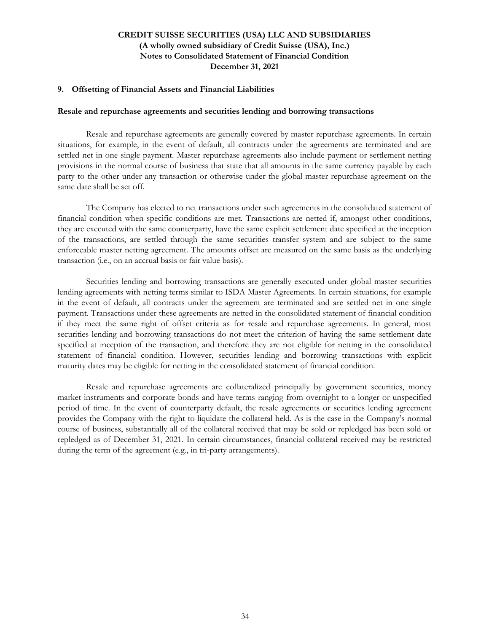### **9. Offsetting of Financial Assets and Financial Liabilities**

#### **Resale and repurchase agreements and securities lending and borrowing transactions**

Resale and repurchase agreements are generally covered by master repurchase agreements. In certain situations, for example, in the event of default, all contracts under the agreements are terminated and are settled net in one single payment. Master repurchase agreements also include payment or settlement netting provisions in the normal course of business that state that all amounts in the same currency payable by each party to the other under any transaction or otherwise under the global master repurchase agreement on the same date shall be set off.

The Company has elected to net transactions under such agreements in the consolidated statement of financial condition when specific conditions are met. Transactions are netted if, amongst other conditions, they are executed with the same counterparty, have the same explicit settlement date specified at the inception of the transactions, are settled through the same securities transfer system and are subject to the same enforceable master netting agreement. The amounts offset are measured on the same basis as the underlying transaction (i.e., on an accrual basis or fair value basis).

Securities lending and borrowing transactions are generally executed under global master securities lending agreements with netting terms similar to ISDA Master Agreements. In certain situations, for example in the event of default, all contracts under the agreement are terminated and are settled net in one single payment. Transactions under these agreements are netted in the consolidated statement of financial condition if they meet the same right of offset criteria as for resale and repurchase agreements. In general, most securities lending and borrowing transactions do not meet the criterion of having the same settlement date specified at inception of the transaction, and therefore they are not eligible for netting in the consolidated statement of financial condition. However, securities lending and borrowing transactions with explicit maturity dates may be eligible for netting in the consolidated statement of financial condition.

Resale and repurchase agreements are collateralized principally by government securities, money market instruments and corporate bonds and have terms ranging from overnight to a longer or unspecified period of time. In the event of counterparty default, the resale agreements or securities lending agreement provides the Company with the right to liquidate the collateral held. As is the case in the Company's normal course of business, substantially all of the collateral received that may be sold or repledged has been sold or repledged as of December 31, 2021. In certain circumstances, financial collateral received may be restricted during the term of the agreement (e.g., in tri-party arrangements).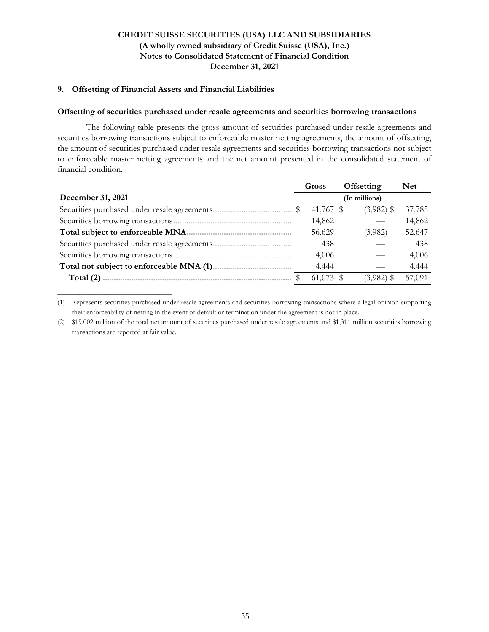### **9. Offsetting of Financial Assets and Financial Liabilities**

**\_\_\_\_\_\_\_\_\_\_\_\_\_\_\_\_\_\_\_\_\_\_\_\_\_\_**

### **Offsetting of securities purchased under resale agreements and securities borrowing transactions**

The following table presents the gross amount of securities purchased under resale agreements and securities borrowing transactions subject to enforceable master netting agreements, the amount of offsetting, the amount of securities purchased under resale agreements and securities borrowing transactions not subject to enforceable master netting agreements and the net amount presented in the consolidated statement of financial condition.

|                                               | Offsetting<br>Gross |           |              | Net           |        |
|-----------------------------------------------|---------------------|-----------|--------------|---------------|--------|
| December 31, 2021                             |                     |           |              | (In millions) |        |
| Securities purchased under resale agreements. |                     | 41,767 \$ | $(3,982)$ \$ | 37,785        |        |
| Securities borrowing transactions.            |                     | 14,862    |              |               | 14,862 |
| Total subject to enforceable MNA              |                     | 56,629    |              | (3,982)       | 52,647 |
| Securities purchased under resale agreements. |                     | 438       |              |               | 438    |
| Securities borrowing transactions             |                     | 4,006     |              |               | 4,006  |
| Total not subject to enforceable MNA (1)      |                     | 4,444     |              |               | 4,444  |
| Total $(2)$                                   |                     | 61,073 \$ |              | $(3,982)$ \$  | 57,091 |

<sup>(1)</sup> Represents securities purchased under resale agreements and securities borrowing transactions where a legal opinion supporting their enforceability of netting in the event of default or termination under the agreement is not in place.

<sup>(2)</sup> \$19,002 million of the total net amount of securities purchased under resale agreements and \$1,311 million securities borrowing transactions are reported at fair value.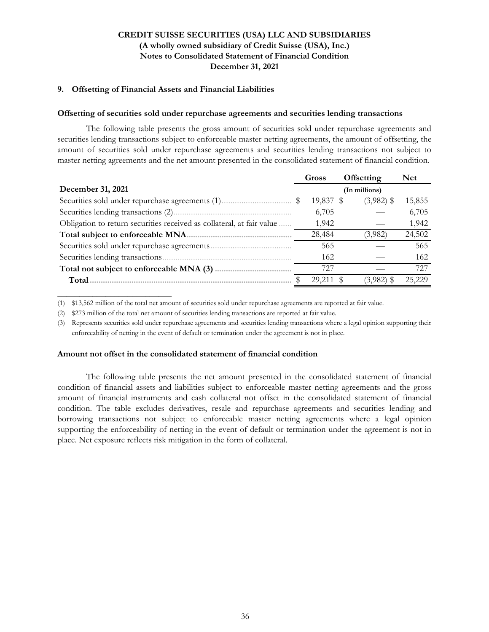### **9. Offsetting of Financial Assets and Financial Liabilities**

#### **Offsetting of securities sold under repurchase agreements and securities lending transactions**

The following table presents the gross amount of securities sold under repurchase agreements and securities lending transactions subject to enforceable master netting agreements, the amount of offsetting, the amount of securities sold under repurchase agreements and securities lending transactions not subject to master netting agreements and the net amount presented in the consolidated statement of financial condition.

|                                                                       | Gross     | Offsetting    | <b>Net</b> |
|-----------------------------------------------------------------------|-----------|---------------|------------|
| December 31, 2021                                                     |           | (In millions) |            |
|                                                                       | 19,837 \$ | $(3,982)$ \$  | 15,855     |
|                                                                       | 6,705     |               | 6,705      |
| Obligation to return securities received as collateral, at fair value | 1,942     |               | 1,942      |
| Total subject to enforceable MNA.                                     | 28,484    | (3,982)       | 24,502     |
|                                                                       | 565       |               | 565        |
| Securities lending transactions.                                      | 162       |               | 162        |
| Total not subject to enforceable MNA (3)                              | 727       |               | 727        |
| Total                                                                 | 29,211    | (3,982)       | 25,229     |

(1) \$13,562 million of the total net amount of securities sold under repurchase agreements are reported at fair value.

(2) \$273 million of the total net amount of securities lending transactions are reported at fair value.

(3) Represents securities sold under repurchase agreements and securities lending transactions where a legal opinion supporting their enforceability of netting in the event of default or termination under the agreement is not in place.

### **Amount not offset in the consolidated statement of financial condition**

**\_\_\_\_\_\_\_\_\_\_\_\_\_\_\_\_\_\_\_\_\_\_\_\_\_\_**

The following table presents the net amount presented in the consolidated statement of financial condition of financial assets and liabilities subject to enforceable master netting agreements and the gross amount of financial instruments and cash collateral not offset in the consolidated statement of financial condition. The table excludes derivatives, resale and repurchase agreements and securities lending and borrowing transactions not subject to enforceable master netting agreements where a legal opinion supporting the enforceability of netting in the event of default or termination under the agreement is not in place. Net exposure reflects risk mitigation in the form of collateral.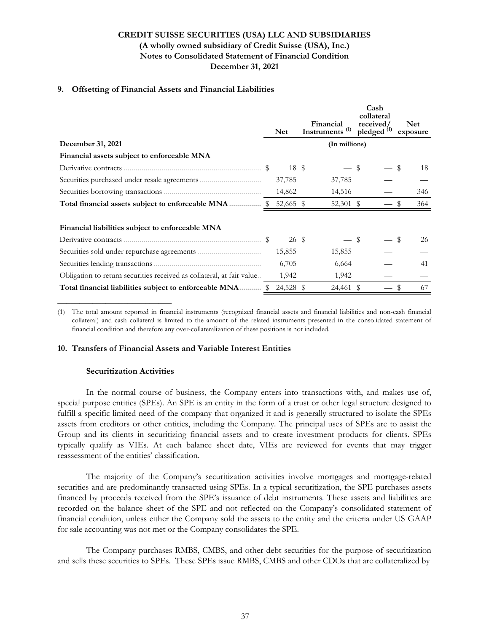### **9. Offsetting of Financial Assets and Financial Liabilities**

|                                                                       |            |                                         | Cash<br>collateral                  |                        |
|-----------------------------------------------------------------------|------------|-----------------------------------------|-------------------------------------|------------------------|
|                                                                       | <b>Net</b> | Financial<br>Instruments <sup>(1)</sup> | received/<br>pledged <sup>(1)</sup> | <b>Net</b><br>exposure |
| December 31, 2021                                                     |            | (In millions)                           |                                     |                        |
| Financial assets subject to enforceable MNA                           |            |                                         |                                     |                        |
|                                                                       | 18 \$      |                                         | \$                                  | \$<br>18               |
|                                                                       | 37,785     | 37,785                                  |                                     |                        |
|                                                                       | 14,862     | 14,516                                  |                                     | 346                    |
|                                                                       | 52,665 \$  | 52,301 \$                               |                                     | 364                    |
|                                                                       |            |                                         |                                     |                        |
| Financial liabilities subject to enforceable MNA                      |            |                                         |                                     |                        |
|                                                                       | 26 \$      |                                         | \$                                  | \$<br>26               |
|                                                                       | 15,855     | 15,855                                  |                                     |                        |
|                                                                       | 6,705      | 6,664                                   |                                     | 41                     |
| Obligation to return securities received as collateral, at fair value | 1,942      | 1,942                                   |                                     |                        |
| Total financial liabilities subject to enforceable MNA \$             | 24,528 \$  | 24,461 \$                               |                                     | 67                     |

(1) The total amount reported in financial instruments (recognized financial assets and financial liabilities and non-cash financial collateral) and cash collateral is limited to the amount of the related instruments presented in the consolidated statement of financial condition and therefore any over-collateralization of these positions is not included.

### **10. Transfers of Financial Assets and Variable Interest Entities**

### **Securitization Activities**

**\_\_\_\_\_\_\_\_\_\_\_\_\_\_\_\_\_\_\_\_\_\_\_\_\_\_**

In the normal course of business, the Company enters into transactions with, and makes use of, special purpose entities (SPEs). An SPE is an entity in the form of a trust or other legal structure designed to fulfill a specific limited need of the company that organized it and is generally structured to isolate the SPEs assets from creditors or other entities, including the Company. The principal uses of SPEs are to assist the Group and its clients in securitizing financial assets and to create investment products for clients. SPEs typically qualify as VIEs. At each balance sheet date, VIEs are reviewed for events that may trigger reassessment of the entities' classification.

The majority of the Company's securitization activities involve mortgages and mortgage-related securities and are predominantly transacted using SPEs. In a typical securitization, the SPE purchases assets financed by proceeds received from the SPE's issuance of debt instruments. These assets and liabilities are recorded on the balance sheet of the SPE and not reflected on the Company's consolidated statement of financial condition, unless either the Company sold the assets to the entity and the criteria under US GAAP for sale accounting was not met or the Company consolidates the SPE.

The Company purchases RMBS, CMBS, and other debt securities for the purpose of securitization and sells these securities to SPEs. These SPEs issue RMBS, CMBS and other CDOs that are collateralized by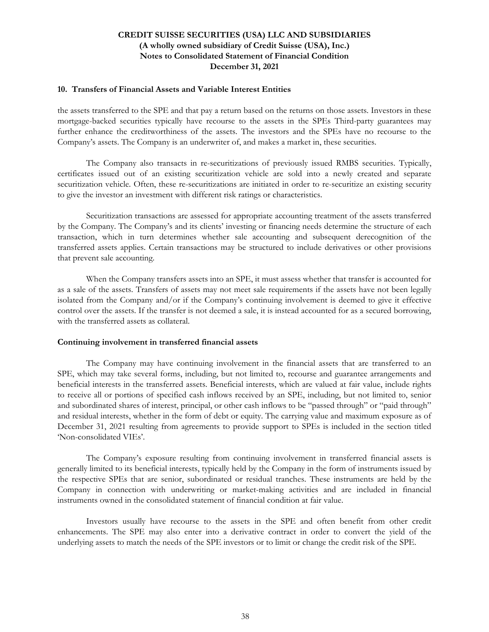#### **10. Transfers of Financial Assets and Variable Interest Entities**

the assets transferred to the SPE and that pay a return based on the returns on those assets. Investors in these mortgage-backed securities typically have recourse to the assets in the SPEs Third-party guarantees may further enhance the creditworthiness of the assets. The investors and the SPEs have no recourse to the Company's assets. The Company is an underwriter of, and makes a market in, these securities.

The Company also transacts in re-securitizations of previously issued RMBS securities. Typically, certificates issued out of an existing securitization vehicle are sold into a newly created and separate securitization vehicle. Often, these re-securitizations are initiated in order to re-securitize an existing security to give the investor an investment with different risk ratings or characteristics.

Securitization transactions are assessed for appropriate accounting treatment of the assets transferred by the Company. The Company's and its clients' investing or financing needs determine the structure of each transaction, which in turn determines whether sale accounting and subsequent derecognition of the transferred assets applies. Certain transactions may be structured to include derivatives or other provisions that prevent sale accounting.

When the Company transfers assets into an SPE, it must assess whether that transfer is accounted for as a sale of the assets. Transfers of assets may not meet sale requirements if the assets have not been legally isolated from the Company and/or if the Company's continuing involvement is deemed to give it effective control over the assets. If the transfer is not deemed a sale, it is instead accounted for as a secured borrowing, with the transferred assets as collateral.

### **Continuing involvement in transferred financial assets**

The Company may have continuing involvement in the financial assets that are transferred to an SPE, which may take several forms, including, but not limited to, recourse and guarantee arrangements and beneficial interests in the transferred assets. Beneficial interests, which are valued at fair value, include rights to receive all or portions of specified cash inflows received by an SPE, including, but not limited to, senior and subordinated shares of interest, principal, or other cash inflows to be "passed through" or "paid through" and residual interests, whether in the form of debt or equity. The carrying value and maximum exposure as of December 31, 2021 resulting from agreements to provide support to SPEs is included in the section titled 'Non-consolidated VIEs'.

The Company's exposure resulting from continuing involvement in transferred financial assets is generally limited to its beneficial interests, typically held by the Company in the form of instruments issued by the respective SPEs that are senior, subordinated or residual tranches. These instruments are held by the Company in connection with underwriting or market-making activities and are included in financial instruments owned in the consolidated statement of financial condition at fair value.

Investors usually have recourse to the assets in the SPE and often benefit from other credit enhancements. The SPE may also enter into a derivative contract in order to convert the yield of the underlying assets to match the needs of the SPE investors or to limit or change the credit risk of the SPE.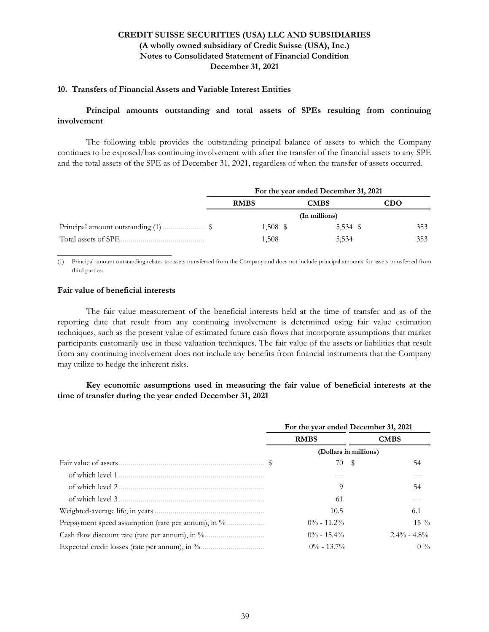# **10. Transfers of Financial Assets and Variable Interest Entities**

## **Principal amounts outstanding and total assets of SPEs resulting from continuing involvement**

The following table provides the outstanding principal balance of assets to which the Company continues to be exposed/has continuing involvement with after the transfer of the financial assets to any SPE and the total assets of the SPE as of December 31, 2021, regardless of when the transfer of assets occurred.

|                      | For the year ended December 31, 2021 |             |          |     |  |
|----------------------|--------------------------------------|-------------|----------|-----|--|
|                      | <b>RMBS</b>                          | <b>CMBS</b> |          | CDO |  |
|                      | (In millions)                        |             |          |     |  |
|                      | $1,508$ \$                           |             | 5,534 \$ | 353 |  |
| Total assets of SPE. | 1,508                                | 5,534       |          | 353 |  |

(1) Principal amount outstanding relates to assets transferred from the Company and does not include principal amounts for assets transferred from third parties.

#### **Fair value of beneficial interests**

**\_\_\_\_\_\_\_\_\_\_\_\_\_\_\_\_\_\_\_\_\_\_\_\_\_\_**

The fair value measurement of the beneficial interests held at the time of transfer and as of the reporting date that result from any continuing involvement is determined using fair value estimation techniques, such as the present value of estimated future cash flows that incorporate assumptions that market participants customarily use in these valuation techniques. The fair value of the assets or liabilities that result from any continuing involvement does not include any benefits from financial instruments that the Company may utilize to hedge the inherent risks.

## **Key economic assumptions used in measuring the fair value of beneficial interests at the time of transfer during the year ended December 31, 2021**

|                   | For the year ended December 31, 2021 |                       |  |  |  |
|-------------------|--------------------------------------|-----------------------|--|--|--|
|                   | <b>RMBS</b>                          | <b>CMBS</b>           |  |  |  |
|                   |                                      | (Dollars in millions) |  |  |  |
|                   | 70 \$                                | 54                    |  |  |  |
|                   |                                      |                       |  |  |  |
| of which level 2. | 9                                    | 54                    |  |  |  |
|                   | -61                                  |                       |  |  |  |
|                   | 10.5                                 | 6.1                   |  |  |  |
|                   | $0\% - 11.2\%$                       | $15\%$                |  |  |  |
|                   | $0\% - 15.4\%$                       | $2.4\% - 4.8\%$       |  |  |  |
|                   | $0\% - 13.7\%$                       | $0\%$                 |  |  |  |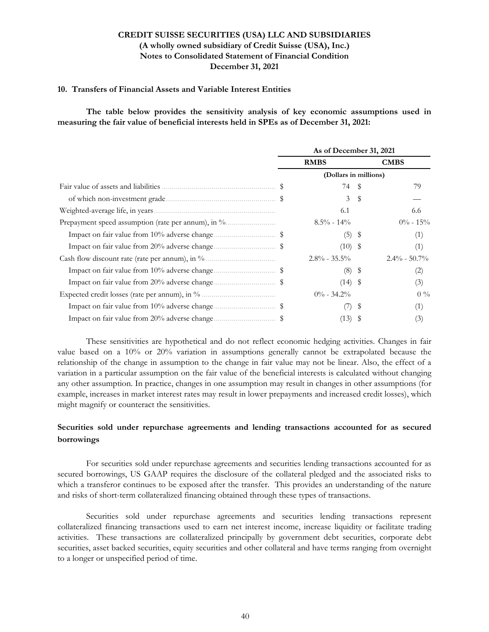#### **10. Transfers of Financial Assets and Variable Interest Entities**

**The table below provides the sensitivity analysis of key economic assumptions used in measuring the fair value of beneficial interests held in SPEs as of December 31, 2021:**

| As of December 31, 2021 |                  |      |                                                                  |  |  |
|-------------------------|------------------|------|------------------------------------------------------------------|--|--|
| <b>RMBS</b>             |                  |      | <b>CMBS</b>                                                      |  |  |
|                         |                  |      |                                                                  |  |  |
|                         | 74               |      | 79                                                               |  |  |
|                         | 3                | S    |                                                                  |  |  |
|                         | 6.1              |      | 6.6                                                              |  |  |
|                         | $8.5\%$ - 14%    |      | $0\% - 15\%$                                                     |  |  |
|                         | (5)              | -\$  | (1)                                                              |  |  |
|                         |                  |      | (1)                                                              |  |  |
|                         | $2.8\% - 35.5\%$ |      | $2.4\% - 50.7\%$                                                 |  |  |
|                         |                  | - \$ | (2)                                                              |  |  |
|                         |                  |      | (3)                                                              |  |  |
|                         | $0\% - 34.2\%$   |      | $0\%$                                                            |  |  |
|                         |                  | \$   | (1)                                                              |  |  |
|                         | (13)             | Y.   | (3)                                                              |  |  |
|                         |                  | (8)  | (Dollars in millions)<br>$\frac{1}{2}$<br>$(10)$ \$<br>$(14)$ \$ |  |  |

These sensitivities are hypothetical and do not reflect economic hedging activities. Changes in fair value based on a 10% or 20% variation in assumptions generally cannot be extrapolated because the relationship of the change in assumption to the change in fair value may not be linear. Also, the effect of a variation in a particular assumption on the fair value of the beneficial interests is calculated without changing any other assumption. In practice, changes in one assumption may result in changes in other assumptions (for example, increases in market interest rates may result in lower prepayments and increased credit losses), which might magnify or counteract the sensitivities.

# **Securities sold under repurchase agreements and lending transactions accounted for as secured borrowings**

For securities sold under repurchase agreements and securities lending transactions accounted for as secured borrowings, US GAAP requires the disclosure of the collateral pledged and the associated risks to which a transferor continues to be exposed after the transfer. This provides an understanding of the nature and risks of short-term collateralized financing obtained through these types of transactions.

Securities sold under repurchase agreements and securities lending transactions represent collateralized financing transactions used to earn net interest income, increase liquidity or facilitate trading activities. These transactions are collateralized principally by government debt securities, corporate debt securities, asset backed securities, equity securities and other collateral and have terms ranging from overnight to a longer or unspecified period of time.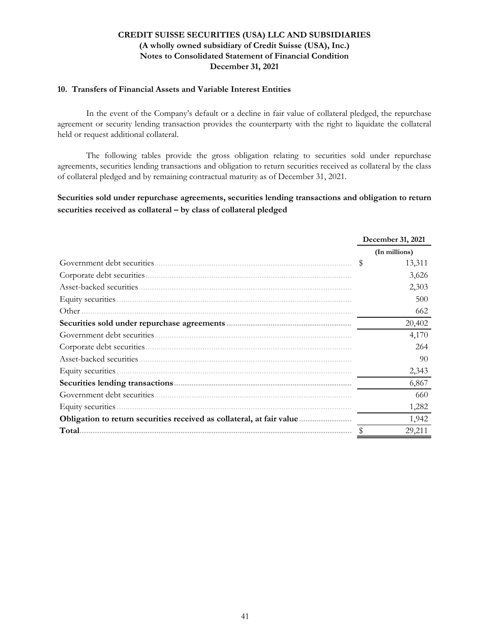### **10. Transfers of Financial Assets and Variable Interest Entities**

In the event of the Company's default or a decline in fair value of collateral pledged, the repurchase agreement or security lending transaction provides the counterparty with the right to liquidate the collateral held or request additional collateral.

The following tables provide the gross obligation relating to securities sold under repurchase agreements, securities lending transactions and obligation to return securities received as collateral by the class of collateral pledged and by remaining contractual maturity as of December 31, 2021.

**Securities sold under repurchase agreements, securities lending transactions and obligation to return securities received as collateral – by class of collateral pledged**

|                                                                       | December 31, 2021 |
|-----------------------------------------------------------------------|-------------------|
|                                                                       | (In millions)     |
|                                                                       | S<br>13,311       |
|                                                                       | 3,626             |
| Asset-backed securities.                                              | 2,303             |
|                                                                       | 500               |
| Other                                                                 | 662               |
|                                                                       | 20,402            |
|                                                                       | 4,170             |
| Corporate debt securities                                             | 264               |
|                                                                       | 90                |
|                                                                       | 2,343             |
|                                                                       | 6,867             |
| Government debt securities.                                           | 660               |
| Equity securities                                                     | 1,282             |
| Obligation to return securities received as collateral, at fair value | 1,942             |
| Total.                                                                | 29,211            |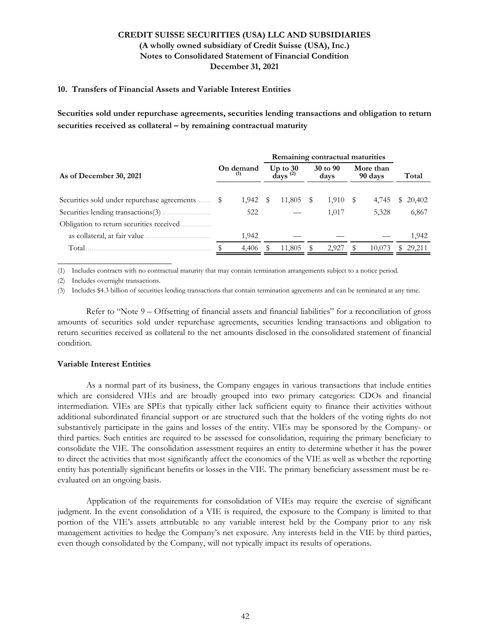#### **10. Transfers of Financial Assets and Variable Interest Entities**

**Securities sold under repurchase agreements, securities lending transactions and obligation to return securities received as collateral – by remaining contractual maturity**

|                                          |                  | Remaining contractual maturities |                                                |   |                  |  |                      |   |        |
|------------------------------------------|------------------|----------------------------------|------------------------------------------------|---|------------------|--|----------------------|---|--------|
| As of December 30, 2021                  | On demand<br>(1) |                                  | Up to $30$<br>days <sup><math>(2)</math></sup> |   | 30 to 90<br>days |  | More than<br>90 days |   | Total  |
|                                          |                  |                                  |                                                |   |                  |  |                      |   |        |
|                                          | 1,942            | - \$                             | 11,805                                         | S | $1,910$ \$       |  | 4,745                | y | 20,402 |
|                                          | 522              |                                  |                                                |   | 1.017            |  | 5,328                |   | 6,867  |
| Obligation to return securities received |                  |                                  |                                                |   |                  |  |                      |   |        |
| as collateral, at fair value             | 1,942            |                                  |                                                |   |                  |  |                      |   | 1,942  |
| Total                                    | 4,406            |                                  | 11,805                                         |   | 2,927            |  | 10,073               |   | 29,211 |

(1) Includes contracts with no contractual maturity that may contain termination arrangements subject to a notice period.

(2) Includes overnight transactions.

**\_\_\_\_\_\_\_\_\_\_\_\_\_\_\_\_\_\_\_\_\_\_\_\_\_\_**

(3) Includes \$4.3 billion of securities lending transactions that contain termination agreements and can be terminated at any time.

Refer to "Note 9 – Offsetting of financial assets and financial liabilities" for a reconciliation of gross amounts of securities sold under repurchase agreements, securities lending transactions and obligation to return securities received as collateral to the net amounts disclosed in the consolidated statement of financial condition.

### **Variable Interest Entities**

As a normal part of its business, the Company engages in various transactions that include entities which are considered VIEs and are broadly grouped into two primary categories: CDOs and financial intermediation. VIEs are SPEs that typically either lack sufficient equity to finance their activities without additional subordinated financial support or are structured such that the holders of the voting rights do not substantively participate in the gains and losses of the entity. VIEs may be sponsored by the Company- or third parties. Such entities are required to be assessed for consolidation, requiring the primary beneficiary to consolidate the VIE. The consolidation assessment requires an entity to determine whether it has the power to direct the activities that most significantly affect the economics of the VIE as well as whether the reporting entity has potentially significant benefits or losses in the VIE. The primary beneficiary assessment must be reevaluated on an ongoing basis.

Application of the requirements for consolidation of VIEs may require the exercise of significant judgment. In the event consolidation of a VIE is required, the exposure to the Company is limited to that portion of the VIE's assets attributable to any variable interest held by the Company prior to any risk management activities to hedge the Company's net exposure. Any interests held in the VIE by third parties, even though consolidated by the Company, will not typically impact its results of operations.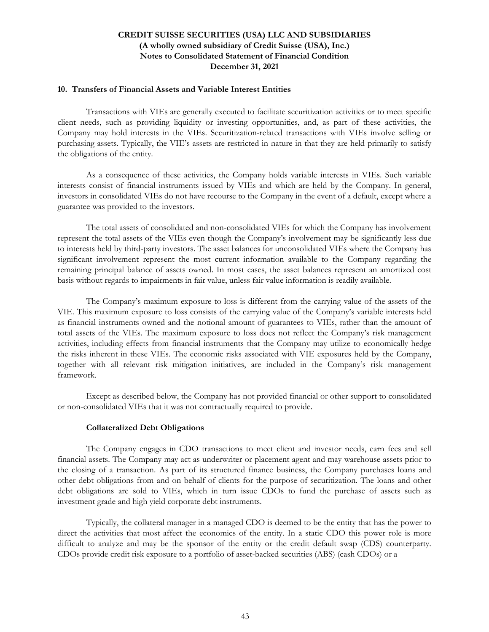#### **10. Transfers of Financial Assets and Variable Interest Entities**

Transactions with VIEs are generally executed to facilitate securitization activities or to meet specific client needs, such as providing liquidity or investing opportunities, and, as part of these activities, the Company may hold interests in the VIEs. Securitization-related transactions with VIEs involve selling or purchasing assets. Typically, the VIE's assets are restricted in nature in that they are held primarily to satisfy the obligations of the entity.

As a consequence of these activities, the Company holds variable interests in VIEs. Such variable interests consist of financial instruments issued by VIEs and which are held by the Company. In general, investors in consolidated VIEs do not have recourse to the Company in the event of a default, except where a guarantee was provided to the investors.

The total assets of consolidated and non-consolidated VIEs for which the Company has involvement represent the total assets of the VIEs even though the Company's involvement may be significantly less due to interests held by third-party investors. The asset balances for unconsolidated VIEs where the Company has significant involvement represent the most current information available to the Company regarding the remaining principal balance of assets owned. In most cases, the asset balances represent an amortized cost basis without regards to impairments in fair value, unless fair value information is readily available.

The Company's maximum exposure to loss is different from the carrying value of the assets of the VIE. This maximum exposure to loss consists of the carrying value of the Company's variable interests held as financial instruments owned and the notional amount of guarantees to VIEs, rather than the amount of total assets of the VIEs. The maximum exposure to loss does not reflect the Company's risk management activities, including effects from financial instruments that the Company may utilize to economically hedge the risks inherent in these VIEs. The economic risks associated with VIE exposures held by the Company, together with all relevant risk mitigation initiatives, are included in the Company's risk management framework.

Except as described below, the Company has not provided financial or other support to consolidated or non-consolidated VIEs that it was not contractually required to provide.

### **Collateralized Debt Obligations**

The Company engages in CDO transactions to meet client and investor needs, earn fees and sell financial assets. The Company may act as underwriter or placement agent and may warehouse assets prior to the closing of a transaction. As part of its structured finance business, the Company purchases loans and other debt obligations from and on behalf of clients for the purpose of securitization. The loans and other debt obligations are sold to VIEs, which in turn issue CDOs to fund the purchase of assets such as investment grade and high yield corporate debt instruments.

Typically, the collateral manager in a managed CDO is deemed to be the entity that has the power to direct the activities that most affect the economics of the entity. In a static CDO this power role is more difficult to analyze and may be the sponsor of the entity or the credit default swap (CDS) counterparty. CDOs provide credit risk exposure to a portfolio of asset-backed securities (ABS) (cash CDOs) or a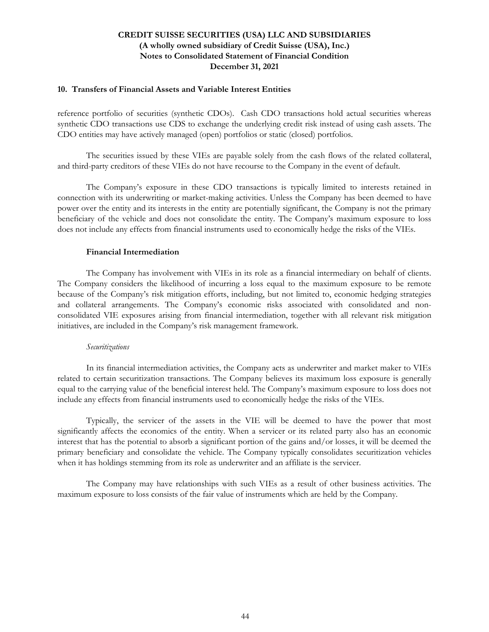#### **10. Transfers of Financial Assets and Variable Interest Entities**

reference portfolio of securities (synthetic CDOs). Cash CDO transactions hold actual securities whereas synthetic CDO transactions use CDS to exchange the underlying credit risk instead of using cash assets. The CDO entities may have actively managed (open) portfolios or static (closed) portfolios.

The securities issued by these VIEs are payable solely from the cash flows of the related collateral, and third-party creditors of these VIEs do not have recourse to the Company in the event of default.

The Company's exposure in these CDO transactions is typically limited to interests retained in connection with its underwriting or market-making activities. Unless the Company has been deemed to have power over the entity and its interests in the entity are potentially significant, the Company is not the primary beneficiary of the vehicle and does not consolidate the entity. The Company's maximum exposure to loss does not include any effects from financial instruments used to economically hedge the risks of the VIEs.

#### **Financial Intermediation**

The Company has involvement with VIEs in its role as a financial intermediary on behalf of clients. The Company considers the likelihood of incurring a loss equal to the maximum exposure to be remote because of the Company's risk mitigation efforts, including, but not limited to, economic hedging strategies and collateral arrangements. The Company's economic risks associated with consolidated and nonconsolidated VIE exposures arising from financial intermediation, together with all relevant risk mitigation initiatives, are included in the Company's risk management framework.

#### *Securitizations*

In its financial intermediation activities, the Company acts as underwriter and market maker to VIEs related to certain securitization transactions. The Company believes its maximum loss exposure is generally equal to the carrying value of the beneficial interest held. The Company's maximum exposure to loss does not include any effects from financial instruments used to economically hedge the risks of the VIEs.

Typically, the servicer of the assets in the VIE will be deemed to have the power that most significantly affects the economics of the entity. When a servicer or its related party also has an economic interest that has the potential to absorb a significant portion of the gains and/or losses, it will be deemed the primary beneficiary and consolidate the vehicle. The Company typically consolidates securitization vehicles when it has holdings stemming from its role as underwriter and an affiliate is the servicer.

The Company may have relationships with such VIEs as a result of other business activities. The maximum exposure to loss consists of the fair value of instruments which are held by the Company.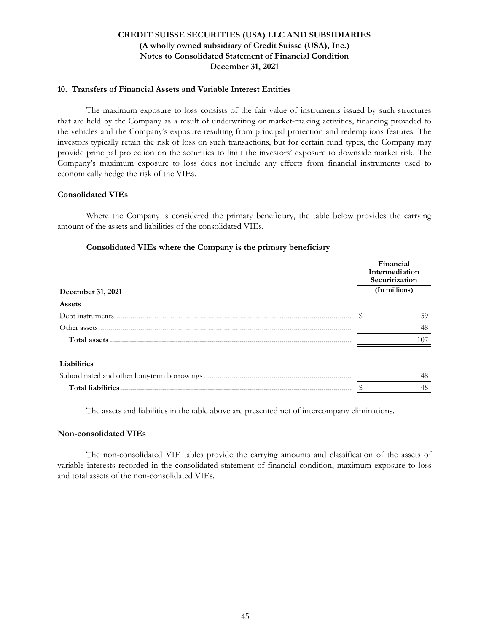### **10. Transfers of Financial Assets and Variable Interest Entities**

The maximum exposure to loss consists of the fair value of instruments issued by such structures that are held by the Company as a result of underwriting or market-making activities, financing provided to the vehicles and the Company's exposure resulting from principal protection and redemptions features. The investors typically retain the risk of loss on such transactions, but for certain fund types, the Company may provide principal protection on the securities to limit the investors' exposure to downside market risk. The Company's maximum exposure to loss does not include any effects from financial instruments used to economically hedge the risk of the VIEs.

### **Consolidated VIEs**

 Where the Company is considered the primary beneficiary, the table below provides the carrying amount of the assets and liabilities of the consolidated VIEs.

### **Consolidated VIEs where the Company is the primary beneficiary**

|                                             | Financial<br>Intermediation<br>Securitization |
|---------------------------------------------|-----------------------------------------------|
| December 31, 2021                           | (In millions)                                 |
| Assets                                      |                                               |
| Debt instruments                            | 59                                            |
| Other assets.                               | 48                                            |
| Total assets                                | 107                                           |
| Liabilities                                 |                                               |
| Subordinated and other long-term borrowings | 48                                            |
| <b>Total liabilities</b>                    | 48                                            |

The assets and liabilities in the table above are presented net of intercompany eliminations.

### **Non-consolidated VIEs**

The non-consolidated VIE tables provide the carrying amounts and classification of the assets of variable interests recorded in the consolidated statement of financial condition, maximum exposure to loss and total assets of the non-consolidated VIEs.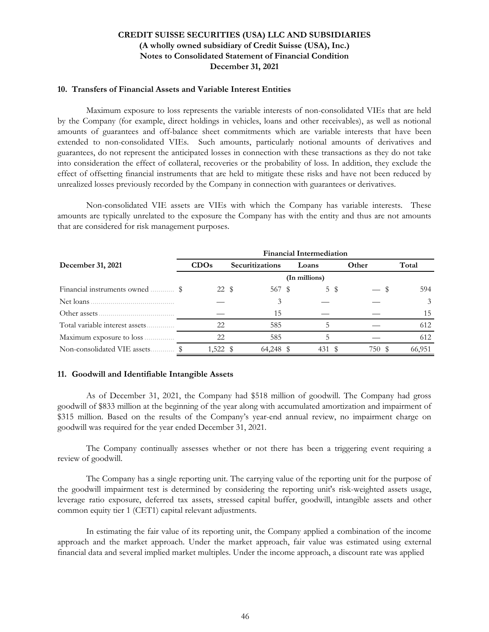#### **10. Transfers of Financial Assets and Variable Interest Entities**

Maximum exposure to loss represents the variable interests of non-consolidated VIEs that are held by the Company (for example, direct holdings in vehicles, loans and other receivables), as well as notional amounts of guarantees and off-balance sheet commitments which are variable interests that have been extended to non-consolidated VIEs. Such amounts, particularly notional amounts of derivatives and guarantees, do not represent the anticipated losses in connection with these transactions as they do not take into consideration the effect of collateral, recoveries or the probability of loss. In addition, they exclude the effect of offsetting financial instruments that are held to mitigate these risks and have not been reduced by unrealized losses previously recorded by the Company in connection with guarantees or derivatives.

Non-consolidated VIE assets are VIEs with which the Company has variable interests. These amounts are typically unrelated to the exposure the Company has with the entity and thus are not amounts that are considered for risk management purposes.

|                                 | <b>Financial Intermediation</b> |                 |               |       |               |  |  |  |  |  |
|---------------------------------|---------------------------------|-----------------|---------------|-------|---------------|--|--|--|--|--|
| December 31, 2021               | CDOs                            | Securitizations | Loans         | Other | Total         |  |  |  |  |  |
|                                 |                                 |                 | (In millions) |       |               |  |  |  |  |  |
|                                 | 22 \$                           | 567 \$          | 5 \$          |       | 594           |  |  |  |  |  |
| Net loans.                      |                                 | 3               |               |       | $\mathcal{E}$ |  |  |  |  |  |
| Other assets.                   |                                 | 15              |               |       | 15            |  |  |  |  |  |
| Total variable interest assets. | 22                              | 585             |               |       | 612           |  |  |  |  |  |
| Maximum exposure to loss.       | 22                              | 585             |               |       | 612           |  |  |  |  |  |
| Non-consolidated VIE assets.    | 1,522 \$                        | 64.248 \$       | 431           | 750 S | 66.951        |  |  |  |  |  |

### **11. Goodwill and Identifiable Intangible Assets**

As of December 31, 2021, the Company had \$518 million of goodwill. The Company had gross goodwill of \$833 million at the beginning of the year along with accumulated amortization and impairment of \$315 million. Based on the results of the Company's year-end annual review, no impairment charge on goodwill was required for the year ended December 31, 2021.

The Company continually assesses whether or not there has been a triggering event requiring a review of goodwill.

The Company has a single reporting unit. The carrying value of the reporting unit for the purpose of the goodwill impairment test is determined by considering the reporting unit's risk-weighted assets usage, leverage ratio exposure, deferred tax assets, stressed capital buffer, goodwill, intangible assets and other common equity tier 1 (CET1) capital relevant adjustments.

In estimating the fair value of its reporting unit, the Company applied a combination of the income approach and the market approach. Under the market approach, fair value was estimated using external financial data and several implied market multiples. Under the income approach, a discount rate was applied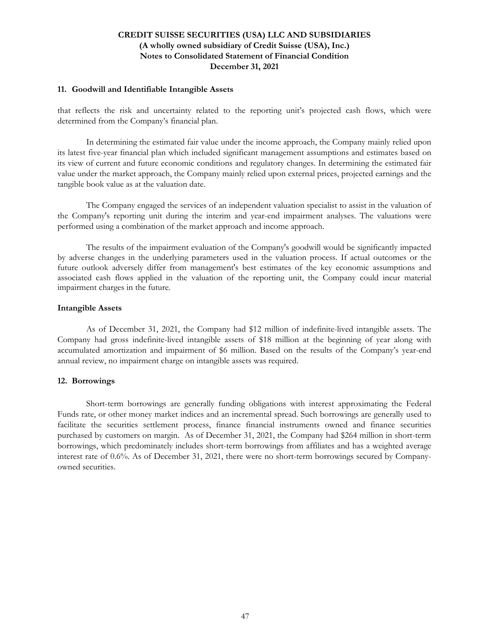#### **11. Goodwill and Identifiable Intangible Assets**

that reflects the risk and uncertainty related to the reporting unit's projected cash flows, which were determined from the Company's financial plan.

In determining the estimated fair value under the income approach, the Company mainly relied upon its latest five-year financial plan which included significant management assumptions and estimates based on its view of current and future economic conditions and regulatory changes. In determining the estimated fair value under the market approach, the Company mainly relied upon external prices, projected earnings and the tangible book value as at the valuation date.

The Company engaged the services of an independent valuation specialist to assist in the valuation of the Company's reporting unit during the interim and year-end impairment analyses. The valuations were performed using a combination of the market approach and income approach.

The results of the impairment evaluation of the Company's goodwill would be significantly impacted by adverse changes in the underlying parameters used in the valuation process. If actual outcomes or the future outlook adversely differ from management's best estimates of the key economic assumptions and associated cash flows applied in the valuation of the reporting unit, the Company could incur material impairment charges in the future.

#### **Intangible Assets**

As of December 31, 2021, the Company had \$12 million of indefinite-lived intangible assets. The Company had gross indefinite-lived intangible assets of \$18 million at the beginning of year along with accumulated amortization and impairment of \$6 million. Based on the results of the Company's year-end annual review, no impairment charge on intangible assets was required.

### **12. Borrowings**

Short-term borrowings are generally funding obligations with interest approximating the Federal Funds rate, or other money market indices and an incremental spread. Such borrowings are generally used to facilitate the securities settlement process, finance financial instruments owned and finance securities purchased by customers on margin. As of December 31, 2021, the Company had \$264 million in short-term borrowings, which predominately includes short-term borrowings from affiliates and has a weighted average interest rate of 0.6%. As of December 31, 2021, there were no short-term borrowings secured by Companyowned securities.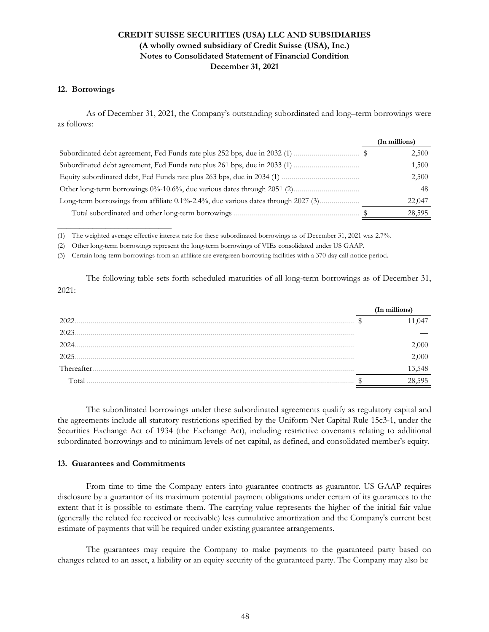#### **12. Borrowings**

As of December 31, 2021, the Company's outstanding subordinated and long–term borrowings were as follows:

|                                                                                   | (In millions) |
|-----------------------------------------------------------------------------------|---------------|
|                                                                                   | 2,500         |
|                                                                                   | 1,500         |
|                                                                                   | 2,500         |
|                                                                                   | 48            |
| Long-term borrowings from affiliate 0.1%-2.4%, due various dates through 2027 (3) | 22,047        |
| Total subordinated and other long-term borrowings                                 | 28,595        |

(1) The weighted average effective interest rate for these subordinated borrowings as of December 31, 2021 was 2.7%.

(2) Other long-term borrowings represent the long-term borrowings of VIEs consolidated under US GAAP.

(3) Certain long-term borrowings from an affiliate are evergreen borrowing facilities with a 370 day call notice period.

The following table sets forth scheduled maturities of all long-term borrowings as of December 31, 2021:

|            | (In millions) |
|------------|---------------|
| 2022       |               |
| 2023       |               |
| 2024       | )()()         |
| 2025       | 000           |
| Thereafter | 13,548        |
| Total      | 595           |

The subordinated borrowings under these subordinated agreements qualify as regulatory capital and the agreements include all statutory restrictions specified by the Uniform Net Capital Rule 15c3-1, under the Securities Exchange Act of 1934 (the Exchange Act), including restrictive covenants relating to additional subordinated borrowings and to minimum levels of net capital, as defined, and consolidated member's equity.

### **13. Guarantees and Commitments**

**\_\_\_\_\_\_\_\_\_\_\_\_\_\_\_\_\_\_\_\_\_\_\_\_\_\_**

From time to time the Company enters into guarantee contracts as guarantor. US GAAP requires disclosure by a guarantor of its maximum potential payment obligations under certain of its guarantees to the extent that it is possible to estimate them. The carrying value represents the higher of the initial fair value (generally the related fee received or receivable) less cumulative amortization and the Company's current best estimate of payments that will be required under existing guarantee arrangements.

The guarantees may require the Company to make payments to the guaranteed party based on changes related to an asset, a liability or an equity security of the guaranteed party. The Company may also be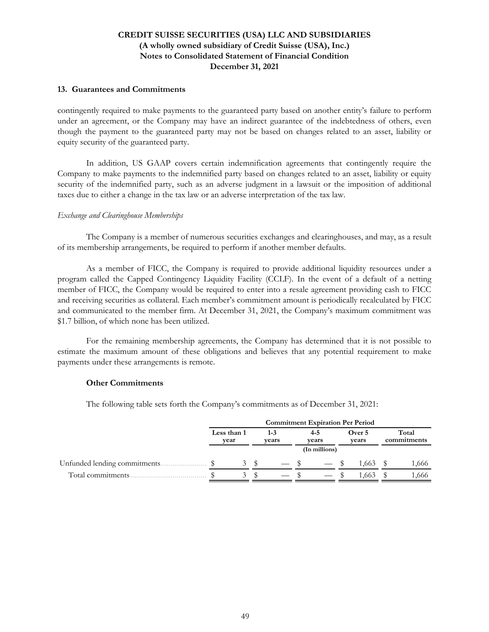### **13. Guarantees and Commitments**

contingently required to make payments to the guaranteed party based on another entity's failure to perform under an agreement, or the Company may have an indirect guarantee of the indebtedness of others, even though the payment to the guaranteed party may not be based on changes related to an asset, liability or equity security of the guaranteed party.

In addition, US GAAP covers certain indemnification agreements that contingently require the Company to make payments to the indemnified party based on changes related to an asset, liability or equity security of the indemnified party, such as an adverse judgment in a lawsuit or the imposition of additional taxes due to either a change in the tax law or an adverse interpretation of the tax law.

#### *Exchange and Clearinghouse Memberships*

The Company is a member of numerous securities exchanges and clearinghouses, and may, as a result of its membership arrangements, be required to perform if another member defaults.

As a member of FICC, the Company is required to provide additional liquidity resources under a program called the Capped Contingency Liquidity Facility (CCLF). In the event of a default of a netting member of FICC, the Company would be required to enter into a resale agreement providing cash to FICC and receiving securities as collateral. Each member's commitment amount is periodically recalculated by FICC and communicated to the member firm. At December 31, 2021, the Company's maximum commitment was \$1.7 billion, of which none has been utilized.

For the remaining membership agreements, the Company has determined that it is not possible to estimate the maximum amount of these obligations and believes that any potential requirement to make payments under these arrangements is remote.

#### **Other Commitments**

The following table sets forth the Company's commitments as of December 31, 2021:

| <b>Commitment Expiration Per Period</b> |  |                     |  |                  |  |                  |                 |                      |
|-----------------------------------------|--|---------------------|--|------------------|--|------------------|-----------------|----------------------|
|                                         |  | Less than 1<br>vear |  | $1 - 3$<br>vears |  | $4 - 5$<br>vears | Over 5<br>vears | Total<br>commitments |
|                                         |  |                     |  |                  |  | (In millions)    |                 |                      |
| Unfunded lending commitments            |  | 3                   |  | $-$ \$           |  | $-$ \$           | 1.663           | 1,666                |
| Total commitments                       |  | $\sim$              |  |                  |  |                  | 1.663           | 1,666                |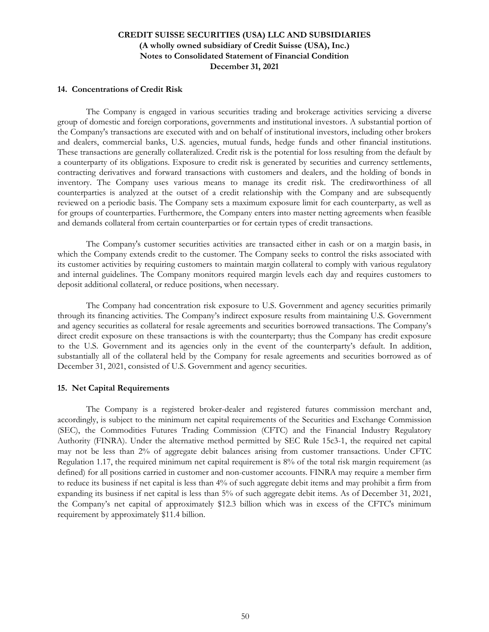#### **14. Concentrations of Credit Risk**

The Company is engaged in various securities trading and brokerage activities servicing a diverse group of domestic and foreign corporations, governments and institutional investors. A substantial portion of the Company's transactions are executed with and on behalf of institutional investors, including other brokers and dealers, commercial banks, U.S. agencies, mutual funds, hedge funds and other financial institutions. These transactions are generally collateralized. Credit risk is the potential for loss resulting from the default by a counterparty of its obligations. Exposure to credit risk is generated by securities and currency settlements, contracting derivatives and forward transactions with customers and dealers, and the holding of bonds in inventory. The Company uses various means to manage its credit risk. The creditworthiness of all counterparties is analyzed at the outset of a credit relationship with the Company and are subsequently reviewed on a periodic basis. The Company sets a maximum exposure limit for each counterparty, as well as for groups of counterparties. Furthermore, the Company enters into master netting agreements when feasible and demands collateral from certain counterparties or for certain types of credit transactions.

The Company's customer securities activities are transacted either in cash or on a margin basis, in which the Company extends credit to the customer. The Company seeks to control the risks associated with its customer activities by requiring customers to maintain margin collateral to comply with various regulatory and internal guidelines. The Company monitors required margin levels each day and requires customers to deposit additional collateral, or reduce positions, when necessary.

The Company had concentration risk exposure to U.S. Government and agency securities primarily through its financing activities. The Company's indirect exposure results from maintaining U.S. Government and agency securities as collateral for resale agreements and securities borrowed transactions. The Company's direct credit exposure on these transactions is with the counterparty; thus the Company has credit exposure to the U.S. Government and its agencies only in the event of the counterparty's default. In addition, substantially all of the collateral held by the Company for resale agreements and securities borrowed as of December 31, 2021, consisted of U.S. Government and agency securities.

### **15. Net Capital Requirements**

The Company is a registered broker-dealer and registered futures commission merchant and, accordingly, is subject to the minimum net capital requirements of the Securities and Exchange Commission (SEC), the Commodities Futures Trading Commission (CFTC) and the Financial Industry Regulatory Authority (FINRA). Under the alternative method permitted by SEC Rule 15c3-1, the required net capital may not be less than 2% of aggregate debit balances arising from customer transactions. Under CFTC Regulation 1.17, the required minimum net capital requirement is 8% of the total risk margin requirement (as defined) for all positions carried in customer and non-customer accounts. FINRA may require a member firm to reduce its business if net capital is less than 4% of such aggregate debit items and may prohibit a firm from expanding its business if net capital is less than 5% of such aggregate debit items. As of December 31, 2021, the Company's net capital of approximately \$12.3 billion which was in excess of the CFTC's minimum requirement by approximately \$11.4 billion.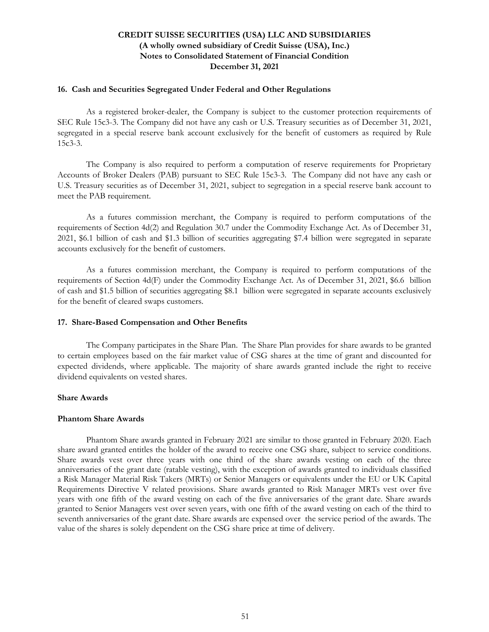#### **16. Cash and Securities Segregated Under Federal and Other Regulations**

As a registered broker-dealer, the Company is subject to the customer protection requirements of SEC Rule 15c3-3. The Company did not have any cash or U.S. Treasury securities as of December 31, 2021, segregated in a special reserve bank account exclusively for the benefit of customers as required by Rule 15c3-3.

The Company is also required to perform a computation of reserve requirements for Proprietary Accounts of Broker Dealers (PAB) pursuant to SEC Rule 15c3-3. The Company did not have any cash or U.S. Treasury securities as of December 31, 2021, subject to segregation in a special reserve bank account to meet the PAB requirement.

As a futures commission merchant, the Company is required to perform computations of the requirements of Section 4d(2) and Regulation 30.7 under the Commodity Exchange Act. As of December 31, 2021, \$6.1 billion of cash and \$1.3 billion of securities aggregating \$7.4 billion were segregated in separate accounts exclusively for the benefit of customers.

As a futures commission merchant, the Company is required to perform computations of the requirements of Section 4d(F) under the Commodity Exchange Act. As of December 31, 2021, \$6.6 billion of cash and \$1.5 billion of securities aggregating \$8.1 billion were segregated in separate accounts exclusively for the benefit of cleared swaps customers.

### **17. Share-Based Compensation and Other Benefits**

The Company participates in the Share Plan. The Share Plan provides for share awards to be granted to certain employees based on the fair market value of CSG shares at the time of grant and discounted for expected dividends, where applicable. The majority of share awards granted include the right to receive dividend equivalents on vested shares.

### **Share Awards**

### **Phantom Share Awards**

Phantom Share awards granted in February 2021 are similar to those granted in February 2020. Each share award granted entitles the holder of the award to receive one CSG share, subject to service conditions. Share awards vest over three years with one third of the share awards vesting on each of the three anniversaries of the grant date (ratable vesting), with the exception of awards granted to individuals classified a Risk Manager Material Risk Takers (MRTs) or Senior Managers or equivalents under the EU or UK Capital Requirements Directive V related provisions. Share awards granted to Risk Manager MRTs vest over five years with one fifth of the award vesting on each of the five anniversaries of the grant date. Share awards granted to Senior Managers vest over seven years, with one fifth of the award vesting on each of the third to seventh anniversaries of the grant date. Share awards are expensed over the service period of the awards. The value of the shares is solely dependent on the CSG share price at time of delivery.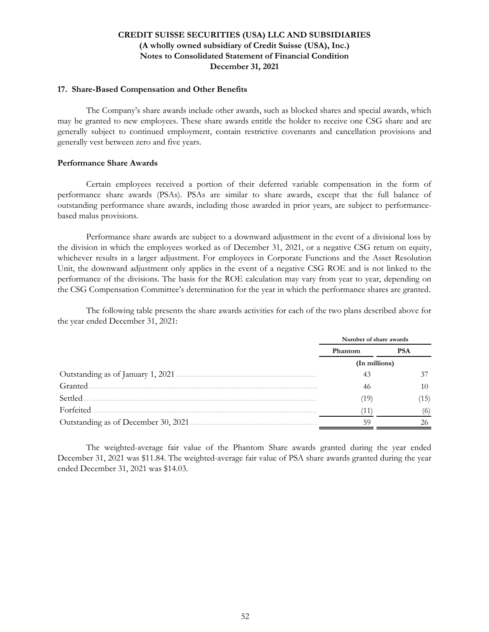#### **17. Share-Based Compensation and Other Benefits**

The Company's share awards include other awards, such as blocked shares and special awards, which may be granted to new employees. These share awards entitle the holder to receive one CSG share and are generally subject to continued employment, contain restrictive covenants and cancellation provisions and generally vest between zero and five years.

### **Performance Share Awards**

Certain employees received a portion of their deferred variable compensation in the form of performance share awards (PSAs). PSAs are similar to share awards, except that the full balance of outstanding performance share awards, including those awarded in prior years, are subject to performancebased malus provisions.

Performance share awards are subject to a downward adjustment in the event of a divisional loss by the division in which the employees worked as of December 31, 2021, or a negative CSG return on equity, whichever results in a larger adjustment. For employees in Corporate Functions and the Asset Resolution Unit, the downward adjustment only applies in the event of a negative CSG ROE and is not linked to the performance of the divisions. The basis for the ROE calculation may vary from year to year, depending on the CSG Compensation Committee's determination for the year in which the performance shares are granted.

The following table presents the share awards activities for each of the two plans described above for the year ended December 31, 2021:

|                                     | Number of share awards |            |
|-------------------------------------|------------------------|------------|
|                                     | Phantom                | <b>PSA</b> |
|                                     | (In millions)          |            |
| Outstanding as of January 1, 2021.  | 43                     |            |
| Granted                             | 46                     | 10         |
| Settled                             | ′19)                   | (15)       |
| Forfeited                           | Ί1                     | (6)        |
| Outstanding as of December 30, 2021 | 59                     |            |

The weighted-average fair value of the Phantom Share awards granted during the year ended December 31, 2021 was \$11.84. The weighted-average fair value of PSA share awards granted during the year ended December 31, 2021 was \$14.03.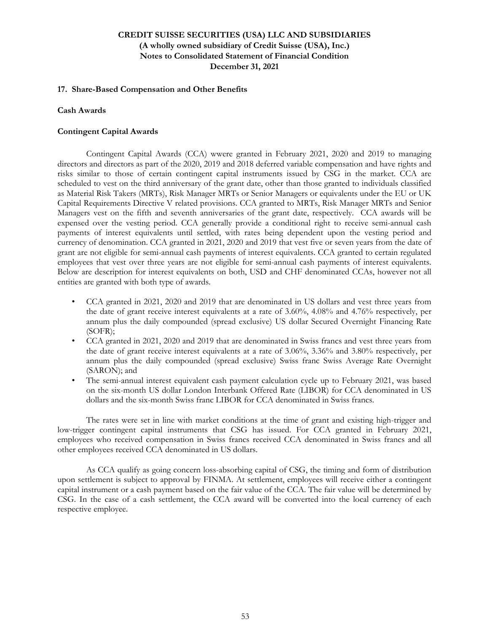### **17. Share-Based Compensation and Other Benefits**

### **Cash Awards**

### **Contingent Capital Awards**

 Contingent Capital Awards (CCA) wwere granted in February 2021, 2020 and 2019 to managing directors and directors as part of the 2020, 2019 and 2018 deferred variable compensation and have rights and risks similar to those of certain contingent capital instruments issued by CSG in the market. CCA are scheduled to vest on the third anniversary of the grant date, other than those granted to individuals classified as Material Risk Takers (MRTs), Risk Manager MRTs or Senior Managers or equivalents under the EU or UK Capital Requirements Directive V related provisions. CCA granted to MRTs, Risk Manager MRTs and Senior Managers vest on the fifth and seventh anniversaries of the grant date, respectively. CCA awards will be expensed over the vesting period. CCA generally provide a conditional right to receive semi-annual cash payments of interest equivalents until settled, with rates being dependent upon the vesting period and currency of denomination. CCA granted in 2021, 2020 and 2019 that vest five or seven years from the date of grant are not eligible for semi-annual cash payments of interest equivalents. CCA granted to certain regulated employees that vest over three years are not eligible for semi-annual cash payments of interest equivalents. Below are description for interest equivalents on both, USD and CHF denominated CCAs, however not all entities are granted with both type of awards.

- CCA granted in 2021, 2020 and 2019 that are denominated in US dollars and vest three years from the date of grant receive interest equivalents at a rate of 3.60%, 4.08% and 4.76% respectively, per annum plus the daily compounded (spread exclusive) US dollar Secured Overnight Financing Rate (SOFR);
- CCA granted in 2021, 2020 and 2019 that are denominated in Swiss francs and vest three years from the date of grant receive interest equivalents at a rate of 3.06%, 3.36% and 3.80% respectively, per annum plus the daily compounded (spread exclusive) Swiss franc Swiss Average Rate Overnight (SARON); and
- The semi-annual interest equivalent cash payment calculation cycle up to February 2021, was based on the six-month US dollar London Interbank Offered Rate (LIBOR) for CCA denominated in US dollars and the six-month Swiss franc LIBOR for CCA denominated in Swiss francs.

 The rates were set in line with market conditions at the time of grant and existing high-trigger and low-trigger contingent capital instruments that CSG has issued. For CCA granted in February 2021, employees who received compensation in Swiss francs received CCA denominated in Swiss francs and all other employees received CCA denominated in US dollars.

 As CCA qualify as going concern loss-absorbing capital of CSG, the timing and form of distribution upon settlement is subject to approval by FINMA. At settlement, employees will receive either a contingent capital instrument or a cash payment based on the fair value of the CCA. The fair value will be determined by CSG. In the case of a cash settlement, the CCA award will be converted into the local currency of each respective employee.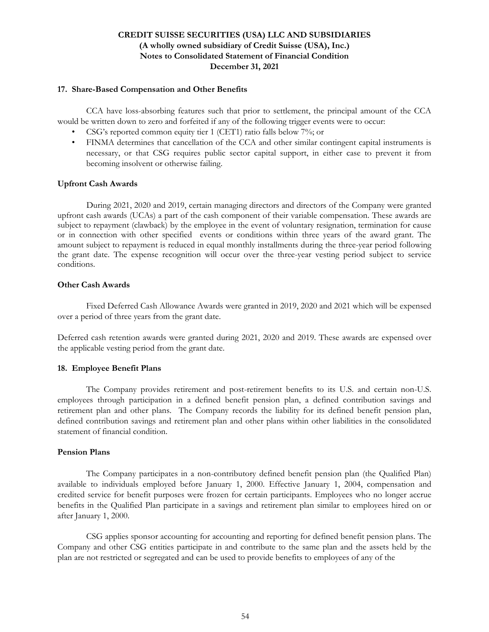### **17. Share-Based Compensation and Other Benefits**

 CCA have loss-absorbing features such that prior to settlement, the principal amount of the CCA would be written down to zero and forfeited if any of the following trigger events were to occur:

- CSG's reported common equity tier 1 (CET1) ratio falls below 7%; or
- FINMA determines that cancellation of the CCA and other similar contingent capital instruments is necessary, or that CSG requires public sector capital support, in either case to prevent it from becoming insolvent or otherwise failing.

### **Upfront Cash Awards**

 During 2021, 2020 and 2019, certain managing directors and directors of the Company were granted upfront cash awards (UCAs) a part of the cash component of their variable compensation. These awards are subject to repayment (clawback) by the employee in the event of voluntary resignation, termination for cause or in connection with other specified events or conditions within three years of the award grant. The amount subject to repayment is reduced in equal monthly installments during the three-year period following the grant date. The expense recognition will occur over the three-year vesting period subject to service conditions.

### **Other Cash Awards**

 Fixed Deferred Cash Allowance Awards were granted in 2019, 2020 and 2021 which will be expensed over a period of three years from the grant date.

Deferred cash retention awards were granted during 2021, 2020 and 2019. These awards are expensed over the applicable vesting period from the grant date.

## **18. Employee Benefit Plans**

The Company provides retirement and post-retirement benefits to its U.S. and certain non-U.S. employees through participation in a defined benefit pension plan, a defined contribution savings and retirement plan and other plans. The Company records the liability for its defined benefit pension plan, defined contribution savings and retirement plan and other plans within other liabilities in the consolidated statement of financial condition.

### **Pension Plans**

The Company participates in a non-contributory defined benefit pension plan (the Qualified Plan) available to individuals employed before January 1, 2000. Effective January 1, 2004, compensation and credited service for benefit purposes were frozen for certain participants. Employees who no longer accrue benefits in the Qualified Plan participate in a savings and retirement plan similar to employees hired on or after January 1, 2000.

CSG applies sponsor accounting for accounting and reporting for defined benefit pension plans. The Company and other CSG entities participate in and contribute to the same plan and the assets held by the plan are not restricted or segregated and can be used to provide benefits to employees of any of the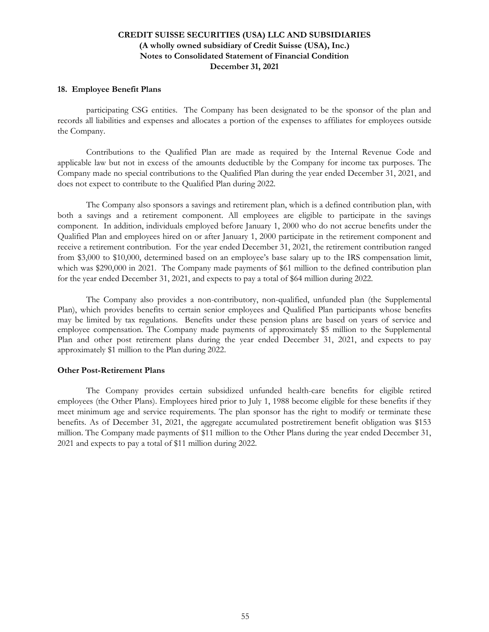#### **18. Employee Benefit Plans**

participating CSG entities. The Company has been designated to be the sponsor of the plan and records all liabilities and expenses and allocates a portion of the expenses to affiliates for employees outside the Company.

Contributions to the Qualified Plan are made as required by the Internal Revenue Code and applicable law but not in excess of the amounts deductible by the Company for income tax purposes. The Company made no special contributions to the Qualified Plan during the year ended December 31, 2021, and does not expect to contribute to the Qualified Plan during 2022.

The Company also sponsors a savings and retirement plan, which is a defined contribution plan, with both a savings and a retirement component. All employees are eligible to participate in the savings component. In addition, individuals employed before January 1, 2000 who do not accrue benefits under the Qualified Plan and employees hired on or after January 1, 2000 participate in the retirement component and receive a retirement contribution. For the year ended December 31, 2021, the retirement contribution ranged from \$3,000 to \$10,000, determined based on an employee's base salary up to the IRS compensation limit, which was \$290,000 in 2021. The Company made payments of \$61 million to the defined contribution plan for the year ended December 31, 2021, and expects to pay a total of \$64 million during 2022.

The Company also provides a non-contributory, non-qualified, unfunded plan (the Supplemental Plan), which provides benefits to certain senior employees and Qualified Plan participants whose benefits may be limited by tax regulations. Benefits under these pension plans are based on years of service and employee compensation. The Company made payments of approximately \$5 million to the Supplemental Plan and other post retirement plans during the year ended December 31, 2021, and expects to pay approximately \$1 million to the Plan during 2022.

### **Other Post-Retirement Plans**

The Company provides certain subsidized unfunded health-care benefits for eligible retired employees (the Other Plans). Employees hired prior to July 1, 1988 become eligible for these benefits if they meet minimum age and service requirements. The plan sponsor has the right to modify or terminate these benefits. As of December 31, 2021, the aggregate accumulated postretirement benefit obligation was \$153 million. The Company made payments of \$11 million to the Other Plans during the year ended December 31, 2021 and expects to pay a total of \$11 million during 2022.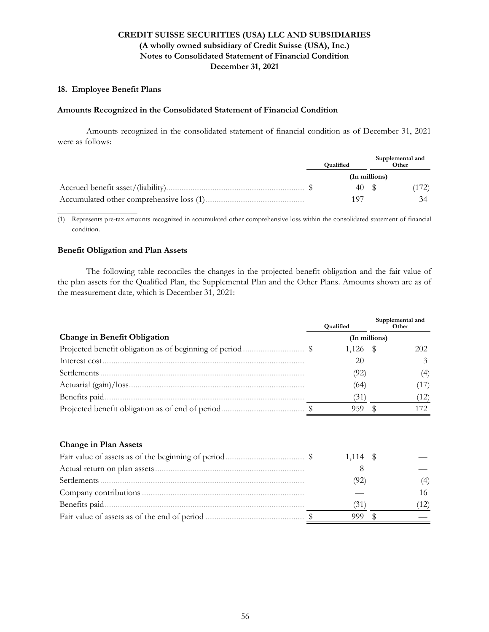### **18. Employee Benefit Plans**

#### **Amounts Recognized in the Consolidated Statement of Financial Condition**

Amounts recognized in the consolidated statement of financial condition as of December 31, 2021 were as follows:

|  | Qualified     | Supplemental and<br>Other |       |
|--|---------------|---------------------------|-------|
|  | (In millions) |                           |       |
|  | 40 \$         |                           | (172) |
|  | 197           |                           |       |

(1) Represents pre-tax amounts recognized in accumulated other comprehensive loss within the consolidated statement of financial condition.

### **Benefit Obligation and Plan Assets**

**\_\_\_\_\_\_\_\_\_\_\_\_\_\_\_\_\_\_\_\_\_\_\_\_\_**

 The following table reconciles the changes in the projected benefit obligation and the fair value of the plan assets for the Qualified Plan, the Supplemental Plan and the Other Plans. Amounts shown are as of the measurement date, which is December 31, 2021:

|                                                  | <b>Qualified</b> |    | Supplemental and<br>Other |
|--------------------------------------------------|------------------|----|---------------------------|
| <b>Change in Benefit Obligation</b>              | (In millions)    |    |                           |
|                                                  | $1,126$ \$       |    | 202                       |
| Interest cost.                                   | 20               |    | 3                         |
| Settlements                                      | (92)             |    | (4)                       |
|                                                  | (64)             |    | (17)                      |
| Benefits paid.                                   | (31)             |    | (12)                      |
| Projected benefit obligation as of end of period | 959              | \$ | 172                       |
| <b>Change in Plan Assets</b>                     |                  |    |                           |
|                                                  | 1,114            | -S |                           |
|                                                  | 8                |    |                           |
| Settlements                                      | (92)             |    | (4)                       |
|                                                  |                  |    | 16                        |
| Benefits paid.                                   | (31)             |    | (12)                      |
|                                                  | 999              | \$ |                           |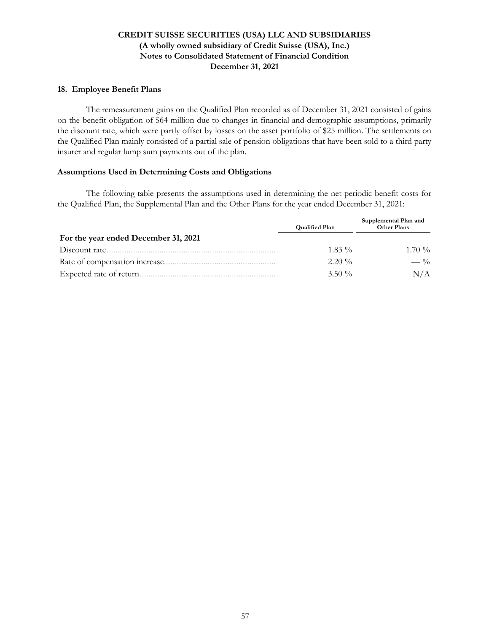### **18. Employee Benefit Plans**

 The remeasurement gains on the Qualified Plan recorded as of December 31, 2021 consisted of gains on the benefit obligation of \$64 million due to changes in financial and demographic assumptions, primarily the discount rate, which were partly offset by losses on the asset portfolio of \$25 million. The settlements on the Qualified Plan mainly consisted of a partial sale of pension obligations that have been sold to a third party insurer and regular lump sum payments out of the plan.

### **Assumptions Used in Determining Costs and Obligations**

 The following table presents the assumptions used in determining the net periodic benefit costs for the Qualified Plan, the Supplemental Plan and the Other Plans for the year ended December 31, 2021:

|                                      | <b>Qualified Plan</b> | Supplemental Plan and<br><b>Other Plans</b> |
|--------------------------------------|-----------------------|---------------------------------------------|
| For the year ended December 31, 2021 |                       |                                             |
| Discount rate.                       | $1.83\%$              | $1.70\%$                                    |
| Rate of compensation increase        | $2.20\%$              | $- \frac{0}{0}$                             |
| Expected rate of return.             | $3.50\%$              | N/A                                         |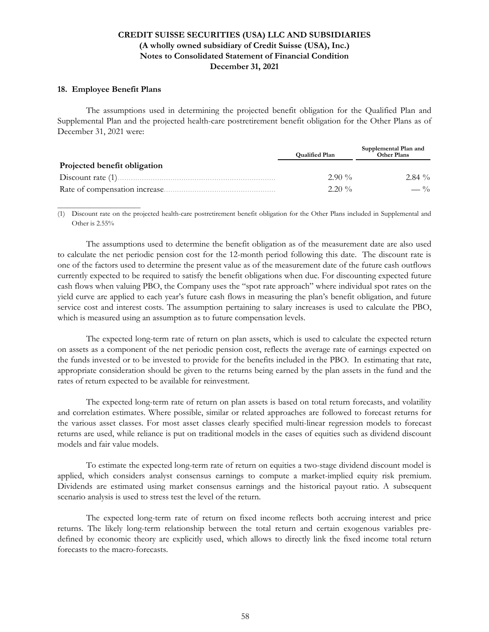### **18. Employee Benefit Plans**

**\_\_\_\_\_\_\_\_\_\_\_\_\_\_\_\_\_\_\_\_\_\_\_\_\_\_**

The assumptions used in determining the projected benefit obligation for the Qualified Plan and Supplemental Plan and the projected health-care postretirement benefit obligation for the Other Plans as of December 31, 2021 were:

|                               | <b>Qualified Plan</b> | Supplemental Plan and<br><b>Other Plans</b> |
|-------------------------------|-----------------------|---------------------------------------------|
| Projected benefit obligation  |                       |                                             |
|                               | $2.90\%$              | $2.84\%$                                    |
| Rate of compensation increase | $2.20\%$              | $-$ %                                       |

(1) Discount rate on the projected health-care postretirement benefit obligation for the Other Plans included in Supplemental and Other is 2.55%

The assumptions used to determine the benefit obligation as of the measurement date are also used to calculate the net periodic pension cost for the 12-month period following this date. The discount rate is one of the factors used to determine the present value as of the measurement date of the future cash outflows currently expected to be required to satisfy the benefit obligations when due. For discounting expected future cash flows when valuing PBO, the Company uses the "spot rate approach" where individual spot rates on the yield curve are applied to each year's future cash flows in measuring the plan's benefit obligation, and future service cost and interest costs. The assumption pertaining to salary increases is used to calculate the PBO, which is measured using an assumption as to future compensation levels.

The expected long-term rate of return on plan assets, which is used to calculate the expected return on assets as a component of the net periodic pension cost, reflects the average rate of earnings expected on the funds invested or to be invested to provide for the benefits included in the PBO. In estimating that rate, appropriate consideration should be given to the returns being earned by the plan assets in the fund and the rates of return expected to be available for reinvestment.

The expected long-term rate of return on plan assets is based on total return forecasts, and volatility and correlation estimates. Where possible, similar or related approaches are followed to forecast returns for the various asset classes. For most asset classes clearly specified multi-linear regression models to forecast returns are used, while reliance is put on traditional models in the cases of equities such as dividend discount models and fair value models.

To estimate the expected long-term rate of return on equities a two-stage dividend discount model is applied, which considers analyst consensus earnings to compute a market-implied equity risk premium. Dividends are estimated using market consensus earnings and the historical payout ratio. A subsequent scenario analysis is used to stress test the level of the return.

The expected long-term rate of return on fixed income reflects both accruing interest and price returns. The likely long-term relationship between the total return and certain exogenous variables predefined by economic theory are explicitly used, which allows to directly link the fixed income total return forecasts to the macro-forecasts.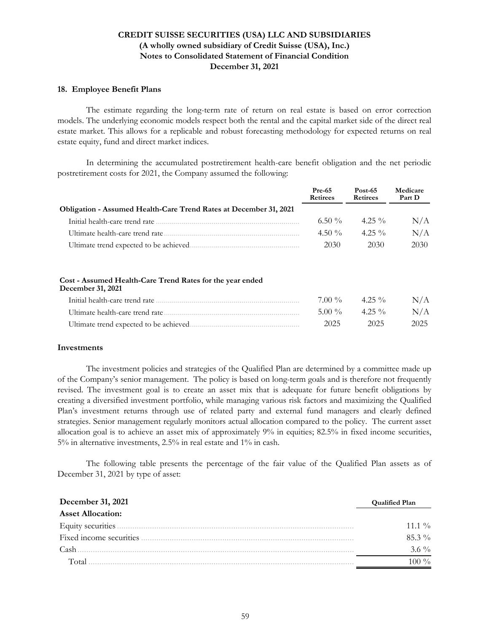#### **18. Employee Benefit Plans**

The estimate regarding the long-term rate of return on real estate is based on error correction models. The underlying economic models respect both the rental and the capital market side of the direct real estate market. This allows for a replicable and robust forecasting methodology for expected returns on real estate equity, fund and direct market indices.

In determining the accumulated postretirement health-care benefit obligation and the net periodic postretirement costs for 2021, the Company assumed the following:

|                                                                   | <b>Pre-65</b><br><b>Retirees</b> | Post-65<br><b>Retirees</b> | Medicare<br>Part D |
|-------------------------------------------------------------------|----------------------------------|----------------------------|--------------------|
| Obligation - Assumed Health-Care Trend Rates at December 31, 2021 |                                  |                            |                    |
| Initial health-care trend rate                                    | 6.50 $\%$                        | $4.25\%$                   | N/A                |
| Ultimate health-care trend rate.                                  | 4.50 $\%$                        | $4.25\%$                   | N/A                |
| Ultimate trend expected to be achieved                            | 2030                             | 2030                       | 2030               |

#### **Cost - Assumed Health-Care Trend Rates for the year ended December 31, 2021**

| Initial health-care trend rate         | $7.00\%$ | 4.25 $\%$ | N/A  |
|----------------------------------------|----------|-----------|------|
| Ultimate health-care trend rate        | $5.00\%$ | $4.25\%$  | N/A  |
| Ultimate trend expected to be achieved | 2025     | 2025      | 2025 |

#### **Investments**

The investment policies and strategies of the Qualified Plan are determined by a committee made up of the Company's senior management. The policy is based on long-term goals and is therefore not frequently revised. The investment goal is to create an asset mix that is adequate for future benefit obligations by creating a diversified investment portfolio, while managing various risk factors and maximizing the Qualified Plan's investment returns through use of related party and external fund managers and clearly defined strategies. Senior management regularly monitors actual allocation compared to the policy. The current asset allocation goal is to achieve an asset mix of approximately 9% in equities; 82.5% in fixed income securities, 5% in alternative investments, 2.5% in real estate and 1% in cash.

The following table presents the percentage of the fair value of the Qualified Plan assets as of December 31, 2021 by type of asset:

| December 31, 2021        | <b>Qualified Plan</b> |
|--------------------------|-----------------------|
| <b>Asset Allocation:</b> |                       |
|                          | 11.1 $\%$             |
|                          | $85.3\%$              |
| Cash                     | $3.6\%$               |
| Total                    |                       |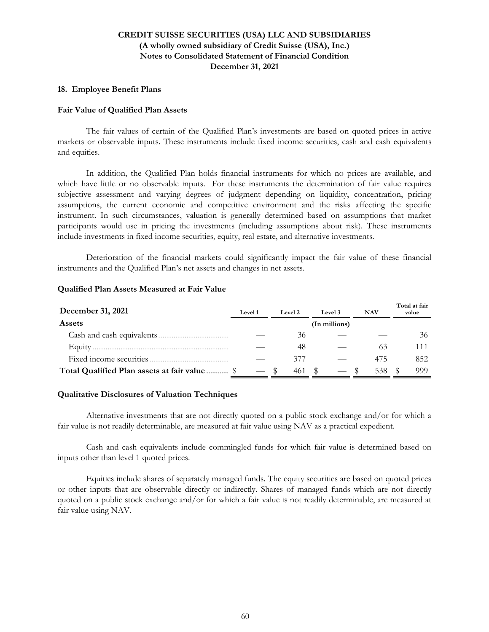#### **18. Employee Benefit Plans**

#### **Fair Value of Qualified Plan Assets**

The fair values of certain of the Qualified Plan's investments are based on quoted prices in active markets or observable inputs. These instruments include fixed income securities, cash and cash equivalents and equities.

 In addition, the Qualified Plan holds financial instruments for which no prices are available, and which have little or no observable inputs. For these instruments the determination of fair value requires subjective assessment and varying degrees of judgment depending on liquidity, concentration, pricing assumptions, the current economic and competitive environment and the risks affecting the specific instrument. In such circumstances, valuation is generally determined based on assumptions that market participants would use in pricing the investments (including assumptions about risk). These instruments include investments in fixed income securities, equity, real estate, and alternative investments.

Deterioration of the financial markets could significantly impact the fair value of these financial instruments and the Qualified Plan's net assets and changes in net assets.

| December 31, 2021                             | <b>Level 1</b> | Level 2 | Level 3       | <b>NAV</b> | Total at fair<br>value |
|-----------------------------------------------|----------------|---------|---------------|------------|------------------------|
| <b>Assets</b>                                 |                |         | (In millions) |            |                        |
| Cash and cash equivalents.                    |                | 36      |               |            | 36                     |
| Equity $\ldots$                               |                | 48      |               | 63         | 111                    |
| Fixed income securities                       |                | 377     |               | 475        | 852                    |
| Total Qualified Plan assets at fair value  \$ |                | 461     |               | 538        | 999                    |

#### **Qualified Plan Assets Measured at Fair Value**

#### **Qualitative Disclosures of Valuation Techniques**

Alternative investments that are not directly quoted on a public stock exchange and/or for which a fair value is not readily determinable, are measured at fair value using NAV as a practical expedient.

Cash and cash equivalents include commingled funds for which fair value is determined based on inputs other than level 1 quoted prices.

Equities include shares of separately managed funds. The equity securities are based on quoted prices or other inputs that are observable directly or indirectly. Shares of managed funds which are not directly quoted on a public stock exchange and/or for which a fair value is not readily determinable, are measured at fair value using NAV.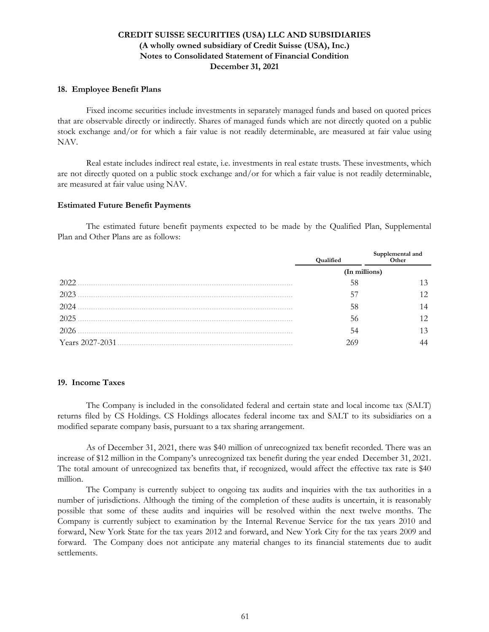#### **18. Employee Benefit Plans**

Fixed income securities include investments in separately managed funds and based on quoted prices that are observable directly or indirectly. Shares of managed funds which are not directly quoted on a public stock exchange and/or for which a fair value is not readily determinable, are measured at fair value using NAV.

Real estate includes indirect real estate, i.e. investments in real estate trusts. These investments, which are not directly quoted on a public stock exchange and/or for which a fair value is not readily determinable, are measured at fair value using NAV.

#### **Estimated Future Benefit Payments**

The estimated future benefit payments expected to be made by the Qualified Plan, Supplemental Plan and Other Plans are as follows:

|                 | Qualified | Supplemental and<br>Other |
|-----------------|-----------|---------------------------|
|                 |           | (In millions)             |
| 2022            | 58        | 13                        |
| 2023            | 57        | 12                        |
| 2024            | 58        | 14                        |
| 2025            | 56        | 12                        |
| 2026            | 54        | 13                        |
| Years 2027-2031 | 269       |                           |

### **19. Income Taxes**

The Company is included in the consolidated federal and certain state and local income tax (SALT) returns filed by CS Holdings. CS Holdings allocates federal income tax and SALT to its subsidiaries on a modified separate company basis, pursuant to a tax sharing arrangement.

As of December 31, 2021, there was \$40 million of unrecognized tax benefit recorded. There was an increase of \$12 million in the Company's unrecognized tax benefit during the year ended December 31, 2021. The total amount of unrecognized tax benefits that, if recognized, would affect the effective tax rate is \$40 million.

The Company is currently subject to ongoing tax audits and inquiries with the tax authorities in a number of jurisdictions. Although the timing of the completion of these audits is uncertain, it is reasonably possible that some of these audits and inquiries will be resolved within the next twelve months. The Company is currently subject to examination by the Internal Revenue Service for the tax years 2010 and forward, New York State for the tax years 2012 and forward, and New York City for the tax years 2009 and forward. The Company does not anticipate any material changes to its financial statements due to audit settlements.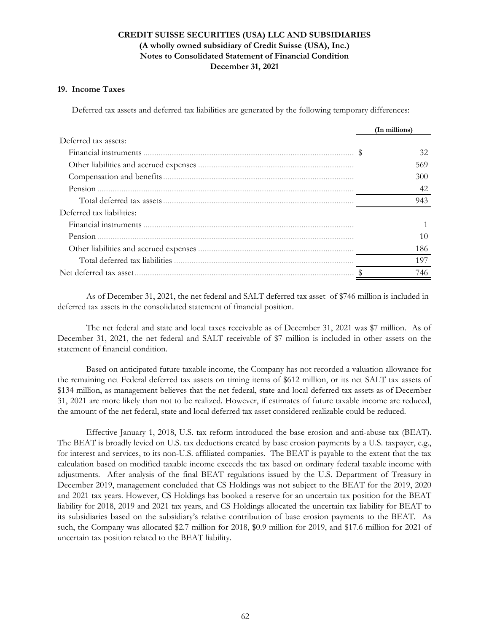#### **19. Income Taxes**

Deferred tax assets and deferred tax liabilities are generated by the following temporary differences:

|                           | (In millions) |
|---------------------------|---------------|
| Deferred tax assets:      |               |
| Financial instruments     | 32            |
|                           | 569           |
|                           | 300           |
| Pension                   | 42            |
|                           | 943           |
| Deferred tax liabilities: |               |
| Financial instruments     |               |
| Pension                   | 10            |
|                           | 186           |
|                           | 197           |
| Net deferred tax asset.   | 746           |

As of December 31, 2021, the net federal and SALT deferred tax asset of \$746 million is included in deferred tax assets in the consolidated statement of financial position.

The net federal and state and local taxes receivable as of December 31, 2021 was \$7 million. As of December 31, 2021, the net federal and SALT receivable of \$7 million is included in other assets on the statement of financial condition.

 Based on anticipated future taxable income, the Company has not recorded a valuation allowance for the remaining net Federal deferred tax assets on timing items of \$612 million, or its net SALT tax assets of \$134 million, as management believes that the net federal, state and local deferred tax assets as of December 31, 2021 are more likely than not to be realized. However, if estimates of future taxable income are reduced, the amount of the net federal, state and local deferred tax asset considered realizable could be reduced.

Effective January 1, 2018, U.S. tax reform introduced the base erosion and anti-abuse tax (BEAT). The BEAT is broadly levied on U.S. tax deductions created by base erosion payments by a U.S. taxpayer, e.g., for interest and services, to its non-U.S. affiliated companies. The BEAT is payable to the extent that the tax calculation based on modified taxable income exceeds the tax based on ordinary federal taxable income with adjustments. After analysis of the final BEAT regulations issued by the U.S. Department of Treasury in December 2019, management concluded that CS Holdings was not subject to the BEAT for the 2019, 2020 and 2021 tax years. However, CS Holdings has booked a reserve for an uncertain tax position for the BEAT liability for 2018, 2019 and 2021 tax years, and CS Holdings allocated the uncertain tax liability for BEAT to its subsidiaries based on the subsidiary's relative contribution of base erosion payments to the BEAT. As such, the Company was allocated \$2.7 million for 2018, \$0.9 million for 2019, and \$17.6 million for 2021 of uncertain tax position related to the BEAT liability.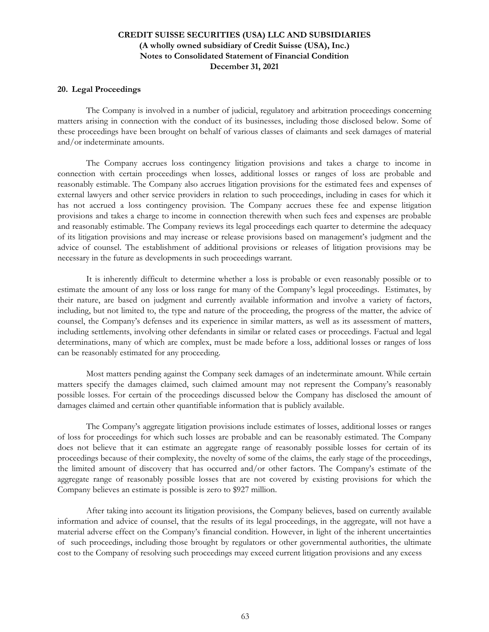#### **20. Legal Proceedings**

The Company is involved in a number of judicial, regulatory and arbitration proceedings concerning matters arising in connection with the conduct of its businesses, including those disclosed below. Some of these proceedings have been brought on behalf of various classes of claimants and seek damages of material and/or indeterminate amounts.

The Company accrues loss contingency litigation provisions and takes a charge to income in connection with certain proceedings when losses, additional losses or ranges of loss are probable and reasonably estimable. The Company also accrues litigation provisions for the estimated fees and expenses of external lawyers and other service providers in relation to such proceedings, including in cases for which it has not accrued a loss contingency provision. The Company accrues these fee and expense litigation provisions and takes a charge to income in connection therewith when such fees and expenses are probable and reasonably estimable. The Company reviews its legal proceedings each quarter to determine the adequacy of its litigation provisions and may increase or release provisions based on management's judgment and the advice of counsel. The establishment of additional provisions or releases of litigation provisions may be necessary in the future as developments in such proceedings warrant.

It is inherently difficult to determine whether a loss is probable or even reasonably possible or to estimate the amount of any loss or loss range for many of the Company's legal proceedings. Estimates, by their nature, are based on judgment and currently available information and involve a variety of factors, including, but not limited to, the type and nature of the proceeding, the progress of the matter, the advice of counsel, the Company's defenses and its experience in similar matters, as well as its assessment of matters, including settlements, involving other defendants in similar or related cases or proceedings. Factual and legal determinations, many of which are complex, must be made before a loss, additional losses or ranges of loss can be reasonably estimated for any proceeding.

Most matters pending against the Company seek damages of an indeterminate amount. While certain matters specify the damages claimed, such claimed amount may not represent the Company's reasonably possible losses. For certain of the proceedings discussed below the Company has disclosed the amount of damages claimed and certain other quantifiable information that is publicly available.

The Company's aggregate litigation provisions include estimates of losses, additional losses or ranges of loss for proceedings for which such losses are probable and can be reasonably estimated. The Company does not believe that it can estimate an aggregate range of reasonably possible losses for certain of its proceedings because of their complexity, the novelty of some of the claims, the early stage of the proceedings, the limited amount of discovery that has occurred and/or other factors. The Company's estimate of the aggregate range of reasonably possible losses that are not covered by existing provisions for which the Company believes an estimate is possible is zero to \$927 million.

After taking into account its litigation provisions, the Company believes, based on currently available information and advice of counsel, that the results of its legal proceedings, in the aggregate, will not have a material adverse effect on the Company's financial condition. However, in light of the inherent uncertainties of such proceedings, including those brought by regulators or other governmental authorities, the ultimate cost to the Company of resolving such proceedings may exceed current litigation provisions and any excess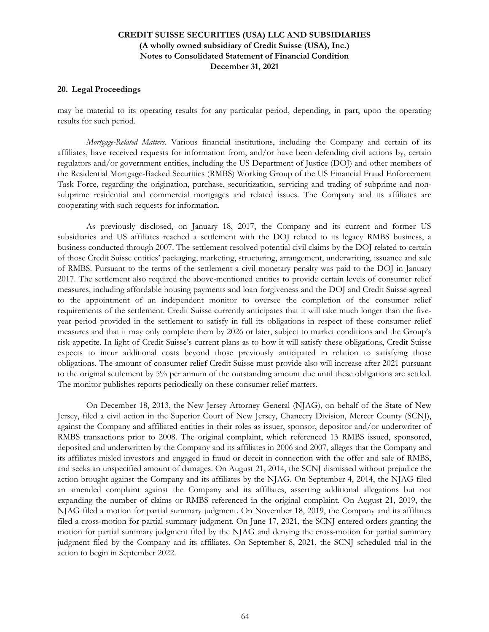#### **20. Legal Proceedings**

may be material to its operating results for any particular period, depending, in part, upon the operating results for such period.

*Mortgage-Related Matters*. Various financial institutions, including the Company and certain of its affiliates, have received requests for information from, and/or have been defending civil actions by, certain regulators and/or government entities, including the US Department of Justice (DOJ) and other members of the Residential Mortgage-Backed Securities (RMBS) Working Group of the US Financial Fraud Enforcement Task Force, regarding the origination, purchase, securitization, servicing and trading of subprime and nonsubprime residential and commercial mortgages and related issues. The Company and its affiliates are cooperating with such requests for information.

As previously disclosed, on January 18, 2017, the Company and its current and former US subsidiaries and US affiliates reached a settlement with the DOJ related to its legacy RMBS business, a business conducted through 2007. The settlement resolved potential civil claims by the DOJ related to certain of those Credit Suisse entities' packaging, marketing, structuring, arrangement, underwriting, issuance and sale of RMBS. Pursuant to the terms of the settlement a civil monetary penalty was paid to the DOJ in January 2017. The settlement also required the above-mentioned entities to provide certain levels of consumer relief measures, including affordable housing payments and loan forgiveness and the DOJ and Credit Suisse agreed to the appointment of an independent monitor to oversee the completion of the consumer relief requirements of the settlement. Credit Suisse currently anticipates that it will take much longer than the fiveyear period provided in the settlement to satisfy in full its obligations in respect of these consumer relief measures and that it may only complete them by 2026 or later, subject to market conditions and the Group's risk appetite. In light of Credit Suisse's current plans as to how it will satisfy these obligations, Credit Suisse expects to incur additional costs beyond those previously anticipated in relation to satisfying those obligations. The amount of consumer relief Credit Suisse must provide also will increase after 2021 pursuant to the original settlement by 5% per annum of the outstanding amount due until these obligations are settled. The monitor publishes reports periodically on these consumer relief matters.

On December 18, 2013, the New Jersey Attorney General (NJAG), on behalf of the State of New Jersey, filed a civil action in the Superior Court of New Jersey, Chancery Division, Mercer County (SCNJ), against the Company and affiliated entities in their roles as issuer, sponsor, depositor and/or underwriter of RMBS transactions prior to 2008. The original complaint, which referenced 13 RMBS issued, sponsored, deposited and underwritten by the Company and its affiliates in 2006 and 2007, alleges that the Company and its affiliates misled investors and engaged in fraud or deceit in connection with the offer and sale of RMBS, and seeks an unspecified amount of damages. On August 21, 2014, the SCNJ dismissed without prejudice the action brought against the Company and its affiliates by the NJAG. On September 4, 2014, the NJAG filed an amended complaint against the Company and its affiliates, asserting additional allegations but not expanding the number of claims or RMBS referenced in the original complaint. On August 21, 2019, the NJAG filed a motion for partial summary judgment. On November 18, 2019, the Company and its affiliates filed a cross-motion for partial summary judgment. On June 17, 2021, the SCNJ entered orders granting the motion for partial summary judgment filed by the NJAG and denying the cross-motion for partial summary judgment filed by the Company and its affiliates. On September 8, 2021, the SCNJ scheduled trial in the action to begin in September 2022.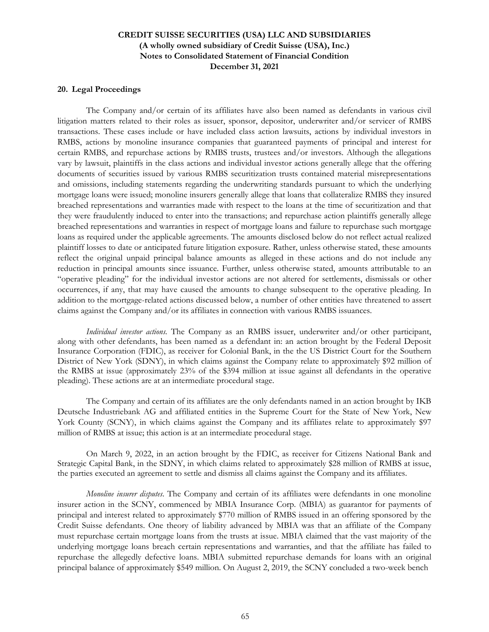#### **20. Legal Proceedings**

The Company and/or certain of its affiliates have also been named as defendants in various civil litigation matters related to their roles as issuer, sponsor, depositor, underwriter and/or servicer of RMBS transactions. These cases include or have included class action lawsuits, actions by individual investors in RMBS, actions by monoline insurance companies that guaranteed payments of principal and interest for certain RMBS, and repurchase actions by RMBS trusts, trustees and/or investors. Although the allegations vary by lawsuit, plaintiffs in the class actions and individual investor actions generally allege that the offering documents of securities issued by various RMBS securitization trusts contained material misrepresentations and omissions, including statements regarding the underwriting standards pursuant to which the underlying mortgage loans were issued; monoline insurers generally allege that loans that collateralize RMBS they insured breached representations and warranties made with respect to the loans at the time of securitization and that they were fraudulently induced to enter into the transactions; and repurchase action plaintiffs generally allege breached representations and warranties in respect of mortgage loans and failure to repurchase such mortgage loans as required under the applicable agreements. The amounts disclosed below do not reflect actual realized plaintiff losses to date or anticipated future litigation exposure. Rather, unless otherwise stated, these amounts reflect the original unpaid principal balance amounts as alleged in these actions and do not include any reduction in principal amounts since issuance. Further, unless otherwise stated, amounts attributable to an "operative pleading" for the individual investor actions are not altered for settlements, dismissals or other occurrences, if any, that may have caused the amounts to change subsequent to the operative pleading. In addition to the mortgage-related actions discussed below, a number of other entities have threatened to assert claims against the Company and/or its affiliates in connection with various RMBS issuances.

*Individual investor actions*. The Company as an RMBS issuer, underwriter and/or other participant, along with other defendants, has been named as a defendant in: an action brought by the Federal Deposit Insurance Corporation (FDIC), as receiver for Colonial Bank, in the the US District Court for the Southern District of New York (SDNY), in which claims against the Company relate to approximately \$92 million of the RMBS at issue (approximately 23% of the \$394 million at issue against all defendants in the operative pleading). These actions are at an intermediate procedural stage.

The Company and certain of its affiliates are the only defendants named in an action brought by IKB Deutsche Industriebank AG and affiliated entities in the Supreme Court for the State of New York, New York County (SCNY), in which claims against the Company and its affiliates relate to approximately \$97 million of RMBS at issue; this action is at an intermediate procedural stage.

On March 9, 2022, in an action brought by the FDIC, as receiver for Citizens National Bank and Strategic Capital Bank, in the SDNY, in which claims related to approximately [\\$28](mdd://CreditSuisseGroup/Cs20211231/cs-4Q21%3AResidentialMortgageBackedSecuritiesIssuedByThirdPartyFaceAmountUnderwrittenByEntityAmount/AR_D-CurrentYear?unit=USD&dim=cs-4Q21%3ALitigationByCourtJurisdictionAxis:cs-4Q21%3ALitigationCourtUSDistrictCourtForTheSouthernDistrictOfNewYorkSDNYMember,cs-4Q21%3ALossContingenciesByNameAssociatedWithContingencyAxis:cs-4Q21%3ALitigationPlaintiffFederalDepositInsuranceCorporationAsReceiverForCitizensNationalBankAndStrategicCapitalBankMember,dei-2021q4%3ALegalEntityAxis:cs-4Q21%3ACreditSuisseSecuritiesUsaLlcMember,us-gaap-2021%3ALossContingenciesByNatureOfContingencyAxis:cs-4Q21%3ALitigationMortgagerelatedMattersIndividualInvestorActionsMember&shift=6&format=CS-Number-0dec) million of RMBS at issue, the parties executed an agreement to settle and dismiss all claims against the Company and its affiliates.

*Monoline insurer disputes*. The Company and certain of its affiliates were defendants in one monoline insurer action in the SCNY, commenced by MBIA Insurance Corp. (MBIA) as guarantor for payments of principal and interest related to approximately \$770 million of RMBS issued in an offering sponsored by the Credit Suisse defendants. One theory of liability advanced by MBIA was that an affiliate of the Company must repurchase certain mortgage loans from the trusts at issue. MBIA claimed that the vast majority of the underlying mortgage loans breach certain representations and warranties, and that the affiliate has failed to repurchase the allegedly defective loans. MBIA submitted repurchase demands for loans with an original principal balance of approximately \$549 million. On August 2, 2019, the SCNY concluded a two-week bench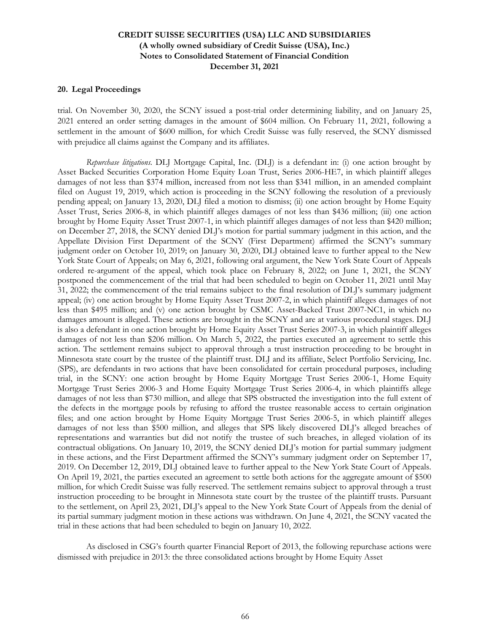#### **20. Legal Proceedings**

trial. On November 30, 2020, the SCNY issued a post-trial order determining liability, and on January 25, 2021 entered an order setting damages in the amount of \$604 million. On February 11, 2021, following a settlement in the amount of \$600 million, for which Credit Suisse was fully reserved, the SCNY dismissed with prejudice all claims against the Company and its affiliates.

*Repurchase litigations*. DLJ Mortgage Capital, Inc. (DLJ) is a defendant in: (i) one action brought by Asset Backed Securities Corporation Home Equity Loan Trust, Series 2006-HE7, in which plaintiff alleges damages of not less than \$374 million, increased from not less than \$341 million, in an amended complaint filed on August 19, 2019, which action is proceeding in the SCNY following the resolution of a previously pending appeal; on January 13, 2020, DLJ filed a motion to dismiss; (ii) one action brought by Home Equity Asset Trust, Series 2006-8, in which plaintiff alleges damages of not less than \$436 million; (iii) one action brought by Home Equity Asset Trust 2007-1, in which plaintiff alleges damages of not less than \$420 million; on December 27, 2018, the SCNY denied DLJ's motion for partial summary judgment in this action, and the Appellate Division First Department of the SCNY (First Department) affirmed the SCNY's summary judgment order on October 10, 2019; on January 30, 2020, DLJ obtained leave to further appeal to the New York State Court of Appeals; on May 6, 2021, following oral argument, the New York State Court of Appeals ordered re-argument of the appeal, which took place on February 8, 2022; on June 1, 2021, the SCNY postponed the commencement of the trial that had been scheduled to begin on October 11, 2021 until May 31, 2022; the commencement of the trial remains subject to the final resolution of DLJ's summary judgment appeal; (iv) one action brought by Home Equity Asset Trust 2007-2, in which plaintiff alleges damages of not less than \$495 million; and (v) one action brought by CSMC Asset-Backed Trust 2007-NC1, in which no damages amount is alleged. These actions are brought in the SCNY and are at various procedural stages. DLJ is also a defendant in one action brought by Home Equity Asset Trust Series 2007-3, in which plaintiff alleges damages of not less than [\\$206](mdd://CreditSuisseGroup/Cs20211231/us-gaap-2021%3ALossContingencyDamagesSoughtValue/AR_D-CurrentYear?unit=USD&dim=cs-4Q21%3ALitigationByCourtJurisdictionAxis:cs-4Q21%3ALitigationCourtSupremeCourtForTheStateOfNewYorkNewYorkCountySCNYMember,cs-4Q21%3ALossContingenciesByNameAssociatedWithContingencyAxis:cs-4Q21%3ALitigationPlaintiffHomeEquityAssetTrustSeries20073Member,dei-2021q4%3ALegalEntityAxis:cs-4Q21%3ADljMortgageCapitalIncMember,srt-2021%3ARangeAxis:srt-2021%3AMinimumMember,us-gaap-2021%3ALossContingenciesByNatureOfContingencyAxis:cs-4Q21%3ALitigationMortgagerelatedMattersRepurchaseLitigationsMember&shift=6&format=CS-Number-0dec) million. On March 5, 2022, the parties executed an agreement to settle this action. The settlement remains subject to approval through a trust instruction proceeding to be brought in Minnesota state court by the trustee of the plaintiff trust. DLJ and its affiliate, Select Portfolio Servicing, Inc. (SPS), are defendants in two actions that have been consolidated for certain procedural purposes, including trial, in the SCNY: one action brought by Home Equity Mortgage Trust Series 2006-1, Home Equity Mortgage Trust Series 2006-3 and Home Equity Mortgage Trust Series 2006-4, in which plaintiffs allege damages of not less than \$730 million, and allege that SPS obstructed the investigation into the full extent of the defects in the mortgage pools by refusing to afford the trustee reasonable access to certain origination files; and one action brought by Home Equity Mortgage Trust Series 2006-5, in which plaintiff alleges damages of not less than \$500 million, and alleges that SPS likely discovered DLJ's alleged breaches of representations and warranties but did not notify the trustee of such breaches, in alleged violation of its contractual obligations. On January 10, 2019, the SCNY denied DLJ's motion for partial summary judgment in these actions, and the First Department affirmed the SCNY's summary judgment order on September 17, 2019. On December 12, 2019, DLJ obtained leave to further appeal to the New York State Court of Appeals. On April 19, 2021, the parties executed an agreement to settle both actions for the aggregate amount of \$500 million, for which Credit Suisse was fully reserved. The settlement remains subject to approval through a trust instruction proceeding to be brought in Minnesota state court by the trustee of the plaintiff trusts. Pursuant to the settlement, on April 23, 2021, DLJ's appeal to the New York State Court of Appeals from the denial of its partial summary judgment motion in these actions was withdrawn. On June 4, 2021, the SCNY vacated the trial in these actions that had been scheduled to begin on January 10, 2022.

As disclosed in CSG's fourth quarter Financial Report of 2013, the following repurchase actions were dismissed with prejudice in 2013: the three consolidated actions brought by Home Equity Asset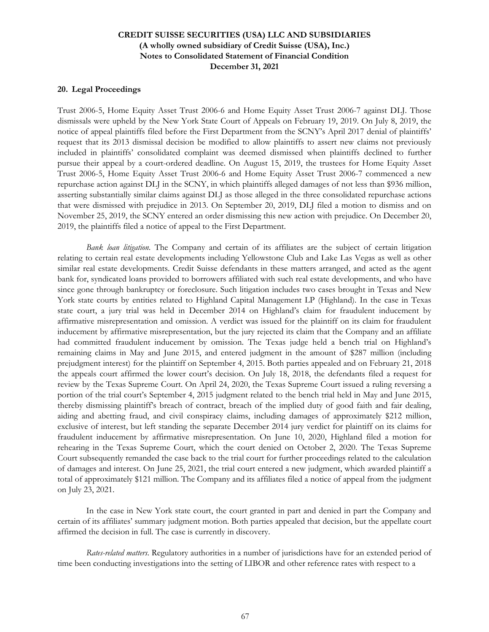#### **20. Legal Proceedings**

Trust 2006-5, Home Equity Asset Trust 2006-6 and Home Equity Asset Trust 2006-7 against DLJ. Those dismissals were upheld by the New York State Court of Appeals on February 19, 2019. On July 8, 2019, the notice of appeal plaintiffs filed before the First Department from the SCNY's April 2017 denial of plaintiffs' request that its 2013 dismissal decision be modified to allow plaintiffs to assert new claims not previously included in plaintiffs' consolidated complaint was deemed dismissed when plaintiffs declined to further pursue their appeal by a court-ordered deadline. On August 15, 2019, the trustees for Home Equity Asset Trust 2006-5, Home Equity Asset Trust 2006-6 and Home Equity Asset Trust 2006-7 commenced a new repurchase action against DLJ in the SCNY, in which plaintiffs alleged damages of not less than \$936 million, asserting substantially similar claims against DLJ as those alleged in the three consolidated repurchase actions that were dismissed with prejudice in 2013. On September 20, 2019, DLJ filed a motion to dismiss and on November 25, 2019, the SCNY entered an order dismissing this new action with prejudice. On December 20, 2019, the plaintiffs filed a notice of appeal to the First Department.

*Bank loan litigation*. The Company and certain of its affiliates are the subject of certain litigation relating to certain real estate developments including Yellowstone Club and Lake Las Vegas as well as other similar real estate developments. Credit Suisse defendants in these matters arranged, and acted as the agent bank for, syndicated loans provided to borrowers affiliated with such real estate developments, and who have since gone through bankruptcy or foreclosure. Such litigation includes two cases brought in Texas and New York state courts by entities related to Highland Capital Management LP (Highland). In the case in Texas state court, a jury trial was held in December 2014 on Highland's claim for fraudulent inducement by affirmative misrepresentation and omission. A verdict was issued for the plaintiff on its claim for fraudulent inducement by affirmative misrepresentation, but the jury rejected its claim that the Company and an affiliate had committed fraudulent inducement by omission. The Texas judge held a bench trial on Highland's remaining claims in May and June 2015, and entered judgment in the amount of \$287 million (including prejudgment interest) for the plaintiff on September 4, 2015. Both parties appealed and on February 21, 2018 the appeals court affirmed the lower court's decision. On July 18, 2018, the defendants filed a request for review by the Texas Supreme Court. On April 24, 2020, the Texas Supreme Court issued a ruling reversing a portion of the trial court's September 4, 2015 judgment related to the bench trial held in May and June 2015, thereby dismissing plaintiff's breach of contract, breach of the implied duty of good faith and fair dealing, aiding and abetting fraud, and civil conspiracy claims, including damages of approximately \$212 million, exclusive of interest, but left standing the separate December 2014 jury verdict for plaintiff on its claims for fraudulent inducement by affirmative misrepresentation. On June 10, 2020, Highland filed a motion for rehearing in the Texas Supreme Court, which the court denied on October 2, 2020. The Texas Supreme Court subsequently remanded the case back to the trial court for further proceedings related to the calculation of damages and interest. On June 25, 2021, the trial court entered a new judgment, which awarded plaintiff a total of approximately \$121 million. The Company and its affiliates filed a notice of appeal from the judgment on July 23, 2021.

In the case in New York state court, the court granted in part and denied in part the Company and certain of its affiliates' summary judgment motion. Both parties appealed that decision, but the appellate court affirmed the decision in full. The case is currently in discovery.

*Rates-related matters*. Regulatory authorities in a number of jurisdictions have for an extended period of time been conducting investigations into the setting of LIBOR and other reference rates with respect to a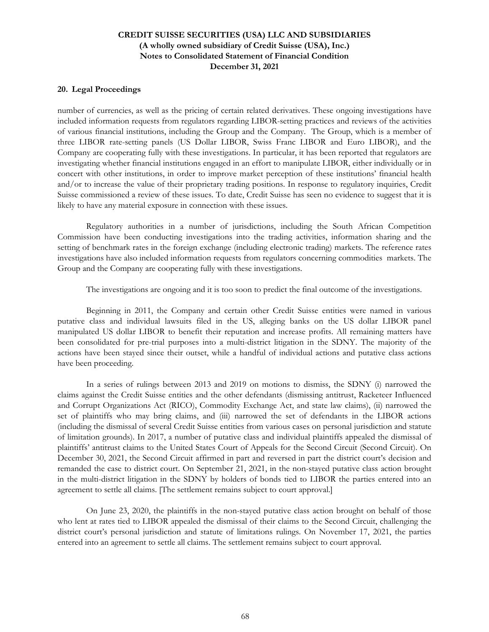### **20. Legal Proceedings**

number of currencies, as well as the pricing of certain related derivatives. These ongoing investigations have included information requests from regulators regarding LIBOR-setting practices and reviews of the activities of various financial institutions, including the Group and the Company. The Group, which is a member of three LIBOR rate-setting panels (US Dollar LIBOR, Swiss Franc LIBOR and Euro LIBOR), and the Company are cooperating fully with these investigations. In particular, it has been reported that regulators are investigating whether financial institutions engaged in an effort to manipulate LIBOR, either individually or in concert with other institutions, in order to improve market perception of these institutions' financial health and/or to increase the value of their proprietary trading positions. In response to regulatory inquiries, Credit Suisse commissioned a review of these issues. To date, Credit Suisse has seen no evidence to suggest that it is likely to have any material exposure in connection with these issues.

Regulatory authorities in a number of jurisdictions, including the South African Competition Commission have been conducting investigations into the trading activities, information sharing and the setting of benchmark rates in the foreign exchange (including electronic trading) markets. The reference rates investigations have also included information requests from regulators concerning commodities markets. The Group and the Company are cooperating fully with these investigations.

The investigations are ongoing and it is too soon to predict the final outcome of the investigations.

Beginning in 2011, the Company and certain other Credit Suisse entities were named in various putative class and individual lawsuits filed in the US, alleging banks on the US dollar LIBOR panel manipulated US dollar LIBOR to benefit their reputation and increase profits. All remaining matters have been consolidated for pre-trial purposes into a multi-district litigation in the SDNY. The majority of the actions have been stayed since their outset, while a handful of individual actions and putative class actions have been proceeding.

In a series of rulings between 2013 and 2019 on motions to dismiss, the SDNY (i) narrowed the claims against the Credit Suisse entities and the other defendants (dismissing antitrust, Racketeer Influenced and Corrupt Organizations Act (RICO), Commodity Exchange Act, and state law claims), (ii) narrowed the set of plaintiffs who may bring claims, and (iii) narrowed the set of defendants in the LIBOR actions (including the dismissal of several Credit Suisse entities from various cases on personal jurisdiction and statute of limitation grounds). In 2017, a number of putative class and individual plaintiffs appealed the dismissal of plaintiffs' antitrust claims to the United States Court of Appeals for the Second Circuit (Second Circuit). On December 30, 2021, the Second Circuit affirmed in part and reversed in part the district court's decision and remanded the case to district court. On September 21, 2021, in the non-stayed putative class action brought in the multi-district litigation in the SDNY by holders of bonds tied to LIBOR the parties entered into an agreement to settle all claims. [The settlement remains subject to court approval.]

On June 23, 2020, the plaintiffs in the non-stayed putative class action brought on behalf of those who lent at rates tied to LIBOR appealed the dismissal of their claims to the Second Circuit, challenging the district court's personal jurisdiction and statute of limitations rulings. On November 17, 2021, the parties entered into an agreement to settle all claims. The settlement remains subject to court approval.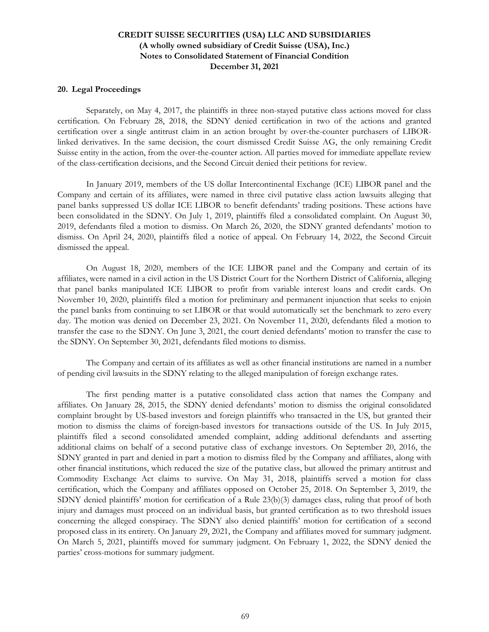#### **20. Legal Proceedings**

Separately, on May 4, 2017, the plaintiffs in three non-stayed putative class actions moved for class certification. On February 28, 2018, the SDNY denied certification in two of the actions and granted certification over a single antitrust claim in an action brought by over-the-counter purchasers of LIBORlinked derivatives. In the same decision, the court dismissed Credit Suisse AG, the only remaining Credit Suisse entity in the action, from the over-the-counter action. All parties moved for immediate appellate review of the class-certification decisions, and the Second Circuit denied their petitions for review.

In January 2019, members of the US dollar Intercontinental Exchange (ICE) LIBOR panel and the Company and certain of its affiliates, were named in three civil putative class action lawsuits alleging that panel banks suppressed US dollar ICE LIBOR to benefit defendants' trading positions. These actions have been consolidated in the SDNY. On July 1, 2019, plaintiffs filed a consolidated complaint. On August 30, 2019, defendants filed a motion to dismiss. On March 26, 2020, the SDNY granted defendants' motion to dismiss. On April 24, 2020, plaintiffs filed a notice of appeal. On February 14, 2022, the Second Circuit dismissed the appeal.

On August 18, 2020, members of the ICE LIBOR panel and the Company and certain of its affiliates, were named in a civil action in the US District Court for the Northern District of California, alleging that panel banks manipulated ICE LIBOR to profit from variable interest loans and credit cards. On November 10, 2020, plaintiffs filed a motion for preliminary and permanent injunction that seeks to enjoin the panel banks from continuing to set LIBOR or that would automatically set the benchmark to zero every day. The motion was denied on December 23, 2021. On November 11, 2020, defendants filed a motion to transfer the case to the SDNY. On June 3, 2021, the court denied defendants' motion to transfer the case to the SDNY. On September 30, 2021, defendants filed motions to dismiss.

The Company and certain of its affiliates as well as other financial institutions are named in a number of pending civil lawsuits in the SDNY relating to the alleged manipulation of foreign exchange rates.

The first pending matter is a putative consolidated class action that names the Company and affiliates. On January 28, 2015, the SDNY denied defendants' motion to dismiss the original consolidated complaint brought by US-based investors and foreign plaintiffs who transacted in the US, but granted their motion to dismiss the claims of foreign-based investors for transactions outside of the US. In July 2015, plaintiffs filed a second consolidated amended complaint, adding additional defendants and asserting additional claims on behalf of a second putative class of exchange investors. On September 20, 2016, the SDNY granted in part and denied in part a motion to dismiss filed by the Company and affiliates, along with other financial institutions, which reduced the size of the putative class, but allowed the primary antitrust and Commodity Exchange Act claims to survive. On May 31, 2018, plaintiffs served a motion for class certification, which the Company and affiliates opposed on October 25, 2018. On September 3, 2019, the SDNY denied plaintiffs' motion for certification of a Rule 23(b)(3) damages class, ruling that proof of both injury and damages must proceed on an individual basis, but granted certification as to two threshold issues concerning the alleged conspiracy. The SDNY also denied plaintiffs' motion for certification of a second proposed class in its entirety. On January 29, 2021, the Company and affiliates moved for summary judgment. On March 5, 2021, plaintiffs moved for summary judgment. On February 1, 2022, the SDNY denied the parties' cross-motions for summary judgment.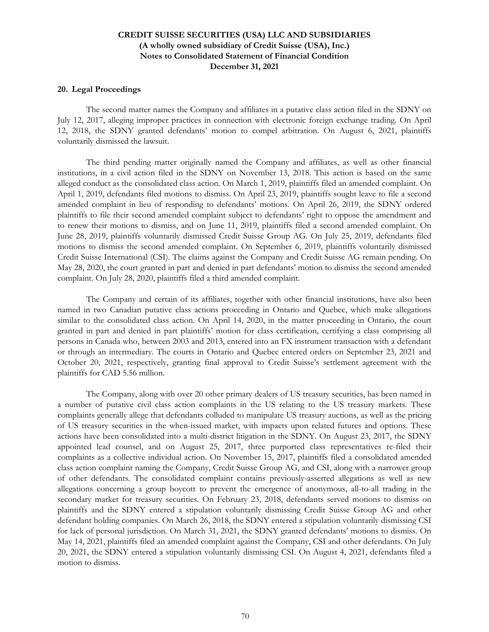#### **20. Legal Proceedings**

The second matter names the Company and affiliates in a putative class action filed in the SDNY on July 12, 2017, alleging improper practices in connection with electronic foreign exchange trading. On April 12, 2018, the SDNY granted defendants' motion to compel arbitration. On August 6, 2021, plaintiffs voluntarily dismissed the lawsuit.

The third pending matter originally named the Company and affiliates, as well as other financial institutions, in a civil action filed in the SDNY on November 13, 2018. This action is based on the same alleged conduct as the consolidated class action. On March 1, 2019, plaintiffs filed an amended complaint. On April 1, 2019, defendants filed motions to dismiss. On April 23, 2019, plaintiffs sought leave to file a second amended complaint in lieu of responding to defendants' motions. On April 26, 2019, the SDNY ordered plaintiffs to file their second amended complaint subject to defendants' right to oppose the amendment and to renew their motions to dismiss, and on June 11, 2019, plaintiffs filed a second amended complaint. On June 28, 2019, plaintiffs voluntarily dismissed Credit Suisse Group AG. On July 25, 2019, defendants filed motions to dismiss the second amended complaint. On September 6, 2019, plaintiffs voluntarily dismissed Credit Suisse International (CSI). The claims against the Company and Credit Suisse AG remain pending. On May 28, 2020, the court granted in part and denied in part defendants' motion to dismiss the second amended complaint. On July 28, 2020, plaintiffs filed a third amended complaint.

The Company and certain of its affiliates, together with other financial institutions, have also been named in two Canadian putative class actions proceeding in Ontario and Quebec, which make allegations similar to the consolidated class action. On April 14, 2020, in the matter proceeding in Ontario, the court granted in part and denied in part plaintiffs' motion for class certification, certifying a class comprising all persons in Canada who, between 2003 and 2013, entered into an FX instrument transaction with a defendant or through an intermediary. The courts in Ontario and Quebec entered orders on September 23, 2021 and October 20, 2021, respectively, granting final approval to Credit Suisse's settlement agreement with the plaintiffs for CAD 5.56 million.

The Company, along with over 20 other primary dealers of US treasury securities, has been named in a number of putative civil class action complaints in the US relating to the US treasury markets. These complaints generally allege that defendants colluded to manipulate US treasury auctions, as well as the pricing of US treasury securities in the when-issued market, with impacts upon related futures and options. These actions have been consolidated into a multi-district litigation in the SDNY. On August 23, 2017, the SDNY appointed lead counsel, and on August 25, 2017, three purported class representatives re-filed their complaints as a collective individual action. On November 15, 2017, plaintiffs filed a consolidated amended class action complaint naming the Company, Credit Suisse Group AG, and CSI, along with a narrower group of other defendants. The consolidated complaint contains previously-asserted allegations as well as new allegations concerning a group boycott to prevent the emergence of anonymous, all-to-all trading in the secondary market for treasury securities. On February 23, 2018, defendants served motions to dismiss on plaintiffs and the SDNY entered a stipulation voluntarily dismissing Credit Suisse Group AG and other defendant holding companies. On March 26, 2018, the SDNY entered a stipulation voluntarily dismissing CSI for lack of personal jurisdiction. On March 31, 2021, the SDNY granted defendants' motions to dismiss. On May 14, 2021, plaintiffs filed an amended complaint against the Company, CSI and other defendants. On July 20, 2021, the SDNY entered a stipulation voluntarily dismissing CSI. On August 4, 2021, defendants filed a motion to dismiss.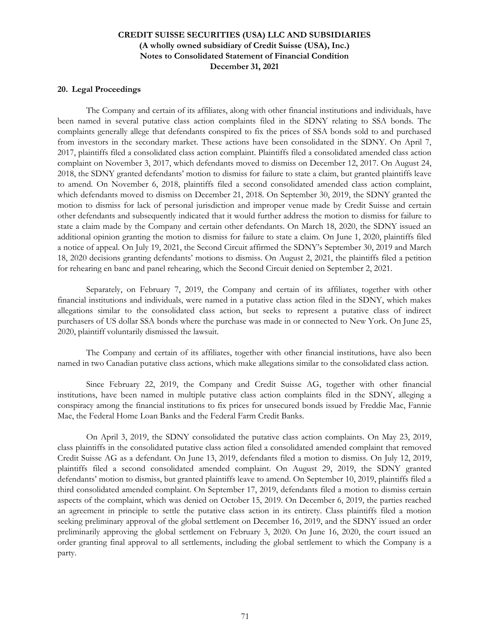### **20. Legal Proceedings**

The Company and certain of its affiliates, along with other financial institutions and individuals, have been named in several putative class action complaints filed in the SDNY relating to SSA bonds. The complaints generally allege that defendants conspired to fix the prices of SSA bonds sold to and purchased from investors in the secondary market. These actions have been consolidated in the SDNY. On April 7, 2017, plaintiffs filed a consolidated class action complaint. Plaintiffs filed a consolidated amended class action complaint on November 3, 2017, which defendants moved to dismiss on December 12, 2017. On August 24, 2018, the SDNY granted defendants' motion to dismiss for failure to state a claim, but granted plaintiffs leave to amend. On November 6, 2018, plaintiffs filed a second consolidated amended class action complaint, which defendants moved to dismiss on December 21, 2018. On September 30, 2019, the SDNY granted the motion to dismiss for lack of personal jurisdiction and improper venue made by Credit Suisse and certain other defendants and subsequently indicated that it would further address the motion to dismiss for failure to state a claim made by the Company and certain other defendants. On March 18, 2020, the SDNY issued an additional opinion granting the motion to dismiss for failure to state a claim. On June 1, 2020, plaintiffs filed a notice of appeal. On July 19, 2021, the Second Circuit affirmed the SDNY's September 30, 2019 and March 18, 2020 decisions granting defendants' motions to dismiss. On August 2, 2021, the plaintiffs filed a petition for rehearing en banc and panel rehearing, which the Second Circuit denied on September 2, 2021.

Separately, on February 7, 2019, the Company and certain of its affiliates, together with other financial institutions and individuals, were named in a putative class action filed in the SDNY, which makes allegations similar to the consolidated class action, but seeks to represent a putative class of indirect purchasers of US dollar SSA bonds where the purchase was made in or connected to New York. On June 25, 2020, plaintiff voluntarily dismissed the lawsuit.

The Company and certain of its affiliates, together with other financial institutions, have also been named in two Canadian putative class actions, which make allegations similar to the consolidated class action.

Since February 22, 2019, the Company and Credit Suisse AG, together with other financial institutions, have been named in multiple putative class action complaints filed in the SDNY, alleging a conspiracy among the financial institutions to fix prices for unsecured bonds issued by Freddie Mac, Fannie Mae, the Federal Home Loan Banks and the Federal Farm Credit Banks.

On April 3, 2019, the SDNY consolidated the putative class action complaints. On May 23, 2019, class plaintiffs in the consolidated putative class action filed a consolidated amended complaint that removed Credit Suisse AG as a defendant. On June 13, 2019, defendants filed a motion to dismiss. On July 12, 2019, plaintiffs filed a second consolidated amended complaint. On August 29, 2019, the SDNY granted defendants' motion to dismiss, but granted plaintiffs leave to amend. On September 10, 2019, plaintiffs filed a third consolidated amended complaint. On September 17, 2019, defendants filed a motion to dismiss certain aspects of the complaint, which was denied on October 15, 2019. On December 6, 2019, the parties reached an agreement in principle to settle the putative class action in its entirety. Class plaintiffs filed a motion seeking preliminary approval of the global settlement on December 16, 2019, and the SDNY issued an order preliminarily approving the global settlement on February 3, 2020. On June 16, 2020, the court issued an order granting final approval to all settlements, including the global settlement to which the Company is a party.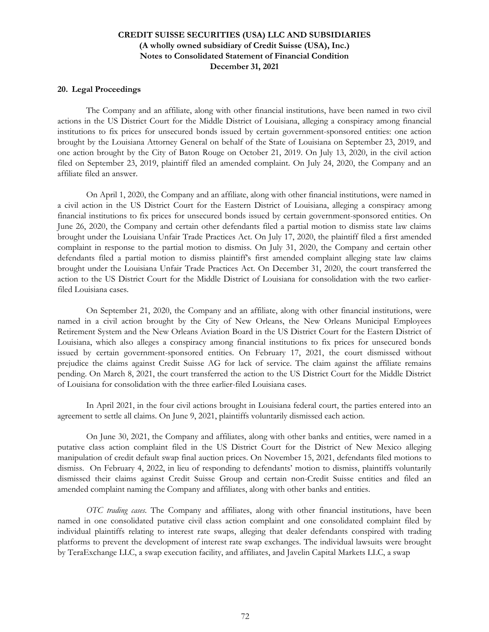#### **20. Legal Proceedings**

The Company and an affiliate, along with other financial institutions, have been named in two civil actions in the US District Court for the Middle District of Louisiana, alleging a conspiracy among financial institutions to fix prices for unsecured bonds issued by certain government-sponsored entities: one action brought by the Louisiana Attorney General on behalf of the State of Louisiana on September 23, 2019, and one action brought by the City of Baton Rouge on October 21, 2019. On July 13, 2020, in the civil action filed on September 23, 2019, plaintiff filed an amended complaint. On July 24, 2020, the Company and an affiliate filed an answer.

On April 1, 2020, the Company and an affiliate, along with other financial institutions, were named in a civil action in the US District Court for the Eastern District of Louisiana, alleging a conspiracy among financial institutions to fix prices for unsecured bonds issued by certain government-sponsored entities. On June 26, 2020, the Company and certain other defendants filed a partial motion to dismiss state law claims brought under the Louisiana Unfair Trade Practices Act. On July 17, 2020, the plaintiff filed a first amended complaint in response to the partial motion to dismiss. On July 31, 2020, the Company and certain other defendants filed a partial motion to dismiss plaintiff's first amended complaint alleging state law claims brought under the Louisiana Unfair Trade Practices Act. On December 31, 2020, the court transferred the action to the US District Court for the Middle District of Louisiana for consolidation with the two earlierfiled Louisiana cases.

On September 21, 2020, the Company and an affiliate, along with other financial institutions, were named in a civil action brought by the City of New Orleans, the New Orleans Municipal Employees Retirement System and the New Orleans Aviation Board in the US District Court for the Eastern District of Louisiana, which also alleges a conspiracy among financial institutions to fix prices for unsecured bonds issued by certain government-sponsored entities. On February 17, 2021, the court dismissed without prejudice the claims against Credit Suisse AG for lack of service. The claim against the affiliate remains pending. On March 8, 2021, the court transferred the action to the US District Court for the Middle District of Louisiana for consolidation with the three earlier-filed Louisiana cases.

In April 2021, in the four civil actions brought in Louisiana federal court, the parties entered into an agreement to settle all claims. On June 9, 2021, plaintiffs voluntarily dismissed each action.

On June 30, 2021, the Company and affiliates, along with other banks and entities, were named in a putative class action complaint filed in the US District Court for the District of New Mexico alleging manipulation of credit default swap final auction prices. On November 15, 2021, defendants filed motions to dismiss. On February 4, 2022, in lieu of responding to defendants' motion to dismiss, plaintiffs voluntarily dismissed their claims against Credit Suisse Group and certain non-Credit Suisse entities and filed an amended complaint naming the Company and affiliates, along with other banks and entities.

*OTC trading cases*. The Company and affiliates, along with other financial institutions, have been named in one consolidated putative civil class action complaint and one consolidated complaint filed by individual plaintiffs relating to interest rate swaps, alleging that dealer defendants conspired with trading platforms to prevent the development of interest rate swap exchanges. The individual lawsuits were brought by TeraExchange LLC, a swap execution facility, and affiliates, and Javelin Capital Markets LLC, a swap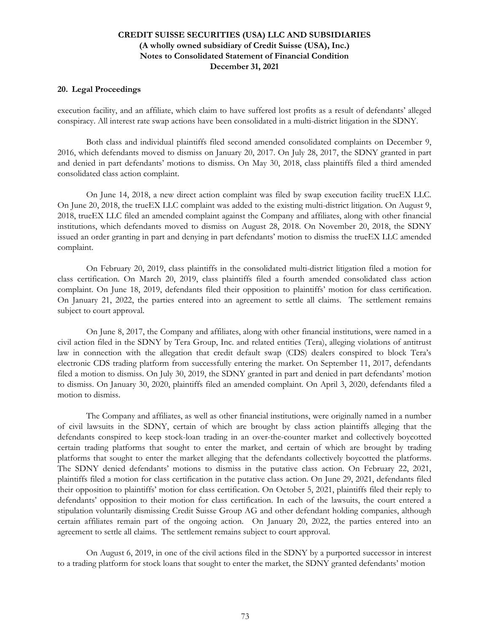#### **20. Legal Proceedings**

execution facility, and an affiliate, which claim to have suffered lost profits as a result of defendants' alleged conspiracy. All interest rate swap actions have been consolidated in a multi-district litigation in the SDNY.

Both class and individual plaintiffs filed second amended consolidated complaints on December 9, 2016, which defendants moved to dismiss on January 20, 2017. On July 28, 2017, the SDNY granted in part and denied in part defendants' motions to dismiss. On May 30, 2018, class plaintiffs filed a third amended consolidated class action complaint.

On June 14, 2018, a new direct action complaint was filed by swap execution facility trueEX LLC. On June 20, 2018, the trueEX LLC complaint was added to the existing multi-district litigation. On August 9, 2018, trueEX LLC filed an amended complaint against the Company and affiliates, along with other financial institutions, which defendants moved to dismiss on August 28, 2018. On November 20, 2018, the SDNY issued an order granting in part and denying in part defendants' motion to dismiss the trueEX LLC amended complaint.

On February 20, 2019, class plaintiffs in the consolidated multi-district litigation filed a motion for class certification. On March 20, 2019, class plaintiffs filed a fourth amended consolidated class action complaint. On June 18, 2019, defendants filed their opposition to plaintiffs' motion for class certification. On January 21, 2022, the parties entered into an agreement to settle all claims. The settlement remains subject to court approval.

On June 8, 2017, the Company and affiliates, along with other financial institutions, were named in a civil action filed in the SDNY by Tera Group, Inc. and related entities (Tera), alleging violations of antitrust law in connection with the allegation that credit default swap (CDS) dealers conspired to block Tera's electronic CDS trading platform from successfully entering the market. On September 11, 2017, defendants filed a motion to dismiss. On July 30, 2019, the SDNY granted in part and denied in part defendants' motion to dismiss. On January 30, 2020, plaintiffs filed an amended complaint. On April 3, 2020, defendants filed a motion to dismiss.

The Company and affiliates, as well as other financial institutions, were originally named in a number of civil lawsuits in the SDNY, certain of which are brought by class action plaintiffs alleging that the defendants conspired to keep stock-loan trading in an over-the-counter market and collectively boycotted certain trading platforms that sought to enter the market, and certain of which are brought by trading platforms that sought to enter the market alleging that the defendants collectively boycotted the platforms. The SDNY denied defendants' motions to dismiss in the putative class action. On February 22, 2021, plaintiffs filed a motion for class certification in the putative class action. On June 29, 2021, defendants filed their opposition to plaintiffs' motion for class certification. On October 5, 2021, plaintiffs filed their reply to defendants' opposition to their motion for class certification. In each of the lawsuits, the court entered a stipulation voluntarily dismissing Credit Suisse Group AG and other defendant holding companies, although certain affiliates remain part of the ongoing action. On January 20, 2022, the parties entered into an agreement to settle all claims. The settlement remains subject to court approval.

On August 6, 2019, in one of the civil actions filed in the SDNY by a purported successor in interest to a trading platform for stock loans that sought to enter the market, the SDNY granted defendants' motion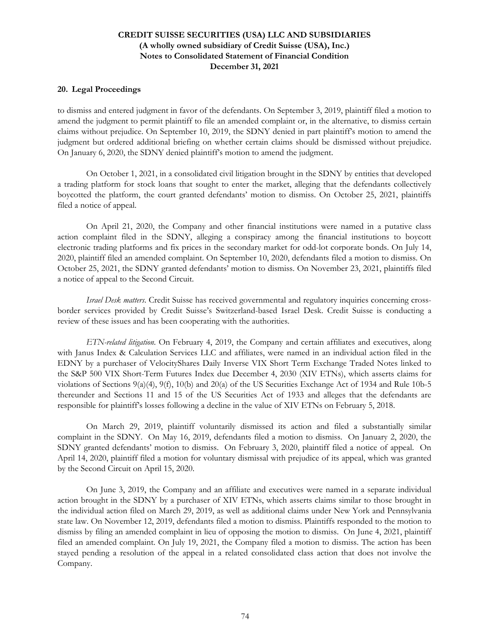#### **20. Legal Proceedings**

to dismiss and entered judgment in favor of the defendants. On September 3, 2019, plaintiff filed a motion to amend the judgment to permit plaintiff to file an amended complaint or, in the alternative, to dismiss certain claims without prejudice. On September 10, 2019, the SDNY denied in part plaintiff's motion to amend the judgment but ordered additional briefing on whether certain claims should be dismissed without prejudice. On January 6, 2020, the SDNY denied plaintiff's motion to amend the judgment.

On October 1, 2021, in a consolidated civil litigation brought in the SDNY by entities that developed a trading platform for stock loans that sought to enter the market, alleging that the defendants collectively boycotted the platform, the court granted defendants' motion to dismiss. On October 25, 2021, plaintiffs filed a notice of appeal.

On April 21, 2020, the Company and other financial institutions were named in a putative class action complaint filed in the SDNY, alleging a conspiracy among the financial institutions to boycott electronic trading platforms and fix prices in the secondary market for odd-lot corporate bonds. On July 14, 2020, plaintiff filed an amended complaint. On September 10, 2020, defendants filed a motion to dismiss. On October 25, 2021, the SDNY granted defendants' motion to dismiss. On November 23, 2021, plaintiffs filed a notice of appeal to the Second Circuit.

*Israel Desk matters*. Credit Suisse has received governmental and regulatory inquiries concerning crossborder services provided by Credit Suisse's Switzerland-based Israel Desk. Credit Suisse is conducting a review of these issues and has been cooperating with the authorities.

*ETN-related litigation*. On February 4, 2019, the Company and certain affiliates and executives, along with Janus Index & Calculation Services LLC and affiliates, were named in an individual action filed in the EDNY by a purchaser of VelocityShares Daily Inverse VIX Short Term Exchange Traded Notes linked to the S&P 500 VIX Short-Term Futures Index due December 4, 2030 (XIV ETNs), which asserts claims for violations of Sections 9(a)(4), 9(f), 10(b) and 20(a) of the US Securities Exchange Act of 1934 and Rule 10b-5 thereunder and Sections 11 and 15 of the US Securities Act of 1933 and alleges that the defendants are responsible for plaintiff's losses following a decline in the value of XIV ETNs on February 5, 2018.

On March 29, 2019, plaintiff voluntarily dismissed its action and filed a substantially similar complaint in the SDNY. On May 16, 2019, defendants filed a motion to dismiss. On January 2, 2020, the SDNY granted defendants' motion to dismiss. On February 3, 2020, plaintiff filed a notice of appeal. On April 14, 2020, plaintiff filed a motion for voluntary dismissal with prejudice of its appeal, which was granted by the Second Circuit on April 15, 2020.

On June 3, 2019, the Company and an affiliate and executives were named in a separate individual action brought in the SDNY by a purchaser of XIV ETNs, which asserts claims similar to those brought in the individual action filed on March 29, 2019, as well as additional claims under New York and Pennsylvania state law. On November 12, 2019, defendants filed a motion to dismiss. Plaintiffs responded to the motion to dismiss by filing an amended complaint in lieu of opposing the motion to dismiss. On June 4, 2021, plaintiff filed an amended complaint. On July 19, 2021, the Company filed a motion to dismiss. The action has been stayed pending a resolution of the appeal in a related consolidated class action that does not involve the Company.